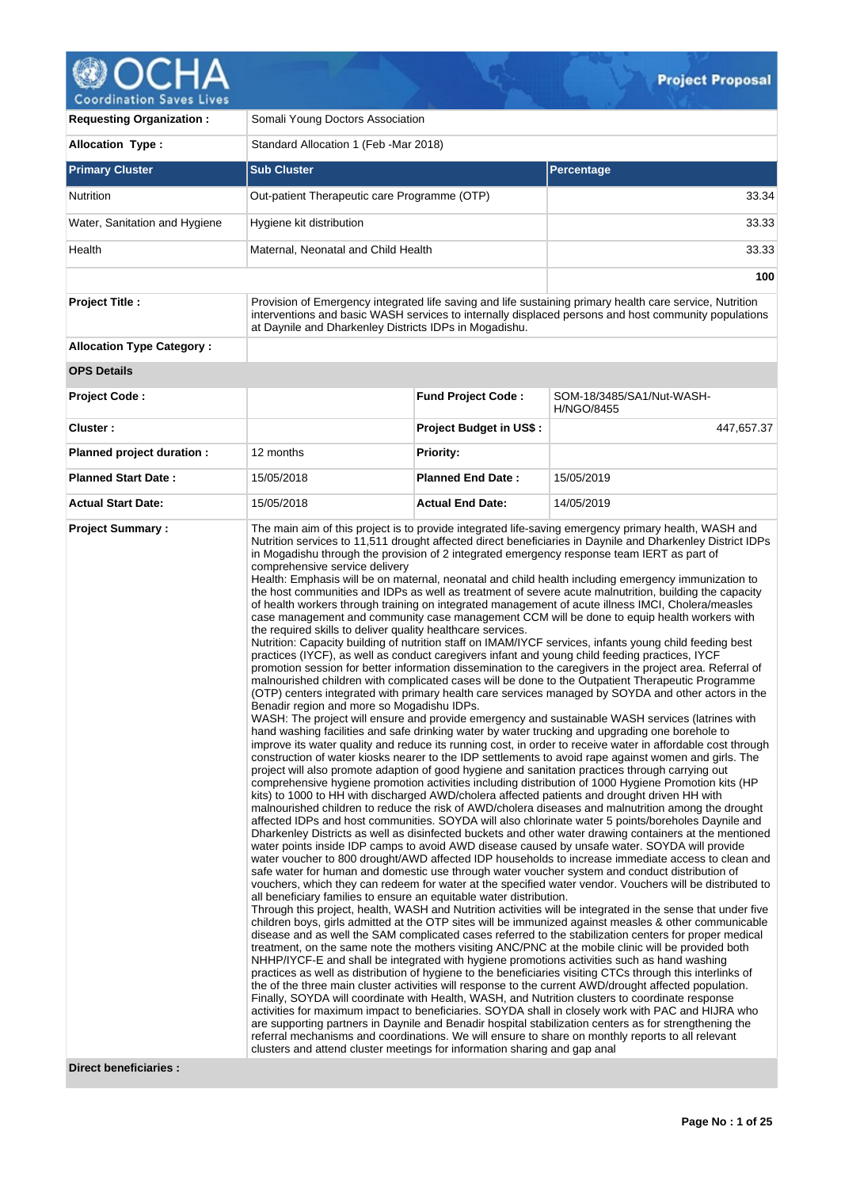

| <b>Requesting Organization:</b>  | Somali Young Doctors Association                                                                                                                                                                                                                                                                |                                |                                                                                                                                                                                                                                                                                                                                                                                                                                                                                                                                                                                                                                                                                                                                                                                                                                                                                                                                                                                                                                                                                                                                                                                                                                                                                                                                                                                                                                                                                                                                                                                                                                                                                                                                                                                                                                                                                                                                                                                                                                                                                                                                                                                                                                                                                                                                                                                                                                                                                                                                                                                                                                                                                                                                                                                                                                                                                                                                                                                                                                                                                                                                                                                                                                                                                                                                                                                                                                                                                                                                                                                                                                                                                                                                                                                                                                                                                                                                                               |  |  |  |  |
|----------------------------------|-------------------------------------------------------------------------------------------------------------------------------------------------------------------------------------------------------------------------------------------------------------------------------------------------|--------------------------------|---------------------------------------------------------------------------------------------------------------------------------------------------------------------------------------------------------------------------------------------------------------------------------------------------------------------------------------------------------------------------------------------------------------------------------------------------------------------------------------------------------------------------------------------------------------------------------------------------------------------------------------------------------------------------------------------------------------------------------------------------------------------------------------------------------------------------------------------------------------------------------------------------------------------------------------------------------------------------------------------------------------------------------------------------------------------------------------------------------------------------------------------------------------------------------------------------------------------------------------------------------------------------------------------------------------------------------------------------------------------------------------------------------------------------------------------------------------------------------------------------------------------------------------------------------------------------------------------------------------------------------------------------------------------------------------------------------------------------------------------------------------------------------------------------------------------------------------------------------------------------------------------------------------------------------------------------------------------------------------------------------------------------------------------------------------------------------------------------------------------------------------------------------------------------------------------------------------------------------------------------------------------------------------------------------------------------------------------------------------------------------------------------------------------------------------------------------------------------------------------------------------------------------------------------------------------------------------------------------------------------------------------------------------------------------------------------------------------------------------------------------------------------------------------------------------------------------------------------------------------------------------------------------------------------------------------------------------------------------------------------------------------------------------------------------------------------------------------------------------------------------------------------------------------------------------------------------------------------------------------------------------------------------------------------------------------------------------------------------------------------------------------------------------------------------------------------------------------------------------------------------------------------------------------------------------------------------------------------------------------------------------------------------------------------------------------------------------------------------------------------------------------------------------------------------------------------------------------------------------------------------------------------------------------------------------------------------------|--|--|--|--|
| <b>Allocation Type:</b>          | Standard Allocation 1 (Feb -Mar 2018)                                                                                                                                                                                                                                                           |                                |                                                                                                                                                                                                                                                                                                                                                                                                                                                                                                                                                                                                                                                                                                                                                                                                                                                                                                                                                                                                                                                                                                                                                                                                                                                                                                                                                                                                                                                                                                                                                                                                                                                                                                                                                                                                                                                                                                                                                                                                                                                                                                                                                                                                                                                                                                                                                                                                                                                                                                                                                                                                                                                                                                                                                                                                                                                                                                                                                                                                                                                                                                                                                                                                                                                                                                                                                                                                                                                                                                                                                                                                                                                                                                                                                                                                                                                                                                                                                               |  |  |  |  |
| <b>Primary Cluster</b>           | <b>Sub Cluster</b>                                                                                                                                                                                                                                                                              |                                | Percentage                                                                                                                                                                                                                                                                                                                                                                                                                                                                                                                                                                                                                                                                                                                                                                                                                                                                                                                                                                                                                                                                                                                                                                                                                                                                                                                                                                                                                                                                                                                                                                                                                                                                                                                                                                                                                                                                                                                                                                                                                                                                                                                                                                                                                                                                                                                                                                                                                                                                                                                                                                                                                                                                                                                                                                                                                                                                                                                                                                                                                                                                                                                                                                                                                                                                                                                                                                                                                                                                                                                                                                                                                                                                                                                                                                                                                                                                                                                                                    |  |  |  |  |
| <b>Nutrition</b>                 | Out-patient Therapeutic care Programme (OTP)                                                                                                                                                                                                                                                    |                                | 33.34                                                                                                                                                                                                                                                                                                                                                                                                                                                                                                                                                                                                                                                                                                                                                                                                                                                                                                                                                                                                                                                                                                                                                                                                                                                                                                                                                                                                                                                                                                                                                                                                                                                                                                                                                                                                                                                                                                                                                                                                                                                                                                                                                                                                                                                                                                                                                                                                                                                                                                                                                                                                                                                                                                                                                                                                                                                                                                                                                                                                                                                                                                                                                                                                                                                                                                                                                                                                                                                                                                                                                                                                                                                                                                                                                                                                                                                                                                                                                         |  |  |  |  |
| Water, Sanitation and Hygiene    | Hygiene kit distribution                                                                                                                                                                                                                                                                        |                                | 33.33                                                                                                                                                                                                                                                                                                                                                                                                                                                                                                                                                                                                                                                                                                                                                                                                                                                                                                                                                                                                                                                                                                                                                                                                                                                                                                                                                                                                                                                                                                                                                                                                                                                                                                                                                                                                                                                                                                                                                                                                                                                                                                                                                                                                                                                                                                                                                                                                                                                                                                                                                                                                                                                                                                                                                                                                                                                                                                                                                                                                                                                                                                                                                                                                                                                                                                                                                                                                                                                                                                                                                                                                                                                                                                                                                                                                                                                                                                                                                         |  |  |  |  |
| Health                           | Maternal, Neonatal and Child Health                                                                                                                                                                                                                                                             |                                | 33.33                                                                                                                                                                                                                                                                                                                                                                                                                                                                                                                                                                                                                                                                                                                                                                                                                                                                                                                                                                                                                                                                                                                                                                                                                                                                                                                                                                                                                                                                                                                                                                                                                                                                                                                                                                                                                                                                                                                                                                                                                                                                                                                                                                                                                                                                                                                                                                                                                                                                                                                                                                                                                                                                                                                                                                                                                                                                                                                                                                                                                                                                                                                                                                                                                                                                                                                                                                                                                                                                                                                                                                                                                                                                                                                                                                                                                                                                                                                                                         |  |  |  |  |
|                                  |                                                                                                                                                                                                                                                                                                 |                                | 100                                                                                                                                                                                                                                                                                                                                                                                                                                                                                                                                                                                                                                                                                                                                                                                                                                                                                                                                                                                                                                                                                                                                                                                                                                                                                                                                                                                                                                                                                                                                                                                                                                                                                                                                                                                                                                                                                                                                                                                                                                                                                                                                                                                                                                                                                                                                                                                                                                                                                                                                                                                                                                                                                                                                                                                                                                                                                                                                                                                                                                                                                                                                                                                                                                                                                                                                                                                                                                                                                                                                                                                                                                                                                                                                                                                                                                                                                                                                                           |  |  |  |  |
| <b>Project Title:</b>            | Provision of Emergency integrated life saving and life sustaining primary health care service, Nutrition<br>interventions and basic WASH services to internally displaced persons and host community populations<br>at Daynile and Dharkenley Districts IDPs in Mogadishu.                      |                                |                                                                                                                                                                                                                                                                                                                                                                                                                                                                                                                                                                                                                                                                                                                                                                                                                                                                                                                                                                                                                                                                                                                                                                                                                                                                                                                                                                                                                                                                                                                                                                                                                                                                                                                                                                                                                                                                                                                                                                                                                                                                                                                                                                                                                                                                                                                                                                                                                                                                                                                                                                                                                                                                                                                                                                                                                                                                                                                                                                                                                                                                                                                                                                                                                                                                                                                                                                                                                                                                                                                                                                                                                                                                                                                                                                                                                                                                                                                                                               |  |  |  |  |
| <b>Allocation Type Category:</b> |                                                                                                                                                                                                                                                                                                 |                                |                                                                                                                                                                                                                                                                                                                                                                                                                                                                                                                                                                                                                                                                                                                                                                                                                                                                                                                                                                                                                                                                                                                                                                                                                                                                                                                                                                                                                                                                                                                                                                                                                                                                                                                                                                                                                                                                                                                                                                                                                                                                                                                                                                                                                                                                                                                                                                                                                                                                                                                                                                                                                                                                                                                                                                                                                                                                                                                                                                                                                                                                                                                                                                                                                                                                                                                                                                                                                                                                                                                                                                                                                                                                                                                                                                                                                                                                                                                                                               |  |  |  |  |
| <b>OPS Details</b>               |                                                                                                                                                                                                                                                                                                 |                                |                                                                                                                                                                                                                                                                                                                                                                                                                                                                                                                                                                                                                                                                                                                                                                                                                                                                                                                                                                                                                                                                                                                                                                                                                                                                                                                                                                                                                                                                                                                                                                                                                                                                                                                                                                                                                                                                                                                                                                                                                                                                                                                                                                                                                                                                                                                                                                                                                                                                                                                                                                                                                                                                                                                                                                                                                                                                                                                                                                                                                                                                                                                                                                                                                                                                                                                                                                                                                                                                                                                                                                                                                                                                                                                                                                                                                                                                                                                                                               |  |  |  |  |
| <b>Project Code:</b>             |                                                                                                                                                                                                                                                                                                 | <b>Fund Project Code:</b>      | SOM-18/3485/SA1/Nut-WASH-<br><b>H/NGO/8455</b>                                                                                                                                                                                                                                                                                                                                                                                                                                                                                                                                                                                                                                                                                                                                                                                                                                                                                                                                                                                                                                                                                                                                                                                                                                                                                                                                                                                                                                                                                                                                                                                                                                                                                                                                                                                                                                                                                                                                                                                                                                                                                                                                                                                                                                                                                                                                                                                                                                                                                                                                                                                                                                                                                                                                                                                                                                                                                                                                                                                                                                                                                                                                                                                                                                                                                                                                                                                                                                                                                                                                                                                                                                                                                                                                                                                                                                                                                                                |  |  |  |  |
| Cluster:                         |                                                                                                                                                                                                                                                                                                 | <b>Project Budget in US\$:</b> | 447,657.37                                                                                                                                                                                                                                                                                                                                                                                                                                                                                                                                                                                                                                                                                                                                                                                                                                                                                                                                                                                                                                                                                                                                                                                                                                                                                                                                                                                                                                                                                                                                                                                                                                                                                                                                                                                                                                                                                                                                                                                                                                                                                                                                                                                                                                                                                                                                                                                                                                                                                                                                                                                                                                                                                                                                                                                                                                                                                                                                                                                                                                                                                                                                                                                                                                                                                                                                                                                                                                                                                                                                                                                                                                                                                                                                                                                                                                                                                                                                                    |  |  |  |  |
| Planned project duration :       | 12 months                                                                                                                                                                                                                                                                                       | <b>Priority:</b>               |                                                                                                                                                                                                                                                                                                                                                                                                                                                                                                                                                                                                                                                                                                                                                                                                                                                                                                                                                                                                                                                                                                                                                                                                                                                                                                                                                                                                                                                                                                                                                                                                                                                                                                                                                                                                                                                                                                                                                                                                                                                                                                                                                                                                                                                                                                                                                                                                                                                                                                                                                                                                                                                                                                                                                                                                                                                                                                                                                                                                                                                                                                                                                                                                                                                                                                                                                                                                                                                                                                                                                                                                                                                                                                                                                                                                                                                                                                                                                               |  |  |  |  |
| <b>Planned Start Date:</b>       | 15/05/2018                                                                                                                                                                                                                                                                                      | <b>Planned End Date:</b>       | 15/05/2019                                                                                                                                                                                                                                                                                                                                                                                                                                                                                                                                                                                                                                                                                                                                                                                                                                                                                                                                                                                                                                                                                                                                                                                                                                                                                                                                                                                                                                                                                                                                                                                                                                                                                                                                                                                                                                                                                                                                                                                                                                                                                                                                                                                                                                                                                                                                                                                                                                                                                                                                                                                                                                                                                                                                                                                                                                                                                                                                                                                                                                                                                                                                                                                                                                                                                                                                                                                                                                                                                                                                                                                                                                                                                                                                                                                                                                                                                                                                                    |  |  |  |  |
| <b>Actual Start Date:</b>        | 15/05/2018                                                                                                                                                                                                                                                                                      | <b>Actual End Date:</b>        | 14/05/2019                                                                                                                                                                                                                                                                                                                                                                                                                                                                                                                                                                                                                                                                                                                                                                                                                                                                                                                                                                                                                                                                                                                                                                                                                                                                                                                                                                                                                                                                                                                                                                                                                                                                                                                                                                                                                                                                                                                                                                                                                                                                                                                                                                                                                                                                                                                                                                                                                                                                                                                                                                                                                                                                                                                                                                                                                                                                                                                                                                                                                                                                                                                                                                                                                                                                                                                                                                                                                                                                                                                                                                                                                                                                                                                                                                                                                                                                                                                                                    |  |  |  |  |
| <b>Project Summary:</b>          | comprehensive service delivery<br>the required skills to deliver quality healthcare services.<br>Benadir region and more so Mogadishu IDPs.<br>all beneficiary families to ensure an equitable water distribution.<br>clusters and attend cluster meetings for information sharing and gap anal |                                | The main aim of this project is to provide integrated life-saving emergency primary health, WASH and<br>Nutrition services to 11,511 drought affected direct beneficiaries in Daynile and Dharkenley District IDPs<br>in Mogadishu through the provision of 2 integrated emergency response team IERT as part of<br>Health: Emphasis will be on maternal, neonatal and child health including emergency immunization to<br>the host communities and IDPs as well as treatment of severe acute malnutrition, building the capacity<br>of health workers through training on integrated management of acute illness IMCI, Cholera/measles<br>case management and community case management CCM will be done to equip health workers with<br>Nutrition: Capacity building of nutrition staff on IMAM/IYCF services, infants young child feeding best<br>practices (IYCF), as well as conduct caregivers infant and young child feeding practices, IYCF<br>promotion session for better information dissemination to the caregivers in the project area. Referral of<br>malnourished children with complicated cases will be done to the Outpatient Therapeutic Programme<br>(OTP) centers integrated with primary health care services managed by SOYDA and other actors in the<br>WASH: The project will ensure and provide emergency and sustainable WASH services (latrines with<br>hand washing facilities and safe drinking water by water trucking and upgrading one borehole to<br>improve its water quality and reduce its running cost, in order to receive water in affordable cost through<br>construction of water kiosks nearer to the IDP settlements to avoid rape against women and girls. The<br>project will also promote adaption of good hygiene and sanitation practices through carrying out<br>comprehensive hygiene promotion activities including distribution of 1000 Hygiene Promotion kits (HP<br>kits) to 1000 to HH with discharged AWD/cholera affected patients and drought driven HH with<br>malnourished children to reduce the risk of AWD/cholera diseases and malnutrition among the drought<br>affected IDPs and host communities. SOYDA will also chlorinate water 5 points/boreholes Daynile and<br>Dharkenley Districts as well as disinfected buckets and other water drawing containers at the mentioned<br>water points inside IDP camps to avoid AWD disease caused by unsafe water. SOYDA will provide<br>water voucher to 800 drought/AWD affected IDP households to increase immediate access to clean and<br>safe water for human and domestic use through water voucher system and conduct distribution of<br>vouchers, which they can redeem for water at the specified water vendor. Vouchers will be distributed to<br>Through this project, health, WASH and Nutrition activities will be integrated in the sense that under five<br>children boys, girls admitted at the OTP sites will be immunized against measles & other communicable<br>disease and as well the SAM complicated cases referred to the stabilization centers for proper medical<br>treatment, on the same note the mothers visiting ANC/PNC at the mobile clinic will be provided both<br>NHHP/IYCF-E and shall be integrated with hygiene promotions activities such as hand washing<br>practices as well as distribution of hygiene to the beneficiaries visiting CTCs through this interlinks of<br>the of the three main cluster activities will response to the current AWD/drought affected population.<br>Finally, SOYDA will coordinate with Health, WASH, and Nutrition clusters to coordinate response<br>activities for maximum impact to beneficiaries. SOYDA shall in closely work with PAC and HIJRA who<br>are supporting partners in Daynile and Benadir hospital stabilization centers as for strengthening the<br>referral mechanisms and coordinations. We will ensure to share on monthly reports to all relevant |  |  |  |  |

**Direct beneficiaries :**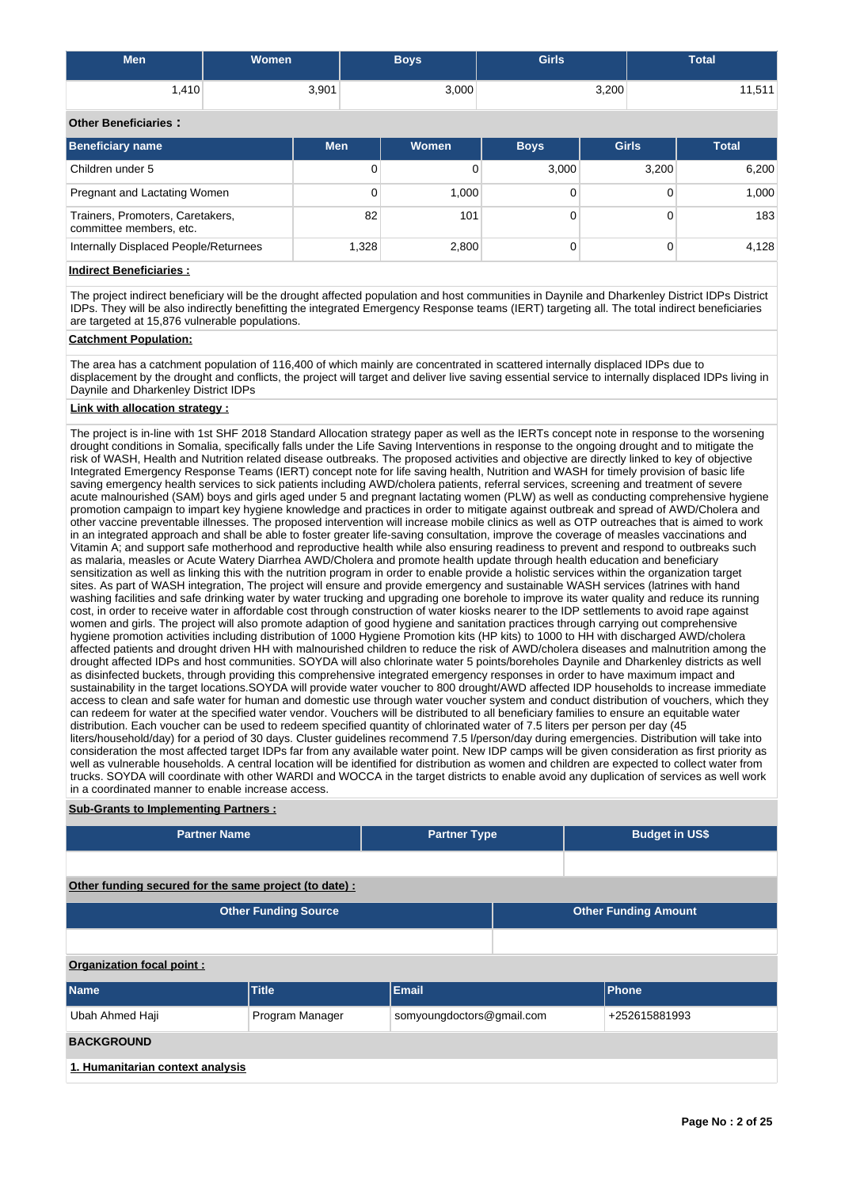| <b>Men</b> | <b>Women</b> | Boys  | <b>Girls</b> | <b>Total</b> |
|------------|--------------|-------|--------------|--------------|
| ا 410.،    | 3,901        | 3,000 | 3,200        | 11,511       |

## **Other Beneficiaries :**

| Beneficiary name                                            | <b>Men</b> | Women | <b>Boys</b> | <b>Girls</b> | <b>Total</b> |
|-------------------------------------------------------------|------------|-------|-------------|--------------|--------------|
| Children under 5                                            | 0          |       | 3,000       | 3,200        | 6,200        |
| Pregnant and Lactating Women                                | 0          | 1.000 |             |              | 1,000        |
| Trainers, Promoters, Caretakers,<br>committee members, etc. | 82         | 101   |             |              | 183          |
| Internally Displaced People/Returnees                       | 1.328      | 2,800 |             |              | 4,128        |

**Indirect Beneficiaries :**

The project indirect beneficiary will be the drought affected population and host communities in Daynile and Dharkenley District IDPs District IDPs. They will be also indirectly benefitting the integrated Emergency Response teams (IERT) targeting all. The total indirect beneficiaries are targeted at 15,876 vulnerable populations.

## **Catchment Population:**

The area has a catchment population of 116,400 of which mainly are concentrated in scattered internally displaced IDPs due to displacement by the drought and conflicts, the project will target and deliver live saving essential service to internally displaced IDPs living in Daynile and Dharkenley District IDPs

# **Link with allocation strategy :**

The project is in-line with 1st SHF 2018 Standard Allocation strategy paper as well as the IERTs concept note in response to the worsening drought conditions in Somalia, specifically falls under the Life Saving Interventions in response to the ongoing drought and to mitigate the risk of WASH, Health and Nutrition related disease outbreaks. The proposed activities and objective are directly linked to key of objective Integrated Emergency Response Teams (IERT) concept note for life saving health, Nutrition and WASH for timely provision of basic life saving emergency health services to sick patients including AWD/cholera patients, referral services, screening and treatment of severe acute malnourished (SAM) boys and girls aged under 5 and pregnant lactating women (PLW) as well as conducting comprehensive hygiene promotion campaign to impart key hygiene knowledge and practices in order to mitigate against outbreak and spread of AWD/Cholera and other vaccine preventable illnesses. The proposed intervention will increase mobile clinics as well as OTP outreaches that is aimed to work in an integrated approach and shall be able to foster greater life-saving consultation, improve the coverage of measles vaccinations and Vitamin A; and support safe motherhood and reproductive health while also ensuring readiness to prevent and respond to outbreaks such as malaria, measles or Acute Watery Diarrhea AWD/Cholera and promote health update through health education and beneficiary sensitization as well as linking this with the nutrition program in order to enable provide a holistic services within the organization target sites. As part of WASH integration, The project will ensure and provide emergency and sustainable WASH services (latrines with hand washing facilities and safe drinking water by water trucking and upgrading one borehole to improve its water quality and reduce its running cost, in order to receive water in affordable cost through construction of water kiosks nearer to the IDP settlements to avoid rape against women and girls. The project will also promote adaption of good hygiene and sanitation practices through carrying out comprehensive hygiene promotion activities including distribution of 1000 Hygiene Promotion kits (HP kits) to 1000 to HH with discharged AWD/cholera affected patients and drought driven HH with malnourished children to reduce the risk of AWD/cholera diseases and malnutrition among the drought affected IDPs and host communities. SOYDA will also chlorinate water 5 points/boreholes Daynile and Dharkenley districts as well as disinfected buckets, through providing this comprehensive integrated emergency responses in order to have maximum impact and sustainability in the target locations.SOYDA will provide water voucher to 800 drought/AWD affected IDP households to increase immediate access to clean and safe water for human and domestic use through water voucher system and conduct distribution of vouchers, which they can redeem for water at the specified water vendor. Vouchers will be distributed to all beneficiary families to ensure an equitable water distribution. Each voucher can be used to redeem specified quantity of chlorinated water of 7.5 liters per person per day (45 liters/household/day) for a period of 30 days. Cluster guidelines recommend 7.5 l/person/day during emergencies. Distribution will take into consideration the most affected target IDPs far from any available water point. New IDP camps will be given consideration as first priority as well as vulnerable households. A central location will be identified for distribution as women and children are expected to collect water from trucks. SOYDA will coordinate with other WARDI and WOCCA in the target districts to enable avoid any duplication of services as well work in a coordinated manner to enable increase access.

## **Sub-Grants to Implementing Partners :**

| <b>Partner Name</b>                                    | <b>Partner Type</b>         |                           | <b>Budget in US\$</b> |                             |  |  |  |  |  |
|--------------------------------------------------------|-----------------------------|---------------------------|-----------------------|-----------------------------|--|--|--|--|--|
|                                                        |                             |                           |                       |                             |  |  |  |  |  |
| Other funding secured for the same project (to date) : |                             |                           |                       |                             |  |  |  |  |  |
|                                                        | <b>Other Funding Source</b> |                           |                       | <b>Other Funding Amount</b> |  |  |  |  |  |
|                                                        |                             |                           |                       |                             |  |  |  |  |  |
| Organization focal point:                              |                             |                           |                       |                             |  |  |  |  |  |
| <b>Name</b>                                            | Title                       | <b>Email</b>              |                       | <b>Phone</b>                |  |  |  |  |  |
| Ubah Ahmed Haji                                        | Program Manager             | somyoungdoctors@gmail.com |                       | +252615881993               |  |  |  |  |  |
| <b>BACKGROUND</b>                                      |                             |                           |                       |                             |  |  |  |  |  |
| 1. Humanitarian context analysis                       |                             |                           |                       |                             |  |  |  |  |  |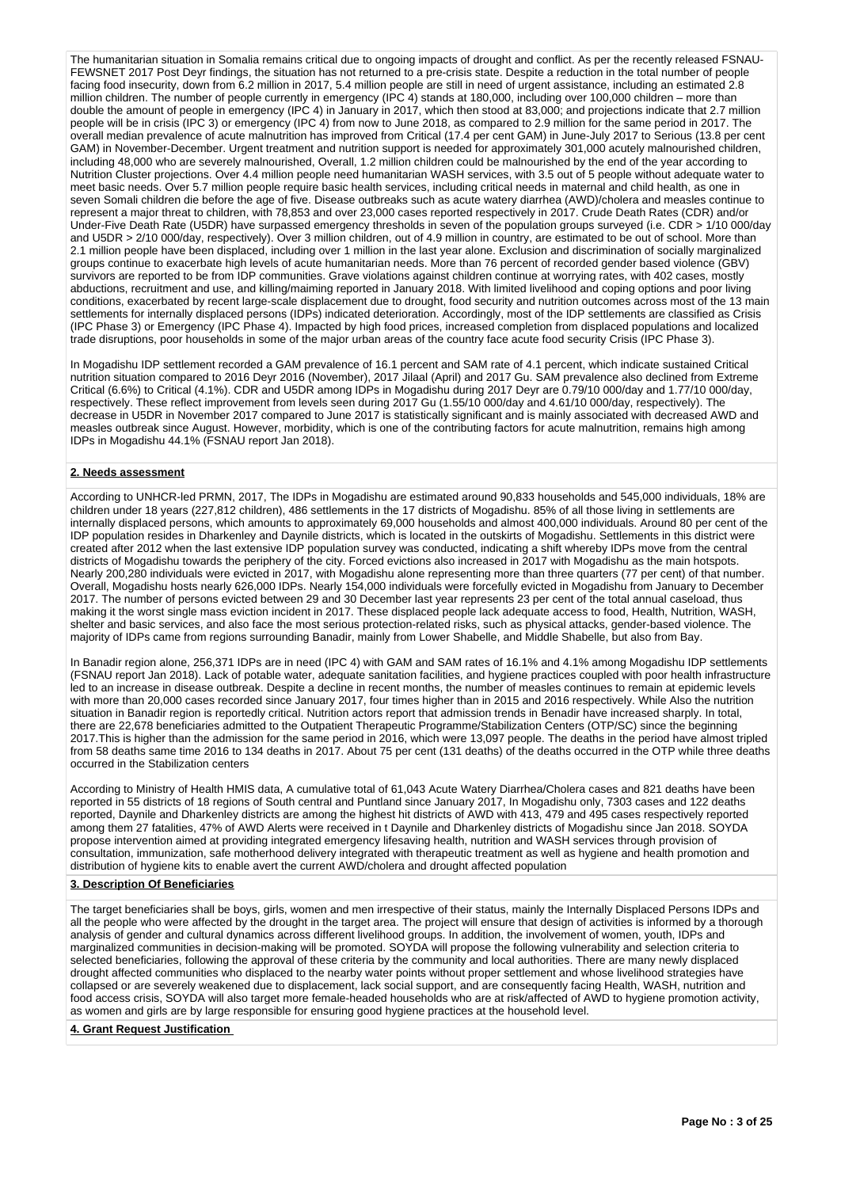The humanitarian situation in Somalia remains critical due to ongoing impacts of drought and conflict. As per the recently released FSNAU-FEWSNET 2017 Post Deyr findings, the situation has not returned to a pre-crisis state. Despite a reduction in the total number of people facing food insecurity, down from 6.2 million in 2017, 5.4 million people are still in need of urgent assistance, including an estimated 2.8 million children. The number of people currently in emergency (IPC 4) stands at 180,000, including over 100,000 children – more than double the amount of people in emergency (IPC 4) in January in 2017, which then stood at 83,000; and projections indicate that 2.7 million people will be in crisis (IPC 3) or emergency (IPC 4) from now to June 2018, as compared to 2.9 million for the same period in 2017. The overall median prevalence of acute malnutrition has improved from Critical (17.4 per cent GAM) in June-July 2017 to Serious (13.8 per cent GAM) in November-December. Urgent treatment and nutrition support is needed for approximately 301,000 acutely malnourished children, including 48,000 who are severely malnourished, Overall, 1.2 million children could be malnourished by the end of the year according to Nutrition Cluster projections. Over 4.4 million people need humanitarian WASH services, with 3.5 out of 5 people without adequate water to meet basic needs. Over 5.7 million people require basic health services, including critical needs in maternal and child health, as one in seven Somali children die before the age of five. Disease outbreaks such as acute watery diarrhea (AWD)/cholera and measles continue to represent a major threat to children, with 78,853 and over 23,000 cases reported respectively in 2017. Crude Death Rates (CDR) and/or Under-Five Death Rate (U5DR) have surpassed emergency thresholds in seven of the population groups surveyed (i.e. CDR > 1/10 000/day and U5DR > 2/10 000/day, respectively). Over 3 million children, out of 4.9 million in country, are estimated to be out of school. More than 2.1 million people have been displaced, including over 1 million in the last year alone. Exclusion and discrimination of socially marginalized groups continue to exacerbate high levels of acute humanitarian needs. More than 76 percent of recorded gender based violence (GBV) survivors are reported to be from IDP communities. Grave violations against children continue at worrying rates, with 402 cases, mostly abductions, recruitment and use, and killing/maiming reported in January 2018. With limited livelihood and coping options and poor living conditions, exacerbated by recent large-scale displacement due to drought, food security and nutrition outcomes across most of the 13 main settlements for internally displaced persons (IDPs) indicated deterioration. Accordingly, most of the IDP settlements are classified as Crisis (IPC Phase 3) or Emergency (IPC Phase 4). Impacted by high food prices, increased completion from displaced populations and localized trade disruptions, poor households in some of the major urban areas of the country face acute food security Crisis (IPC Phase 3).

In Mogadishu IDP settlement recorded a GAM prevalence of 16.1 percent and SAM rate of 4.1 percent, which indicate sustained Critical nutrition situation compared to 2016 Deyr 2016 (November), 2017 Jilaal (April) and 2017 Gu. SAM prevalence also declined from Extreme Critical (6.6%) to Critical (4.1%). CDR and U5DR among IDPs in Mogadishu during 2017 Deyr are 0.79/10 000/day and 1.77/10 000/day, respectively. These reflect improvement from levels seen during 2017 Gu (1.55/10 000/day and 4.61/10 000/day, respectively). The decrease in U5DR in November 2017 compared to June 2017 is statistically significant and is mainly associated with decreased AWD and measles outbreak since August. However, morbidity, which is one of the contributing factors for acute malnutrition, remains high among IDPs in Mogadishu 44.1% (FSNAU report Jan 2018).

## **2. Needs assessment**

According to UNHCR-led PRMN, 2017, The IDPs in Mogadishu are estimated around 90,833 households and 545,000 individuals, 18% are children under 18 years (227,812 children), 486 settlements in the 17 districts of Mogadishu. 85% of all those living in settlements are internally displaced persons, which amounts to approximately 69,000 households and almost 400,000 individuals. Around 80 per cent of the IDP population resides in Dharkenley and Daynile districts, which is located in the outskirts of Mogadishu. Settlements in this district were created after 2012 when the last extensive IDP population survey was conducted, indicating a shift whereby IDPs move from the central districts of Mogadishu towards the periphery of the city. Forced evictions also increased in 2017 with Mogadishu as the main hotspots. Nearly 200,280 individuals were evicted in 2017, with Mogadishu alone representing more than three quarters (77 per cent) of that number. Overall, Mogadishu hosts nearly 626,000 IDPs. Nearly 154,000 individuals were forcefully evicted in Mogadishu from January to December 2017. The number of persons evicted between 29 and 30 December last year represents 23 per cent of the total annual caseload, thus making it the worst single mass eviction incident in 2017. These displaced people lack adequate access to food, Health, Nutrition, WASH, shelter and basic services, and also face the most serious protection-related risks, such as physical attacks, gender-based violence. The majority of IDPs came from regions surrounding Banadir, mainly from Lower Shabelle, and Middle Shabelle, but also from Bay.

In Banadir region alone, 256,371 IDPs are in need (IPC 4) with GAM and SAM rates of 16.1% and 4.1% among Mogadishu IDP settlements (FSNAU report Jan 2018). Lack of potable water, adequate sanitation facilities, and hygiene practices coupled with poor health infrastructure led to an increase in disease outbreak. Despite a decline in recent months, the number of measles continues to remain at epidemic levels with more than 20,000 cases recorded since January 2017, four times higher than in 2015 and 2016 respectively. While Also the nutrition situation in Banadir region is reportedly critical. Nutrition actors report that admission trends in Benadir have increased sharply. In total, there are 22,678 beneficiaries admitted to the Outpatient Therapeutic Programme/Stabilization Centers (OTP/SC) since the beginning 2017.This is higher than the admission for the same period in 2016, which were 13,097 people. The deaths in the period have almost tripled from 58 deaths same time 2016 to 134 deaths in 2017. About 75 per cent (131 deaths) of the deaths occurred in the OTP while three deaths occurred in the Stabilization centers

According to Ministry of Health HMIS data, A cumulative total of 61,043 Acute Watery Diarrhea/Cholera cases and 821 deaths have been reported in 55 districts of 18 regions of South central and Puntland since January 2017, In Mogadishu only, 7303 cases and 122 deaths reported, Daynile and Dharkenley districts are among the highest hit districts of AWD with 413, 479 and 495 cases respectively reported among them 27 fatalities, 47% of AWD Alerts were received in t Daynile and Dharkenley districts of Mogadishu since Jan 2018. SOYDA propose intervention aimed at providing integrated emergency lifesaving health, nutrition and WASH services through provision of consultation, immunization, safe motherhood delivery integrated with therapeutic treatment as well as hygiene and health promotion and distribution of hygiene kits to enable avert the current AWD/cholera and drought affected population

#### **3. Description Of Beneficiaries**

The target beneficiaries shall be boys, girls, women and men irrespective of their status, mainly the Internally Displaced Persons IDPs and all the people who were affected by the drought in the target area. The project will ensure that design of activities is informed by a thorough analysis of gender and cultural dynamics across different livelihood groups. In addition, the involvement of women, youth, IDPs and marginalized communities in decision-making will be promoted. SOYDA will propose the following vulnerability and selection criteria to selected beneficiaries, following the approval of these criteria by the community and local authorities. There are many newly displaced drought affected communities who displaced to the nearby water points without proper settlement and whose livelihood strategies have collapsed or are severely weakened due to displacement, lack social support, and are consequently facing Health, WASH, nutrition and food access crisis, SOYDA will also target more female-headed households who are at risk/affected of AWD to hygiene promotion activity, as women and girls are by large responsible for ensuring good hygiene practices at the household level.

**4. Grant Request Justification**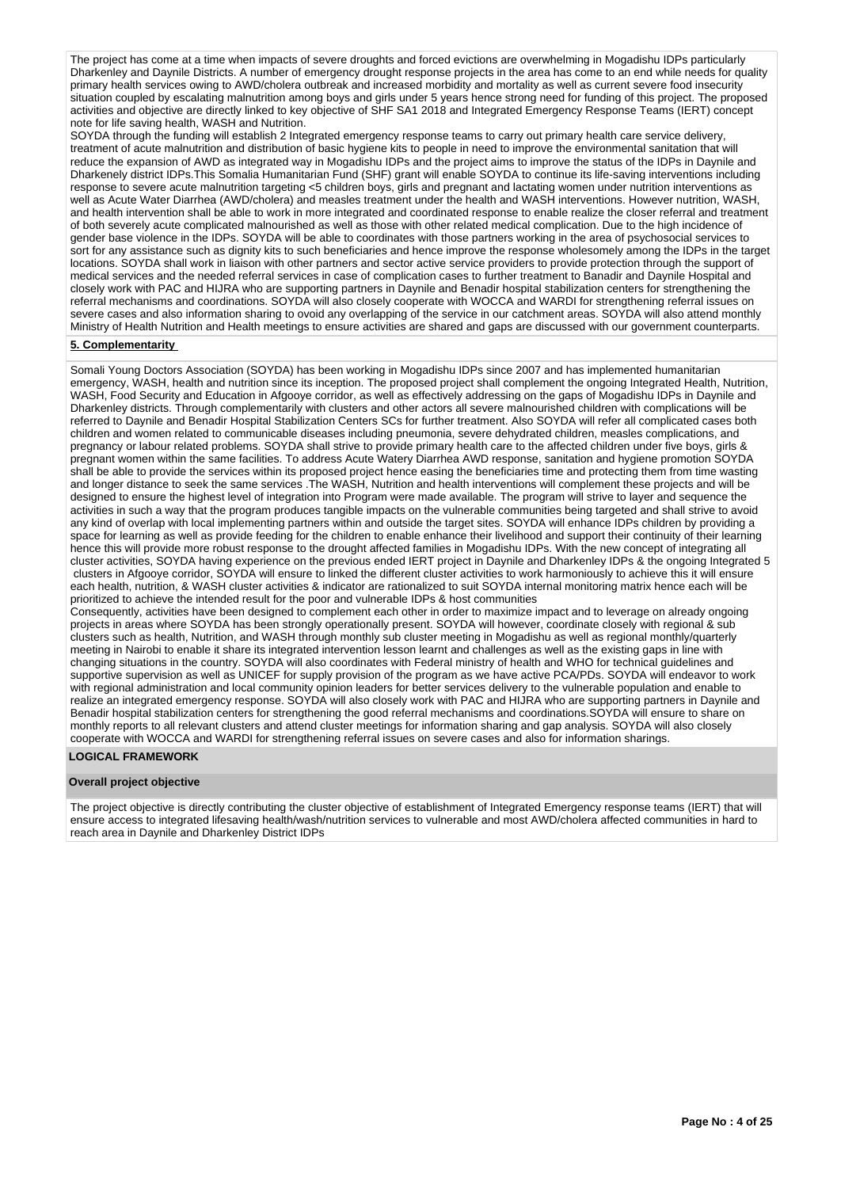The project has come at a time when impacts of severe droughts and forced evictions are overwhelming in Mogadishu IDPs particularly Dharkenley and Daynile Districts. A number of emergency drought response projects in the area has come to an end while needs for quality primary health services owing to AWD/cholera outbreak and increased morbidity and mortality as well as current severe food insecurity situation coupled by escalating malnutrition among boys and girls under 5 years hence strong need for funding of this project. The proposed activities and objective are directly linked to key objective of SHF SA1 2018 and Integrated Emergency Response Teams (IERT) concept note for life saving health, WASH and Nutrition.

SOYDA through the funding will establish 2 Integrated emergency response teams to carry out primary health care service delivery. treatment of acute malnutrition and distribution of basic hygiene kits to people in need to improve the environmental sanitation that will reduce the expansion of AWD as integrated way in Mogadishu IDPs and the project aims to improve the status of the IDPs in Daynile and Dharkenely district IDPs.This Somalia Humanitarian Fund (SHF) grant will enable SOYDA to continue its life-saving interventions including response to severe acute malnutrition targeting <5 children boys, girls and pregnant and lactating women under nutrition interventions as well as Acute Water Diarrhea (AWD/cholera) and measles treatment under the health and WASH interventions. However nutrition, WASH, and health intervention shall be able to work in more integrated and coordinated response to enable realize the closer referral and treatment of both severely acute complicated malnourished as well as those with other related medical complication. Due to the high incidence of gender base violence in the IDPs. SOYDA will be able to coordinates with those partners working in the area of psychosocial services to sort for any assistance such as dignity kits to such beneficiaries and hence improve the response wholesomely among the IDPs in the target locations. SOYDA shall work in liaison with other partners and sector active service providers to provide protection through the support of medical services and the needed referral services in case of complication cases to further treatment to Banadir and Daynile Hospital and closely work with PAC and HIJRA who are supporting partners in Daynile and Benadir hospital stabilization centers for strengthening the referral mechanisms and coordinations. SOYDA will also closely cooperate with WOCCA and WARDI for strengthening referral issues on severe cases and also information sharing to ovoid any overlapping of the service in our catchment areas. SOYDA will also attend monthly Ministry of Health Nutrition and Health meetings to ensure activities are shared and gaps are discussed with our government counterparts.

## **5. Complementarity**

Somali Young Doctors Association (SOYDA) has been working in Mogadishu IDPs since 2007 and has implemented humanitarian emergency, WASH, health and nutrition since its inception. The proposed project shall complement the ongoing Integrated Health, Nutrition, WASH, Food Security and Education in Afgooye corridor, as well as effectively addressing on the gaps of Mogadishu IDPs in Daynile and Dharkenley districts. Through complementarily with clusters and other actors all severe malnourished children with complications will be referred to Daynile and Benadir Hospital Stabilization Centers SCs for further treatment. Also SOYDA will refer all complicated cases both children and women related to communicable diseases including pneumonia, severe dehydrated children, measles complications, and pregnancy or labour related problems. SOYDA shall strive to provide primary health care to the affected children under five boys, girls & pregnant women within the same facilities. To address Acute Watery Diarrhea AWD response, sanitation and hygiene promotion SOYDA shall be able to provide the services within its proposed project hence easing the beneficiaries time and protecting them from time wasting and longer distance to seek the same services .The WASH, Nutrition and health interventions will complement these projects and will be designed to ensure the highest level of integration into Program were made available. The program will strive to layer and sequence the activities in such a way that the program produces tangible impacts on the vulnerable communities being targeted and shall strive to avoid any kind of overlap with local implementing partners within and outside the target sites. SOYDA will enhance IDPs children by providing a space for learning as well as provide feeding for the children to enable enhance their livelihood and support their continuity of their learning hence this will provide more robust response to the drought affected families in Mogadishu IDPs. With the new concept of integrating all cluster activities, SOYDA having experience on the previous ended IERT project in Daynile and Dharkenley IDPs & the ongoing Integrated 5 clusters in Afgooye corridor, SOYDA will ensure to linked the different cluster activities to work harmoniously to achieve this it will ensure each health, nutrition, & WASH cluster activities & indicator are rationalized to suit SOYDA internal monitoring matrix hence each will be prioritized to achieve the intended result for the poor and vulnerable IDPs & host communities

Consequently, activities have been designed to complement each other in order to maximize impact and to leverage on already ongoing projects in areas where SOYDA has been strongly operationally present. SOYDA will however, coordinate closely with regional & sub clusters such as health, Nutrition, and WASH through monthly sub cluster meeting in Mogadishu as well as regional monthly/quarterly meeting in Nairobi to enable it share its integrated intervention lesson learnt and challenges as well as the existing gaps in line with changing situations in the country. SOYDA will also coordinates with Federal ministry of health and WHO for technical guidelines and supportive supervision as well as UNICEF for supply provision of the program as we have active PCA/PDs. SOYDA will endeavor to work with regional administration and local community opinion leaders for better services delivery to the vulnerable population and enable to realize an integrated emergency response. SOYDA will also closely work with PAC and HIJRA who are supporting partners in Daynile and Benadir hospital stabilization centers for strengthening the good referral mechanisms and coordinations.SOYDA will ensure to share on monthly reports to all relevant clusters and attend cluster meetings for information sharing and gap analysis. SOYDA will also closely cooperate with WOCCA and WARDI for strengthening referral issues on severe cases and also for information sharings.

#### **LOGICAL FRAMEWORK**

#### **Overall project objective**

The project objective is directly contributing the cluster objective of establishment of Integrated Emergency response teams (IERT) that will ensure access to integrated lifesaving health/wash/nutrition services to vulnerable and most AWD/cholera affected communities in hard to reach area in Daynile and Dharkenley District IDPs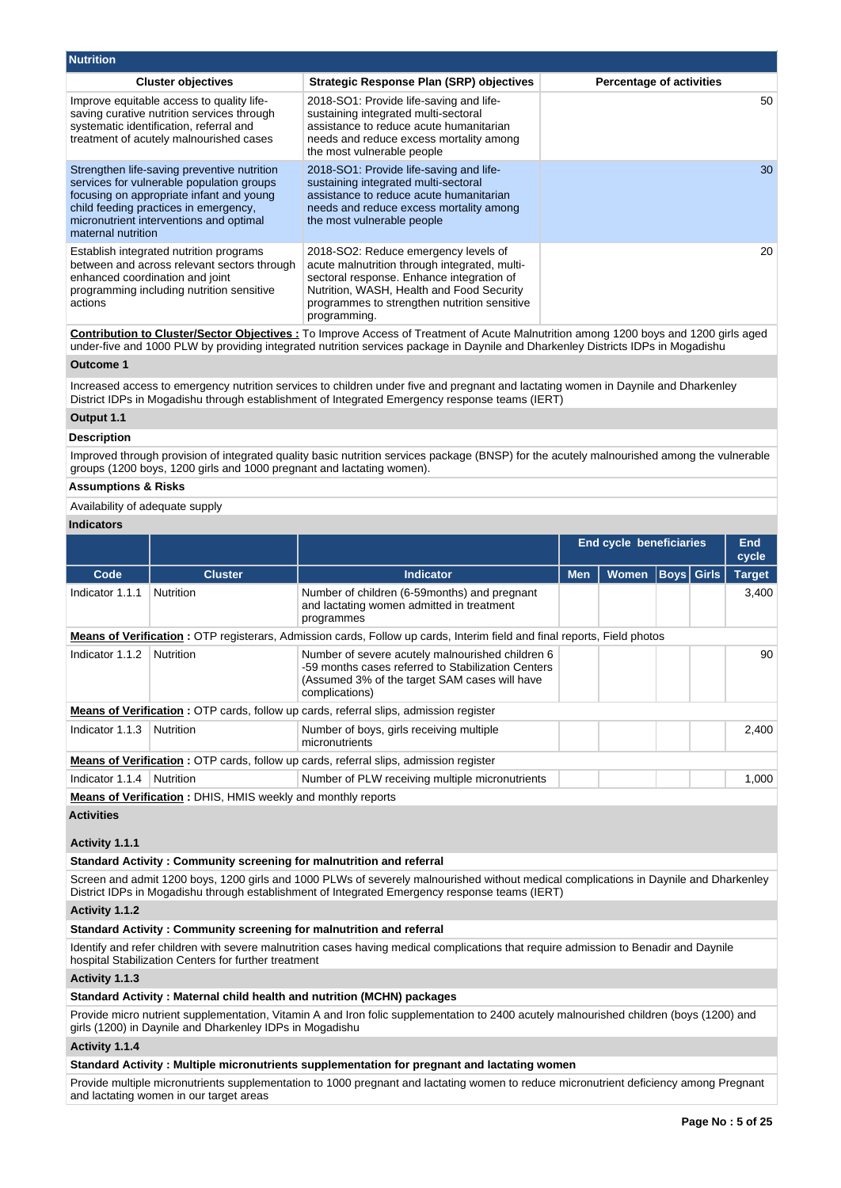| <b>Nutrition</b>                                                                                                                                                                                                                               |                                                                                                                                                                                                                                                 |                                 |
|------------------------------------------------------------------------------------------------------------------------------------------------------------------------------------------------------------------------------------------------|-------------------------------------------------------------------------------------------------------------------------------------------------------------------------------------------------------------------------------------------------|---------------------------------|
| <b>Cluster objectives</b>                                                                                                                                                                                                                      | <b>Strategic Response Plan (SRP) objectives</b>                                                                                                                                                                                                 | <b>Percentage of activities</b> |
| Improve equitable access to quality life-<br>saving curative nutrition services through<br>systematic identification, referral and<br>treatment of acutely malnourished cases                                                                  | 2018-SO1: Provide life-saving and life-<br>sustaining integrated multi-sectoral<br>assistance to reduce acute humanitarian<br>needs and reduce excess mortality among<br>the most vulnerable people                                             | 50                              |
| Strengthen life-saving preventive nutrition<br>services for vulnerable population groups<br>focusing on appropriate infant and young<br>child feeding practices in emergency,<br>micronutrient interventions and optimal<br>maternal nutrition | 2018-SO1: Provide life-saving and life-<br>sustaining integrated multi-sectoral<br>assistance to reduce acute humanitarian<br>needs and reduce excess mortality among<br>the most vulnerable people                                             | 30                              |
| Establish integrated nutrition programs<br>between and across relevant sectors through<br>enhanced coordination and joint<br>programming including nutrition sensitive<br>actions                                                              | 2018-SO2: Reduce emergency levels of<br>acute malnutrition through integrated, multi-<br>sectoral response. Enhance integration of<br>Nutrition, WASH, Health and Food Security<br>programmes to strengthen nutrition sensitive<br>programming. | 20                              |

**Contribution to Cluster/Sector Objectives :** To Improve Access of Treatment of Acute Malnutrition among 1200 boys and 1200 girls aged under-five and 1000 PLW by providing integrated nutrition services package in Daynile and Dharkenley Districts IDPs in Mogadishu

## **Outcome 1**

Increased access to emergency nutrition services to children under five and pregnant and lactating women in Daynile and Dharkenley District IDPs in Mogadishu through establishment of Integrated Emergency response teams (IERT)

## **Output 1.1**

#### **Description**

Improved through provision of integrated quality basic nutrition services package (BNSP) for the acutely malnourished among the vulnerable groups (1200 boys, 1200 girls and 1000 pregnant and lactating women).

## **Assumptions & Risks**

Availability of adequate supply

## **Indicators**

|                 |                                                                                       |                                                                                                                                                                           |            | End cycle beneficiaries |  |                   | <b>End</b><br>cycle |
|-----------------|---------------------------------------------------------------------------------------|---------------------------------------------------------------------------------------------------------------------------------------------------------------------------|------------|-------------------------|--|-------------------|---------------------|
| Code            | <b>Cluster</b>                                                                        | Indicator                                                                                                                                                                 | <b>Men</b> | <b>Women</b>            |  | <b>Boys</b> Girls | <b>Target</b>       |
| Indicator 1.1.1 | <b>Nutrition</b>                                                                      | Number of children (6-59months) and pregnant<br>and lactating women admitted in treatment<br>programmes                                                                   |            |                         |  |                   | 3,400               |
|                 |                                                                                       | <b>Means of Verification</b> : OTP registerars, Admission cards, Follow up cards, Interim field and final reports, Field photos                                           |            |                         |  |                   |                     |
| Indicator 1.1.2 | <b>Nutrition</b>                                                                      | Number of severe acutely malnourished children 6<br>-59 months cases referred to Stabilization Centers<br>(Assumed 3% of the target SAM cases will have<br>complications) |            |                         |  |                   | 90                  |
|                 |                                                                                       | <b>Means of Verification:</b> OTP cards, follow up cards, referral slips, admission register                                                                              |            |                         |  |                   |                     |
| Indicator 1.1.3 | <b>Nutrition</b>                                                                      | Number of boys, girls receiving multiple<br>micronutrients                                                                                                                |            |                         |  |                   | 2,400               |
|                 | Means of Verification: OTP cards, follow up cards, referral slips, admission register |                                                                                                                                                                           |            |                         |  |                   |                     |
| Indicator 1.1.4 | <b>Nutrition</b>                                                                      | Number of PLW receiving multiple micronutrients                                                                                                                           |            |                         |  |                   | 1,000               |
|                 | <b>Means of Verification: DHIS, HMIS weekly and monthly reports</b>                   |                                                                                                                                                                           |            |                         |  |                   |                     |

#### **Activities**

## **Activity 1.1.1**

#### **Standard Activity : Community screening for malnutrition and referral**

Screen and admit 1200 boys, 1200 girls and 1000 PLWs of severely malnourished without medical complications in Daynile and Dharkenley District IDPs in Mogadishu through establishment of Integrated Emergency response teams (IERT)

#### **Activity 1.1.2**

#### **Standard Activity : Community screening for malnutrition and referral**

Identify and refer children with severe malnutrition cases having medical complications that require admission to Benadir and Daynile hospital Stabilization Centers for further treatment

## **Activity 1.1.3**

## **Standard Activity : Maternal child health and nutrition (MCHN) packages**

Provide micro nutrient supplementation, Vitamin A and Iron folic supplementation to 2400 acutely malnourished children (boys (1200) and girls (1200) in Daynile and Dharkenley IDPs in Mogadishu

## **Activity 1.1.4**

## **Standard Activity : Multiple micronutrients supplementation for pregnant and lactating women**

Provide multiple micronutrients supplementation to 1000 pregnant and lactating women to reduce micronutrient deficiency among Pregnant and lactating women in our target areas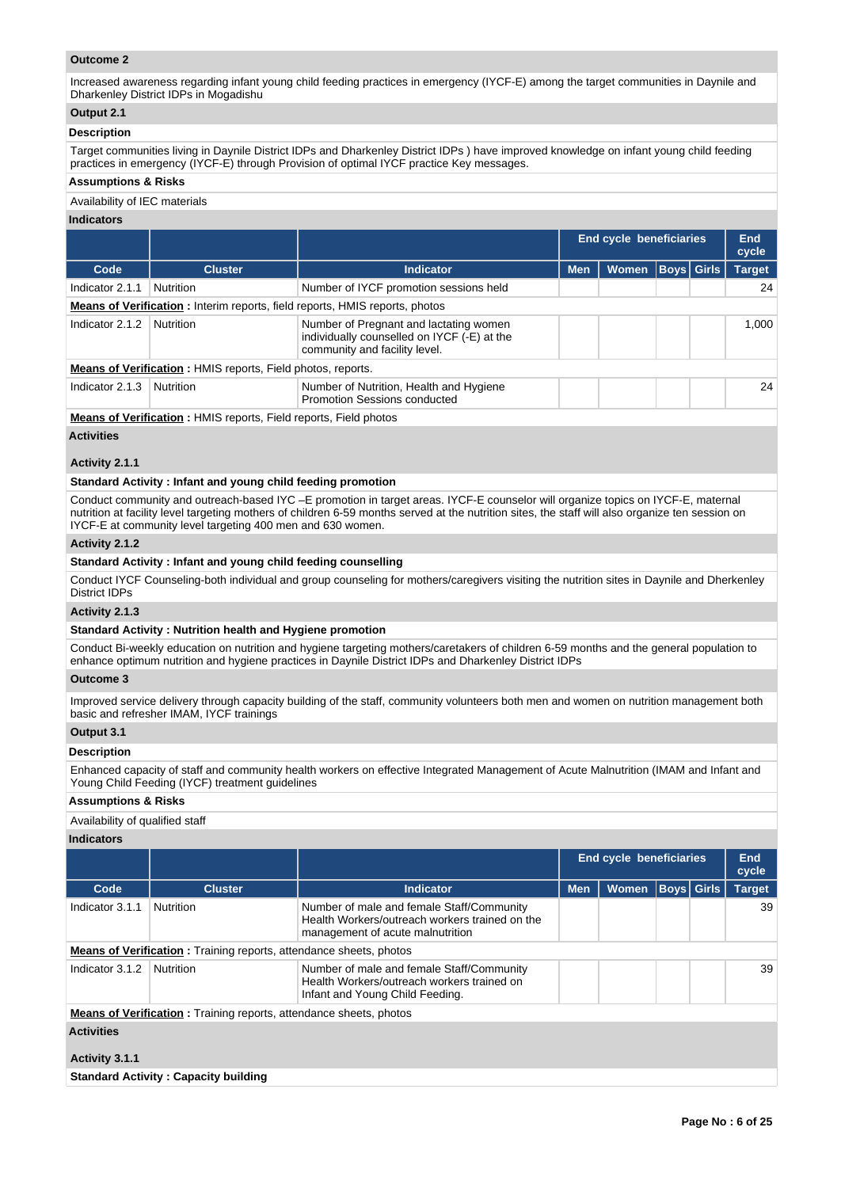## **Outcome 2**

Increased awareness regarding infant young child feeding practices in emergency (IYCF-E) among the target communities in Daynile and Dharkenley District IDPs in Mogadishu

# **Output 2.1**

### **Description**

Target communities living in Daynile District IDPs and Dharkenley District IDPs ) have improved knowledge on infant young child feeding practices in emergency (IYCF-E) through Provision of optimal IYCF practice Key messages.

#### **Assumptions & Risks**

#### Availability of IEC materials

## **Indicators**

|                                                                    |                |                                                                                                                        | End cycle beneficiaries |              |  | <b>End</b><br>cycle |               |  |  |  |
|--------------------------------------------------------------------|----------------|------------------------------------------------------------------------------------------------------------------------|-------------------------|--------------|--|---------------------|---------------|--|--|--|
| Code                                                               | <b>Cluster</b> | <b>Indicator</b>                                                                                                       | <b>Men</b>              | <b>Women</b> |  | Boys  Girls         | <b>Target</b> |  |  |  |
| Indicator 2.1.1                                                    | Nutrition      | Number of IYCF promotion sessions held                                                                                 |                         |              |  |                     | 24            |  |  |  |
|                                                                    |                | <b>Means of Verification:</b> Interim reports, field reports, HMIS reports, photos                                     |                         |              |  |                     |               |  |  |  |
| Indicator 2.1.2                                                    | Nutrition      | Number of Pregnant and lactating women<br>individually counselled on IYCF (-E) at the<br>community and facility level. |                         |              |  |                     | 1.000         |  |  |  |
| <b>Means of Verification: HMIS reports, Field photos, reports.</b> |                |                                                                                                                        |                         |              |  |                     |               |  |  |  |
| Indicator 2.1.3                                                    | Nutrition      | Number of Nutrition, Health and Hygiene<br><b>Promotion Sessions conducted</b>                                         |                         |              |  |                     | 24            |  |  |  |

**Means of Verification :** HMIS reports, Field reports, Field photos

## **Activities**

## **Activity 2.1.1**

#### **Standard Activity : Infant and young child feeding promotion**

Conduct community and outreach-based IYC –E promotion in target areas. IYCF-E counselor will organize topics on IYCF-E, maternal nutrition at facility level targeting mothers of children 6-59 months served at the nutrition sites, the staff will also organize ten session on IYCF-E at community level targeting 400 men and 630 women.

#### **Activity 2.1.2**

## **Standard Activity : Infant and young child feeding counselling**

Conduct IYCF Counseling-both individual and group counseling for mothers/caregivers visiting the nutrition sites in Daynile and Dherkenley District IDPs

## **Activity 2.1.3**

## **Standard Activity : Nutrition health and Hygiene promotion**

Conduct Bi-weekly education on nutrition and hygiene targeting mothers/caretakers of children 6-59 months and the general population to enhance optimum nutrition and hygiene practices in Daynile District IDPs and Dharkenley District IDPs

### **Outcome 3**

Improved service delivery through capacity building of the staff, community volunteers both men and women on nutrition management both basic and refresher IMAM, IYCF trainings

## **Output 3.1**

### **Description**

Enhanced capacity of staff and community health workers on effective Integrated Management of Acute Malnutrition (IMAM and Infant and Young Child Feeding (IYCF) treatment guidelines

## **Assumptions & Risks**

Availability of qualified staff

## **Indicators**

|                   |                                                                           |                                                                                                                                 |            | <b>End cycle beneficiaries</b> |  |             | End<br>cycle  |
|-------------------|---------------------------------------------------------------------------|---------------------------------------------------------------------------------------------------------------------------------|------------|--------------------------------|--|-------------|---------------|
| Code              | <b>Cluster</b>                                                            | <b>Indicator</b>                                                                                                                | <b>Men</b> | <b>Women</b>                   |  | Boys  Girls | <b>Target</b> |
| Indicator 3.1.1   | Nutrition                                                                 | Number of male and female Staff/Community<br>Health Workers/outreach workers trained on the<br>management of acute malnutrition |            |                                |  |             | 39            |
|                   | <b>Means of Verification:</b> Training reports, attendance sheets, photos |                                                                                                                                 |            |                                |  |             |               |
| Indicator 3.1.2   | <b>Nutrition</b>                                                          | Number of male and female Staff/Community<br>Health Workers/outreach workers trained on<br>Infant and Young Child Feeding.      |            |                                |  |             | 39            |
|                   | <b>Means of Verification:</b> Training reports, attendance sheets, photos |                                                                                                                                 |            |                                |  |             |               |
| <b>Activities</b> |                                                                           |                                                                                                                                 |            |                                |  |             |               |
| Activity 3.1.1    |                                                                           |                                                                                                                                 |            |                                |  |             |               |
|                   | <b>Standard Activity: Capacity building</b>                               |                                                                                                                                 |            |                                |  |             |               |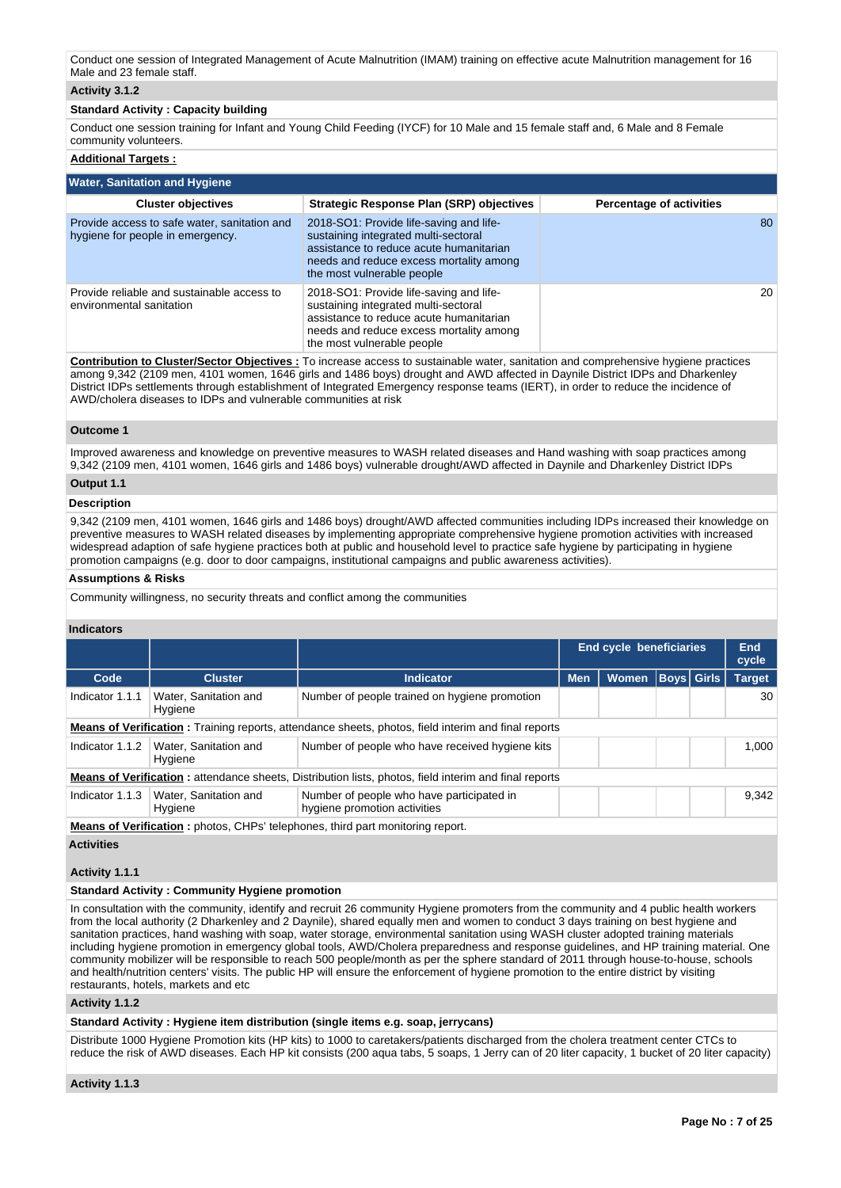## **Activity 3.1.2**

## **Standard Activity : Capacity building**

Conduct one session training for Infant and Young Child Feeding (IYCF) for 10 Male and 15 female staff and, 6 Male and 8 Female community volunteers.

## **Additional Targets :**

| <b>Water, Sanitation and Hygiene</b>                                             |                                                                                                                                                                                                     |                                 |  |  |  |  |  |  |  |  |
|----------------------------------------------------------------------------------|-----------------------------------------------------------------------------------------------------------------------------------------------------------------------------------------------------|---------------------------------|--|--|--|--|--|--|--|--|
| <b>Cluster objectives</b>                                                        | Strategic Response Plan (SRP) objectives                                                                                                                                                            | <b>Percentage of activities</b> |  |  |  |  |  |  |  |  |
| Provide access to safe water, sanitation and<br>hygiene for people in emergency. | 2018-SO1: Provide life-saving and life-<br>sustaining integrated multi-sectoral<br>assistance to reduce acute humanitarian<br>needs and reduce excess mortality among<br>the most vulnerable people | 80                              |  |  |  |  |  |  |  |  |
| Provide reliable and sustainable access to<br>environmental sanitation           | 2018-SO1: Provide life-saving and life-<br>sustaining integrated multi-sectoral<br>assistance to reduce acute humanitarian<br>needs and reduce excess mortality among<br>the most vulnerable people | 20                              |  |  |  |  |  |  |  |  |

**Contribution to Cluster/Sector Objectives :** To increase access to sustainable water, sanitation and comprehensive hygiene practices among 9,342 (2109 men, 4101 women, 1646 girls and 1486 boys) drought and AWD affected in Daynile District IDPs and Dharkenley District IDPs settlements through establishment of Integrated Emergency response teams (IERT), in order to reduce the incidence of AWD/cholera diseases to IDPs and vulnerable communities at risk

#### **Outcome 1**

Improved awareness and knowledge on preventive measures to WASH related diseases and Hand washing with soap practices among 9,342 (2109 men, 4101 women, 1646 girls and 1486 boys) vulnerable drought/AWD affected in Daynile and Dharkenley District IDPs

## **Output 1.1**

## **Description**

9,342 (2109 men, 4101 women, 1646 girls and 1486 boys) drought/AWD affected communities including IDPs increased their knowledge on preventive measures to WASH related diseases by implementing appropriate comprehensive hygiene promotion activities with increased widespread adaption of safe hygiene practices both at public and household level to practice safe hygiene by participating in hygiene promotion campaigns (e.g. door to door campaigns, institutional campaigns and public awareness activities).

#### **Assumptions & Risks**

Community willingness, no security threats and conflict among the communities

#### **Indicators**

|                 |                                                                                |                                                                                                              | <b>End cycle beneficiaries</b> |              |  | <b>End</b><br>cycle |               |  |  |  |
|-----------------|--------------------------------------------------------------------------------|--------------------------------------------------------------------------------------------------------------|--------------------------------|--------------|--|---------------------|---------------|--|--|--|
| Code            | <b>Cluster</b>                                                                 | Indicator                                                                                                    | <b>Men</b>                     | <b>Women</b> |  | Boys  Girls         | <b>Target</b> |  |  |  |
| Indicator 1.1.1 | Water, Sanitation and<br>Hygiene                                               | Number of people trained on hygiene promotion                                                                |                                |              |  |                     | 30            |  |  |  |
|                 |                                                                                | <b>Means of Verification:</b> Training reports, attendance sheets, photos, field interim and final reports   |                                |              |  |                     |               |  |  |  |
| Indicator 1.1.2 | Water, Sanitation and<br>Hygiene                                               | Number of people who have received hygiene kits                                                              |                                |              |  |                     | 1.000         |  |  |  |
|                 |                                                                                | <b>Means of Verification:</b> attendance sheets, Distribution lists, photos, field interim and final reports |                                |              |  |                     |               |  |  |  |
| Indicator 1.1.3 | Water, Sanitation and<br>Hygiene                                               | Number of people who have participated in<br>hygiene promotion activities                                    |                                |              |  |                     | 9.342         |  |  |  |
|                 | Means of Verification: photos, CHPs' telephones, third part monitoring report. |                                                                                                              |                                |              |  |                     |               |  |  |  |

**Activities**

## **Activity 1.1.1**

## **Standard Activity : Community Hygiene promotion**

In consultation with the community, identify and recruit 26 community Hygiene promoters from the community and 4 public health workers from the local authority (2 Dharkenley and 2 Daynile), shared equally men and women to conduct 3 days training on best hygiene and sanitation practices, hand washing with soap, water storage, environmental sanitation using WASH cluster adopted training materials including hygiene promotion in emergency global tools, AWD/Cholera preparedness and response guidelines, and HP training material. One community mobilizer will be responsible to reach 500 people/month as per the sphere standard of 2011 through house-to-house, schools and health/nutrition centers' visits. The public HP will ensure the enforcement of hygiene promotion to the entire district by visiting restaurants, hotels, markets and etc

**Activity 1.1.2** 

**Standard Activity : Hygiene item distribution (single items e.g. soap, jerrycans)**

Distribute 1000 Hygiene Promotion kits (HP kits) to 1000 to caretakers/patients discharged from the cholera treatment center CTCs to reduce the risk of AWD diseases. Each HP kit consists (200 aqua tabs, 5 soaps, 1 Jerry can of 20 liter capacity, 1 bucket of 20 liter capacity)

**Activity 1.1.3**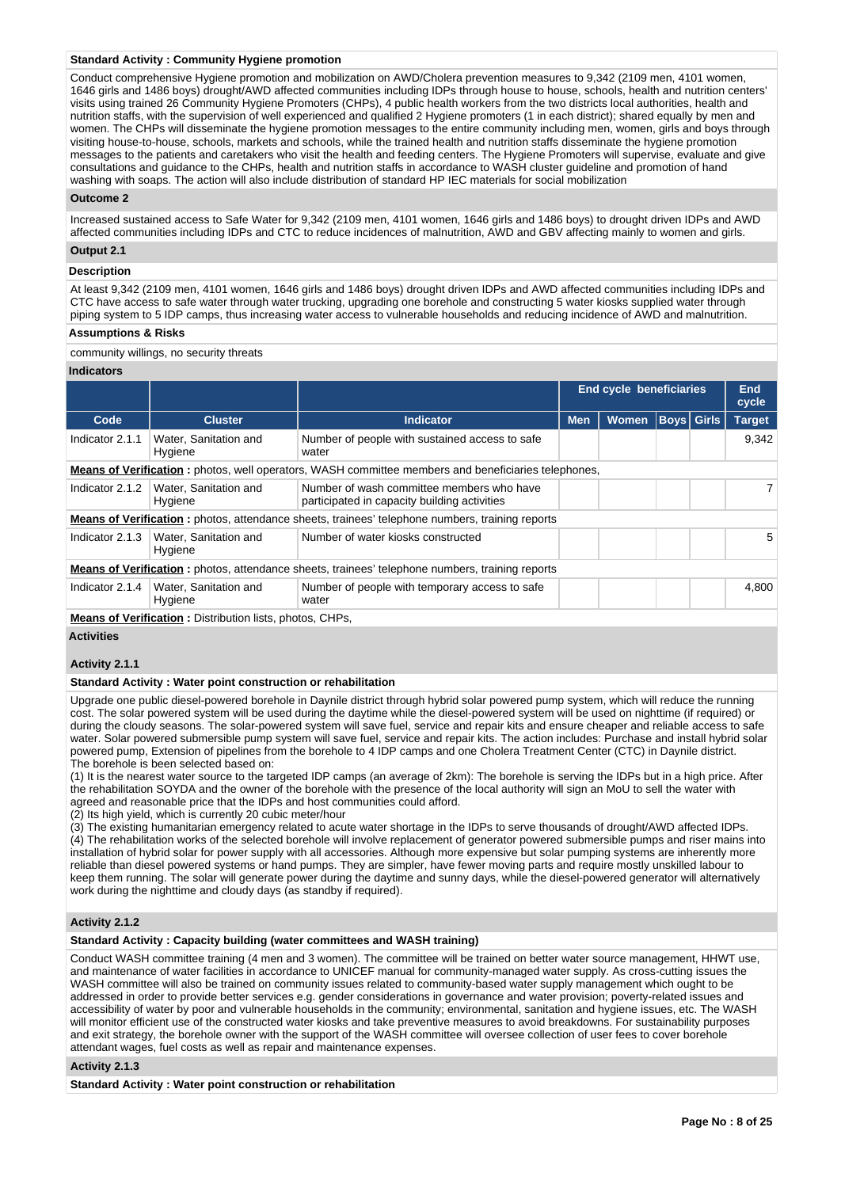#### **Standard Activity : Community Hygiene promotion**

Conduct comprehensive Hygiene promotion and mobilization on AWD/Cholera prevention measures to 9,342 (2109 men, 4101 women, 1646 girls and 1486 boys) drought/AWD affected communities including IDPs through house to house, schools, health and nutrition centers' visits using trained 26 Community Hygiene Promoters (CHPs), 4 public health workers from the two districts local authorities, health and nutrition staffs, with the supervision of well experienced and qualified 2 Hygiene promoters (1 in each district); shared equally by men and women. The CHPs will disseminate the hygiene promotion messages to the entire community including men, women, girls and boys through visiting house-to-house, schools, markets and schools, while the trained health and nutrition staffs disseminate the hygiene promotion messages to the patients and caretakers who visit the health and feeding centers. The Hygiene Promoters will supervise, evaluate and give consultations and guidance to the CHPs, health and nutrition staffs in accordance to WASH cluster guideline and promotion of hand washing with soaps. The action will also include distribution of standard HP IEC materials for social mobilization

### **Outcome 2**

Increased sustained access to Safe Water for 9,342 (2109 men, 4101 women, 1646 girls and 1486 boys) to drought driven IDPs and AWD affected communities including IDPs and CTC to reduce incidences of malnutrition, AWD and GBV affecting mainly to women and girls.

# **Output 2.1**

# **Description**

At least 9,342 (2109 men, 4101 women, 1646 girls and 1486 boys) drought driven IDPs and AWD affected communities including IDPs and CTC have access to safe water through water trucking, upgrading one borehole and constructing 5 water kiosks supplied water through piping system to 5 IDP camps, thus increasing water access to vulnerable households and reducing incidence of AWD and malnutrition.

#### **Assumptions & Risks**

community willings, no security threats

#### **Indicators**

|                 |                                                               |                                                                                                            |            | <b>End cycle beneficiaries</b> |  |                   | End<br>cycle  |
|-----------------|---------------------------------------------------------------|------------------------------------------------------------------------------------------------------------|------------|--------------------------------|--|-------------------|---------------|
| Code            | <b>Cluster</b>                                                | <b>Indicator</b>                                                                                           | <b>Men</b> | <b>Women</b>                   |  | <b>Boys Girls</b> | <b>Target</b> |
| Indicator 2.1.1 | Water, Sanitation and<br>Hygiene                              | Number of people with sustained access to safe<br>water                                                    |            |                                |  |                   | 9.342         |
|                 |                                                               | <b>Means of Verification:</b> photos, well operators, WASH committee members and beneficiaries telephones, |            |                                |  |                   |               |
| Indicator 2.1.2 | Water, Sanitation and<br>Hygiene                              | Number of wash committee members who have<br>participated in capacity building activities                  |            |                                |  |                   | 7             |
|                 |                                                               | <b>Means of Verification:</b> photos, attendance sheets, trainees' telephone numbers, training reports     |            |                                |  |                   |               |
| Indicator 2.1.3 | Water, Sanitation and<br>Hygiene                              | Number of water kiosks constructed                                                                         |            |                                |  |                   | 5.            |
|                 |                                                               | <b>Means of Verification:</b> photos, attendance sheets, trainees' telephone numbers, training reports     |            |                                |  |                   |               |
| Indicator 2.1.4 | Water, Sanitation and<br>Hygiene                              | Number of people with temporary access to safe<br>water                                                    |            |                                |  |                   | 4,800         |
|                 | March of Martin attack in Distribution Party of an an Old Day |                                                                                                            |            |                                |  |                   |               |

**Means of Verification :** Distribution lists, photos, CHPs,

## **Activities**

#### **Activity 2.1.1**

#### **Standard Activity : Water point construction or rehabilitation**

Upgrade one public diesel-powered borehole in Daynile district through hybrid solar powered pump system, which will reduce the running cost. The solar powered system will be used during the daytime while the diesel-powered system will be used on nighttime (if required) or during the cloudy seasons. The solar-powered system will save fuel, service and repair kits and ensure cheaper and reliable access to safe water. Solar powered submersible pump system will save fuel, service and repair kits. The action includes: Purchase and install hybrid solar powered pump, Extension of pipelines from the borehole to 4 IDP camps and one Cholera Treatment Center (CTC) in Daynile district. The borehole is been selected based on:

(1) It is the nearest water source to the targeted IDP camps (an average of 2km): The borehole is serving the IDPs but in a high price. After the rehabilitation SOYDA and the owner of the borehole with the presence of the local authority will sign an MoU to sell the water with agreed and reasonable price that the IDPs and host communities could afford.

(2) Its high yield, which is currently 20 cubic meter/hour

(3) The existing humanitarian emergency related to acute water shortage in the IDPs to serve thousands of drought/AWD affected IDPs. (4) The rehabilitation works of the selected borehole will involve replacement of generator powered submersible pumps and riser mains into installation of hybrid solar for power supply with all accessories. Although more expensive but solar pumping systems are inherently more reliable than diesel powered systems or hand pumps. They are simpler, have fewer moving parts and require mostly unskilled labour to keep them running. The solar will generate power during the daytime and sunny days, while the diesel-powered generator will alternatively work during the nighttime and cloudy days (as standby if required).

## **Activity 2.1.2**

#### **Standard Activity : Capacity building (water committees and WASH training)**

Conduct WASH committee training (4 men and 3 women). The committee will be trained on better water source management, HHWT use, and maintenance of water facilities in accordance to UNICEF manual for community-managed water supply. As cross-cutting issues the WASH committee will also be trained on community issues related to community-based water supply management which ought to be addressed in order to provide better services e.g. gender considerations in governance and water provision; poverty-related issues and accessibility of water by poor and vulnerable households in the community; environmental, sanitation and hygiene issues, etc. The WASH will monitor efficient use of the constructed water kiosks and take preventive measures to avoid breakdowns. For sustainability purposes and exit strategy, the borehole owner with the support of the WASH committee will oversee collection of user fees to cover borehole attendant wages, fuel costs as well as repair and maintenance expenses.

#### **Activity 2.1.3**

**Standard Activity : Water point construction or rehabilitation**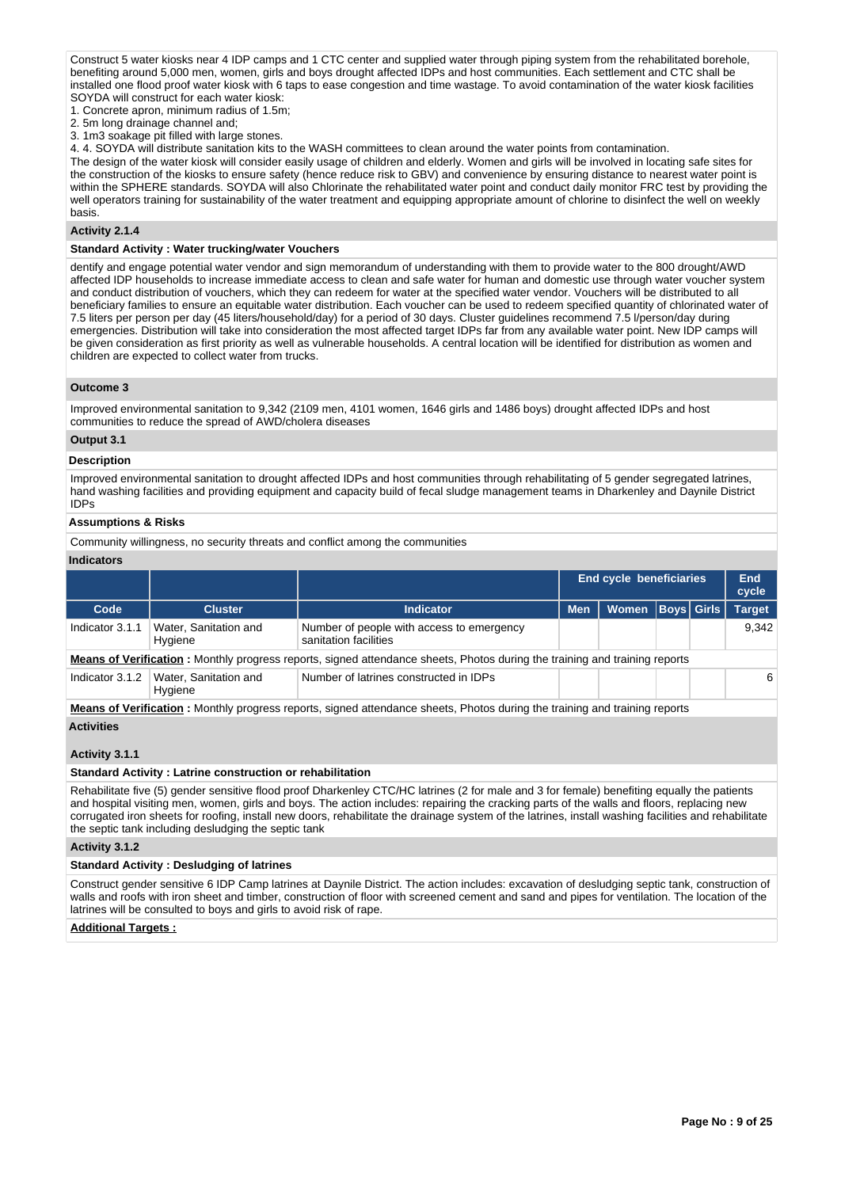Construct 5 water kiosks near 4 IDP camps and 1 CTC center and supplied water through piping system from the rehabilitated borehole, benefiting around 5,000 men, women, girls and boys drought affected IDPs and host communities. Each settlement and CTC shall be installed one flood proof water kiosk with 6 taps to ease congestion and time wastage. To avoid contamination of the water kiosk facilities SOYDA will construct for each water kiosk:

1. Concrete apron, minimum radius of 1.5m;

2. 5m long drainage channel and;

3. 1m3 soakage pit filled with large stones.

4. 4. SOYDA will distribute sanitation kits to the WASH committees to clean around the water points from contamination.

The design of the water kiosk will consider easily usage of children and elderly. Women and girls will be involved in locating safe sites for the construction of the kiosks to ensure safety (hence reduce risk to GBV) and convenience by ensuring distance to nearest water point is within the SPHERE standards. SOYDA will also Chlorinate the rehabilitated water point and conduct daily monitor FRC test by providing the well operators training for sustainability of the water treatment and equipping appropriate amount of chlorine to disinfect the well on weekly basis.

## **Activity 2.1.4**

#### **Standard Activity : Water trucking/water Vouchers**

dentify and engage potential water vendor and sign memorandum of understanding with them to provide water to the 800 drought/AWD affected IDP households to increase immediate access to clean and safe water for human and domestic use through water voucher system and conduct distribution of vouchers, which they can redeem for water at the specified water vendor. Vouchers will be distributed to all beneficiary families to ensure an equitable water distribution. Each voucher can be used to redeem specified quantity of chlorinated water of 7.5 liters per person per day (45 liters/household/day) for a period of 30 days. Cluster guidelines recommend 7.5 l/person/day during emergencies. Distribution will take into consideration the most affected target IDPs far from any available water point. New IDP camps will be given consideration as first priority as well as vulnerable households. A central location will be identified for distribution as women and children are expected to collect water from trucks.

#### **Outcome 3**

Improved environmental sanitation to 9,342 (2109 men, 4101 women, 1646 girls and 1486 boys) drought affected IDPs and host communities to reduce the spread of AWD/cholera diseases

## **Output 3.1**

#### **Description**

Improved environmental sanitation to drought affected IDPs and host communities through rehabilitating of 5 gender segregated latrines, hand washing facilities and providing equipment and capacity build of fecal sludge management teams in Dharkenley and Daynile District IDPs

#### **Assumptions & Risks**

Community willingness, no security threats and conflict among the communities

#### **Indicators**

|                 |                                  |                                                                                                                                    | <b>End cycle beneficiaries</b> |       |  | End<br>cycle      |               |
|-----------------|----------------------------------|------------------------------------------------------------------------------------------------------------------------------------|--------------------------------|-------|--|-------------------|---------------|
| Code            | <b>Cluster</b>                   | <b>Indicator</b>                                                                                                                   | <b>Men</b>                     | Women |  | <b>Boys Girls</b> | <b>Target</b> |
| Indicator 3.1.1 | Water, Sanitation and<br>Hygiene | Number of people with access to emergency<br>sanitation facilities                                                                 |                                |       |  |                   | 9.342         |
|                 |                                  | <b>Means of Verification</b> : Monthly progress reports, signed attendance sheets, Photos during the training and training reports |                                |       |  |                   |               |
| Indicator 3.1.2 | Water, Sanitation and<br>Hygiene | Number of latrines constructed in IDPs                                                                                             |                                |       |  |                   | 6             |
|                 |                                  |                                                                                                                                    |                                |       |  |                   |               |

**Means of Verification :** Monthly progress reports, signed attendance sheets, Photos during the training and training reports **Activities**

## **Activity 3.1.1**

#### **Standard Activity : Latrine construction or rehabilitation**

Rehabilitate five (5) gender sensitive flood proof Dharkenley CTC/HC latrines (2 for male and 3 for female) benefiting equally the patients and hospital visiting men, women, girls and boys. The action includes: repairing the cracking parts of the walls and floors, replacing new corrugated iron sheets for roofing, install new doors, rehabilitate the drainage system of the latrines, install washing facilities and rehabilitate the septic tank including desludging the septic tank

#### **Activity 3.1.2**

#### **Standard Activity : Desludging of latrines**

Construct gender sensitive 6 IDP Camp latrines at Daynile District. The action includes: excavation of desludging septic tank, construction of walls and roofs with iron sheet and timber, construction of floor with screened cement and sand and pipes for ventilation. The location of the latrines will be consulted to boys and girls to avoid risk of rape.

#### **Additional Targets :**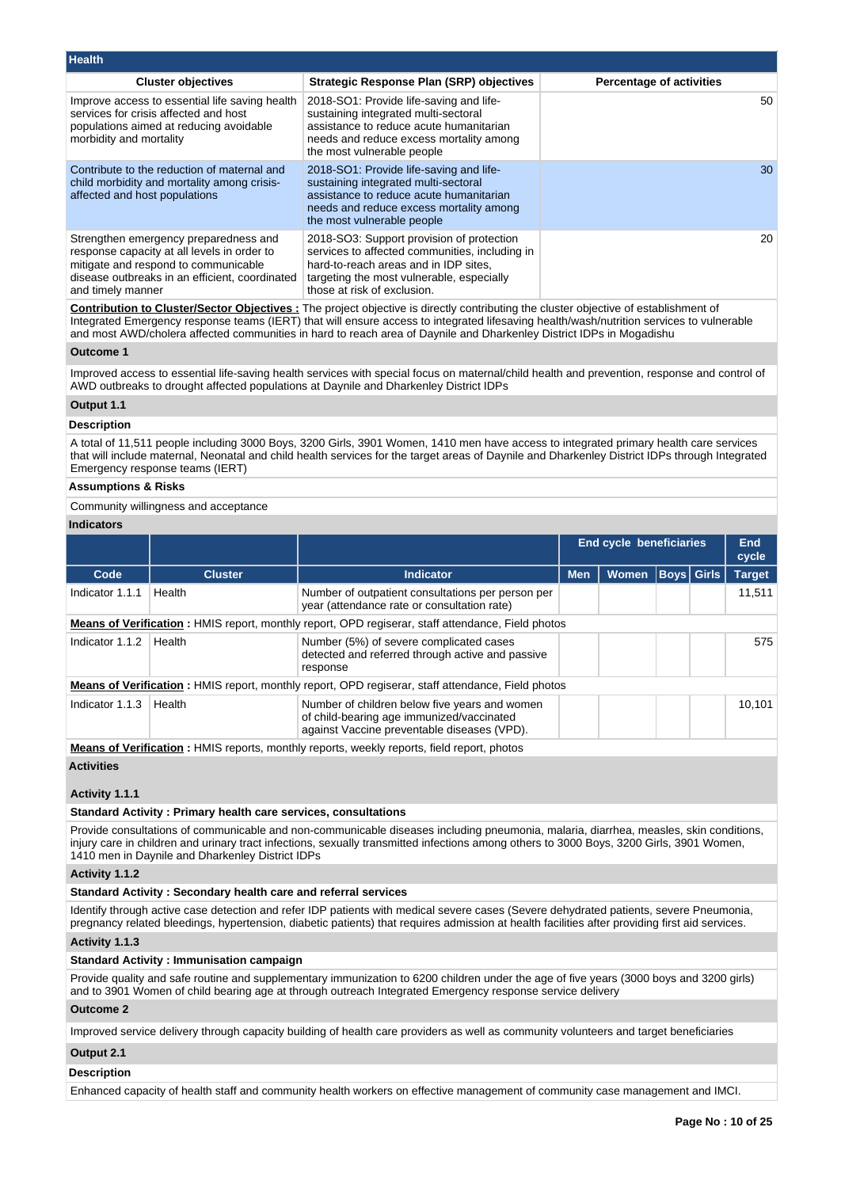| <b>Health</b>                                                                                                                                                                                       |                                                                                                                                                                                                                  |                                 |
|-----------------------------------------------------------------------------------------------------------------------------------------------------------------------------------------------------|------------------------------------------------------------------------------------------------------------------------------------------------------------------------------------------------------------------|---------------------------------|
| <b>Cluster objectives</b>                                                                                                                                                                           | <b>Strategic Response Plan (SRP) objectives</b>                                                                                                                                                                  | <b>Percentage of activities</b> |
| Improve access to essential life saving health<br>services for crisis affected and host<br>populations aimed at reducing avoidable<br>morbidity and mortality                                       | 2018-SO1: Provide life-saving and life-<br>sustaining integrated multi-sectoral<br>assistance to reduce acute humanitarian<br>needs and reduce excess mortality among<br>the most vulnerable people              | 50                              |
| Contribute to the reduction of maternal and<br>child morbidity and mortality among crisis-<br>affected and host populations                                                                         | 2018-SO1: Provide life-saving and life-<br>sustaining integrated multi-sectoral<br>assistance to reduce acute humanitarian<br>needs and reduce excess mortality among<br>the most vulnerable people              | 30                              |
| Strengthen emergency preparedness and<br>response capacity at all levels in order to<br>mitigate and respond to communicable<br>disease outbreaks in an efficient, coordinated<br>and timely manner | 2018-SO3: Support provision of protection<br>services to affected communities, including in<br>hard-to-reach areas and in IDP sites.<br>targeting the most vulnerable, especially<br>those at risk of exclusion. | 20                              |

**Contribution to Cluster/Sector Objectives :** The project objective is directly contributing the cluster objective of establishment of Integrated Emergency response teams (IERT) that will ensure access to integrated lifesaving health/wash/nutrition services to vulnerable and most AWD/cholera affected communities in hard to reach area of Daynile and Dharkenley District IDPs in Mogadishu

#### **Outcome 1**

Improved access to essential life-saving health services with special focus on maternal/child health and prevention, response and control of AWD outbreaks to drought affected populations at Daynile and Dharkenley District IDPs

## **Output 1.1**

#### **Description**

A total of 11,511 people including 3000 Boys, 3200 Girls, 3901 Women, 1410 men have access to integrated primary health care services that will include maternal, Neonatal and child health services for the target areas of Daynile and Dharkenley District IDPs through Integrated Emergency response teams (IERT)

## **Assumptions & Risks**

Community willingness and acceptance

## **Indicators**

|                 |                |                                                                                                                                           |            | <b>End cycle beneficiaries</b> | <b>End</b><br>cycle |               |
|-----------------|----------------|-------------------------------------------------------------------------------------------------------------------------------------------|------------|--------------------------------|---------------------|---------------|
| Code            | <b>Cluster</b> | <b>Indicator</b>                                                                                                                          | <b>Men</b> | <b>Women</b>                   | <b>Boys Girls</b>   | <b>Target</b> |
| Indicator 1.1.1 | Health         | Number of outpatient consultations per person per<br>year (attendance rate or consultation rate)                                          |            |                                |                     | 11,511        |
|                 |                | <b>Means of Verification:</b> HMIS report, monthly report, OPD regiserar, staff attendance, Field photos                                  |            |                                |                     |               |
| Indicator 1.1.2 | Health         | Number (5%) of severe complicated cases<br>detected and referred through active and passive<br>response                                   |            |                                |                     | 575           |
|                 |                | <b>Means of Verification:</b> HMIS report, monthly report, OPD regiserar, staff attendance, Field photos                                  |            |                                |                     |               |
| Indicator 1.1.3 | Health         | Number of children below five years and women<br>of child-bearing age immunized/vaccinated<br>against Vaccine preventable diseases (VPD). |            |                                |                     | 10,101        |

**Means of Verification :** HMIS reports, monthly reports, weekly reports, field report, photos

## **Activities**

## **Activity 1.1.1**

## **Standard Activity : Primary health care services, consultations**

Provide consultations of communicable and non-communicable diseases including pneumonia, malaria, diarrhea, measles, skin conditions, injury care in children and urinary tract infections, sexually transmitted infections among others to 3000 Boys, 3200 Girls, 3901 Women, 1410 men in Daynile and Dharkenley District IDPs

#### **Activity 1.1.2**

## **Standard Activity : Secondary health care and referral services**

Identify through active case detection and refer IDP patients with medical severe cases (Severe dehydrated patients, severe Pneumonia, pregnancy related bleedings, hypertension, diabetic patients) that requires admission at health facilities after providing first aid services.

**Activity 1.1.3** 

## **Standard Activity : Immunisation campaign**

Provide quality and safe routine and supplementary immunization to 6200 children under the age of five years (3000 boys and 3200 girls) and to 3901 Women of child bearing age at through outreach Integrated Emergency response service delivery

#### **Outcome 2**

Improved service delivery through capacity building of health care providers as well as community volunteers and target beneficiaries

## **Output 2.1**

#### **Description**

Enhanced capacity of health staff and community health workers on effective management of community case management and IMCI.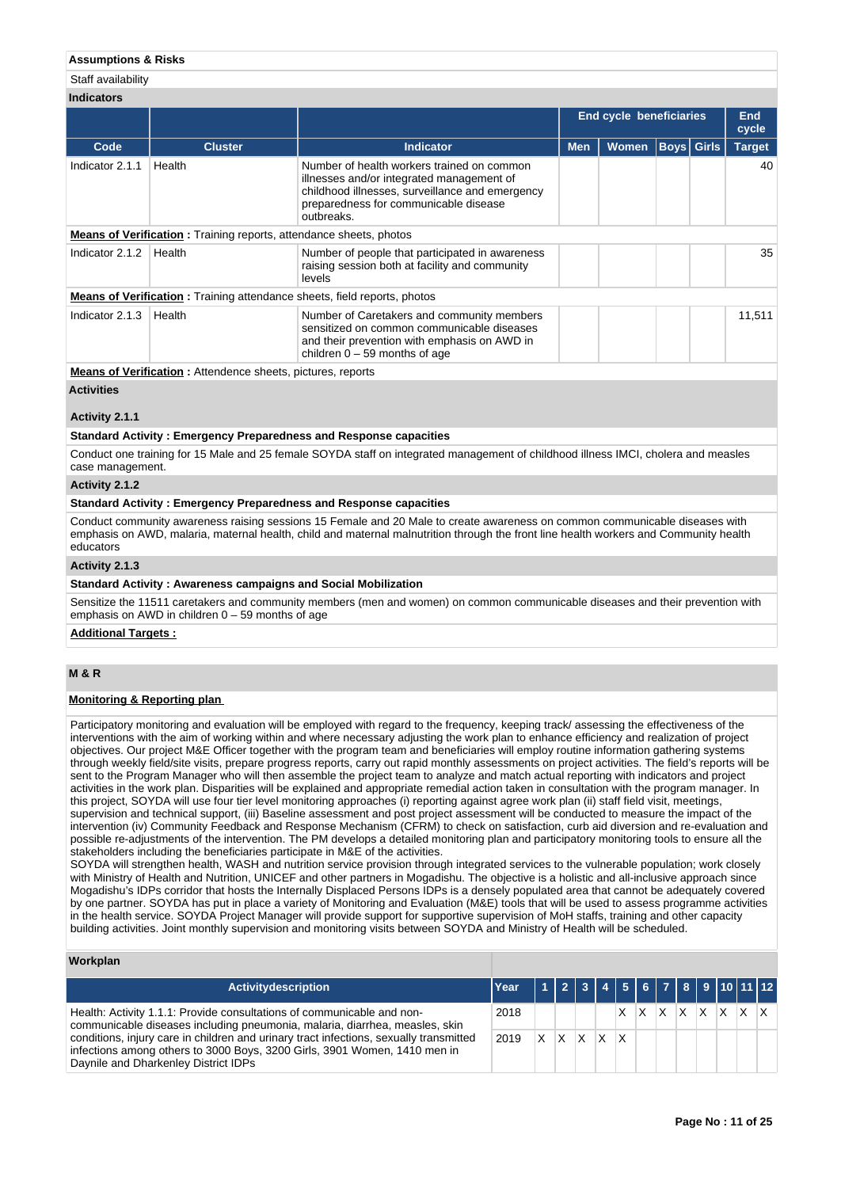## **Assumptions & Risks**

#### Staff availability

| <b>Indicators</b> |                                                                                 |                                                                                                                                                                                                   |            |                                |               |  |              |
|-------------------|---------------------------------------------------------------------------------|---------------------------------------------------------------------------------------------------------------------------------------------------------------------------------------------------|------------|--------------------------------|---------------|--|--------------|
|                   |                                                                                 |                                                                                                                                                                                                   |            | <b>End cycle beneficiaries</b> |               |  | End<br>cycle |
| Code              | <b>Cluster</b>                                                                  | <b>Indicator</b>                                                                                                                                                                                  | <b>Men</b> | Boys  Girls                    | <b>Target</b> |  |              |
| Indicator 2.1.1   | Health                                                                          | Number of health workers trained on common<br>illnesses and/or integrated management of<br>childhood illnesses, surveillance and emergency<br>preparedness for communicable disease<br>outbreaks. |            |                                |               |  | 40           |
|                   | <b>Means of Verification:</b> Training reports, attendance sheets, photos       |                                                                                                                                                                                                   |            |                                |               |  |              |
| Indicator 2.1.2   | Health                                                                          | Number of people that participated in awareness<br>raising session both at facility and community<br>levels                                                                                       |            |                                |               |  | 35           |
|                   | <b>Means of Verification:</b> Training attendance sheets, field reports, photos |                                                                                                                                                                                                   |            |                                |               |  |              |
| Indicator 2.1.3   | Health                                                                          | Number of Caretakers and community members<br>sensitized on common communicable diseases<br>and their prevention with emphasis on AWD in<br>children $0 - 59$ months of age                       |            |                                |               |  | 11,511       |
|                   | Adama af Martflachtar – Anna der en als en afstruer – reserve                   |                                                                                                                                                                                                   |            |                                |               |  |              |

**Means of Verification :** Attendence sheets, pictures, reports

#### **Activities**

## **Activity 2.1.1**

#### **Standard Activity : Emergency Preparedness and Response capacities**

Conduct one training for 15 Male and 25 female SOYDA staff on integrated management of childhood illness IMCI, cholera and measles case management.

#### **Activity 2.1.2**

## **Standard Activity : Emergency Preparedness and Response capacities**

Conduct community awareness raising sessions 15 Female and 20 Male to create awareness on common communicable diseases with emphasis on AWD, malaria, maternal health, child and maternal malnutrition through the front line health workers and Community health educators

#### **Activity 2.1.3**

#### **Standard Activity : Awareness campaigns and Social Mobilization**

Sensitize the 11511 caretakers and community members (men and women) on common communicable diseases and their prevention with emphasis on AWD in children  $0 - 59$  months of age

#### **Additional Targets :**

## **M & R**

## **Monitoring & Reporting plan**

Participatory monitoring and evaluation will be employed with regard to the frequency, keeping track/ assessing the effectiveness of the interventions with the aim of working within and where necessary adjusting the work plan to enhance efficiency and realization of project objectives. Our project M&E Officer together with the program team and beneficiaries will employ routine information gathering systems through weekly field/site visits, prepare progress reports, carry out rapid monthly assessments on project activities. The field's reports will be sent to the Program Manager who will then assemble the project team to analyze and match actual reporting with indicators and project activities in the work plan. Disparities will be explained and appropriate remedial action taken in consultation with the program manager. In this project, SOYDA will use four tier level monitoring approaches (i) reporting against agree work plan (ii) staff field visit, meetings, supervision and technical support, (iii) Baseline assessment and post project assessment will be conducted to measure the impact of the intervention (iv) Community Feedback and Response Mechanism (CFRM) to check on satisfaction, curb aid diversion and re-evaluation and possible re-adjustments of the intervention. The PM develops a detailed monitoring plan and participatory monitoring tools to ensure all the stakeholders including the beneficiaries participate in M&E of the activities.

SOYDA will strengthen health, WASH and nutrition service provision through integrated services to the vulnerable population; work closely with Ministry of Health and Nutrition, UNICEF and other partners in Mogadishu. The objective is a holistic and all-inclusive approach since Mogadishu's IDPs corridor that hosts the Internally Displaced Persons IDPs is a densely populated area that cannot be adequately covered by one partner. SOYDA has put in place a variety of Monitoring and Evaluation (M&E) tools that will be used to assess programme activities in the health service. SOYDA Project Manager will provide support for supportive supervision of MoH staffs, training and other capacity building activities. Joint monthly supervision and monitoring visits between SOYDA and Ministry of Health will be scheduled.

#### **Workplan**

| <b>Activitydescription</b>                                                                                                                                                                                                                                                                 | <b>Year</b> |          |              |    | 112344567891011112 |   |                               |  |  |  |
|--------------------------------------------------------------------------------------------------------------------------------------------------------------------------------------------------------------------------------------------------------------------------------------------|-------------|----------|--------------|----|--------------------|---|-------------------------------|--|--|--|
| Health: Activity 1.1.1: Provide consultations of communicable and non-                                                                                                                                                                                                                     | 2018        |          |              |    |                    | X | $ X $ $ X $ $ X $ $ X $ $ X $ |  |  |  |
| communicable diseases including pneumonia, malaria, diarrhea, measles, skin<br>conditions, injury care in children and urinary tract infections, sexually transmitted<br>infections among others to 3000 Boys, 3200 Girls, 3901 Women, 1410 men in<br>Daynile and Dharkenley District IDPs | 2019        | $\times$ | $\mathsf{X}$ | X. | <b>X</b>           | x |                               |  |  |  |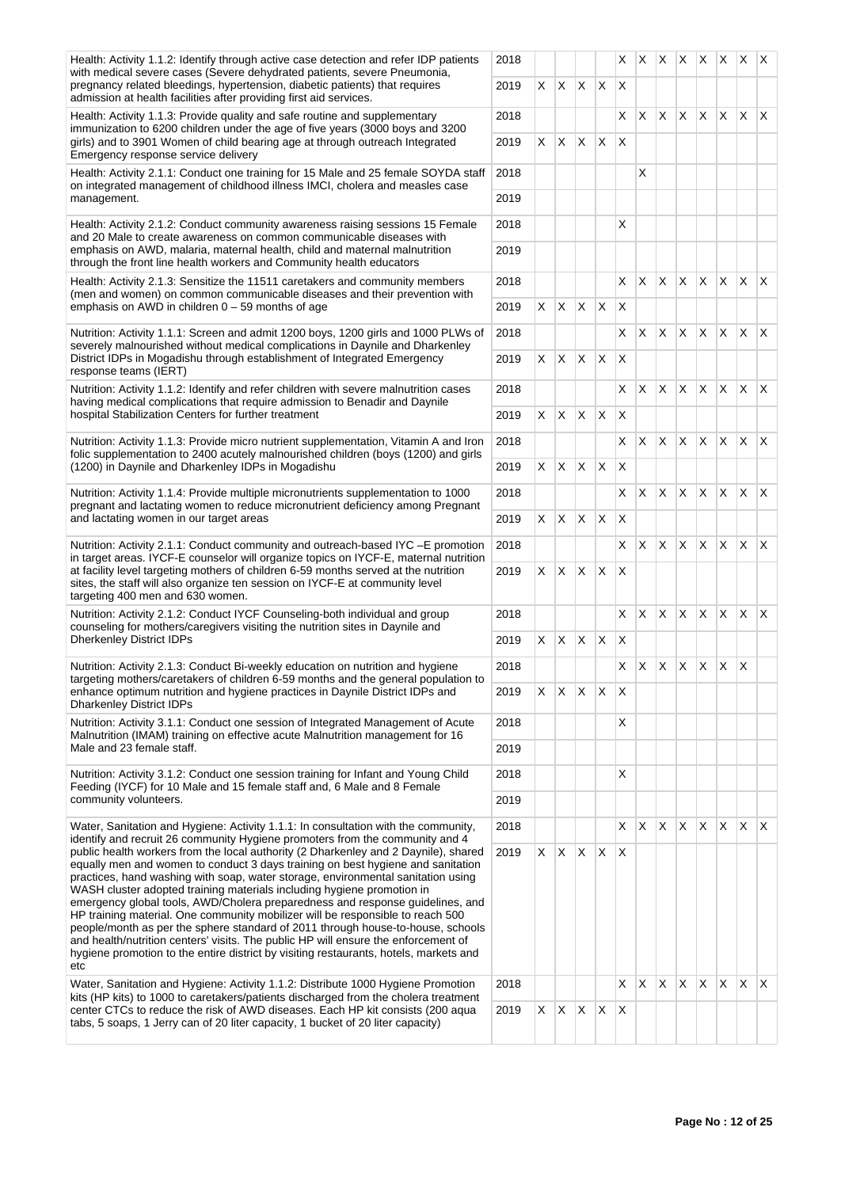| Health: Activity 1.1.2: Identify through active case detection and refer IDP patients<br>with medical severe cases (Severe dehydrated patients, severe Pneumonia,                                       | 2018 |    |                          |              |              | X.                      |          |              |              |              |              | $ X $ $ X $ $ X $ $ X $ $ X $ |              |
|---------------------------------------------------------------------------------------------------------------------------------------------------------------------------------------------------------|------|----|--------------------------|--------------|--------------|-------------------------|----------|--------------|--------------|--------------|--------------|-------------------------------|--------------|
| pregnancy related bleedings, hypertension, diabetic patients) that requires<br>admission at health facilities after providing first aid services.                                                       | 2019 | X. | $X \times X$             |              |              | <b>X</b>                |          |              |              |              |              |                               |              |
| Health: Activity 1.1.3: Provide quality and safe routine and supplementary<br>immunization to 6200 children under the age of five years (3000 boys and 3200                                             | 2018 |    |                          |              |              | X                       | X        | X            | X X          |              |              | $X \mid X \mid X$             |              |
| girls) and to 3901 Women of child bearing age at through outreach Integrated<br>Emergency response service delivery                                                                                     | 2019 | X. | X.                       | $\mathsf{X}$ | X            | $\times$                |          |              |              |              |              |                               |              |
| Health: Activity 2.1.1: Conduct one training for 15 Male and 25 female SOYDA staff<br>on integrated management of childhood illness IMCI, cholera and measles case                                      | 2018 |    |                          |              |              |                         | X        |              |              |              |              |                               |              |
| management.                                                                                                                                                                                             | 2019 |    |                          |              |              |                         |          |              |              |              |              |                               |              |
| Health: Activity 2.1.2: Conduct community awareness raising sessions 15 Female<br>and 20 Male to create awareness on common communicable diseases with                                                  | 2018 |    |                          |              |              | Х                       |          |              |              |              |              |                               |              |
| emphasis on AWD, malaria, maternal health, child and maternal malnutrition<br>through the front line health workers and Community health educators                                                      | 2019 |    |                          |              |              |                         |          |              |              |              |              |                               |              |
| Health: Activity 2.1.3: Sensitize the 11511 caretakers and community members<br>(men and women) on common communicable diseases and their prevention with                                               | 2018 |    |                          |              |              | X                       | ΙX.      |              | XXX          |              | ΙX.          | $\mathsf{X} \mathsf{X}$       |              |
| emphasis on AWD in children $0 - 59$ months of age                                                                                                                                                      | 2019 | X. | X.                       | $\mathsf{X}$ | $\mathsf{X}$ | X                       |          |              |              |              |              |                               |              |
| Nutrition: Activity 1.1.1: Screen and admit 1200 boys, 1200 girls and 1000 PLWs of<br>severely malnourished without medical complications in Daynile and Dharkenley                                     | 2018 |    |                          |              |              | X                       | X        | <b>X</b>     | X            | ΙX.          | ΙX.          | $\mathsf{X}$                  | $\mathsf{X}$ |
| District IDPs in Mogadishu through establishment of Integrated Emergency<br>response teams (IERT)                                                                                                       | 2019 | X. | X                        | X.           | X            | X                       |          |              |              |              |              |                               |              |
| Nutrition: Activity 1.1.2: Identify and refer children with severe malnutrition cases<br>having medical complications that require admission to Benadir and Daynile                                     | 2018 |    |                          |              |              | X                       | $\times$ | IX.          | $X$ $X$      |              |              | $X \mid X \mid X$             |              |
| hospital Stabilization Centers for further treatment                                                                                                                                                    | 2019 | X. | X.                       | $\mathsf{X}$ | $\mathsf{X}$ | $\times$                |          |              |              |              |              |                               |              |
| Nutrition: Activity 1.1.3: Provide micro nutrient supplementation, Vitamin A and Iron<br>folic supplementation to 2400 acutely malnourished children (boys (1200) and girls                             | 2018 |    |                          |              |              | X                       | X.       | $\mathsf{X}$ | $X$ $X$      |              | $\mathsf{X}$ | $\mathsf{X} \mathsf{X}$       |              |
| (1200) in Daynile and Dharkenley IDPs in Mogadishu                                                                                                                                                      | 2019 | X. | $X$ $X$                  |              | $\mathsf{X}$ | X                       |          |              |              |              |              |                               |              |
| Nutrition: Activity 1.1.4: Provide multiple micronutrients supplementation to 1000                                                                                                                      | 2018 |    |                          |              |              | X                       | X        | $\mathsf{X}$ | $X$ $X$      |              |              | $X \times X$                  |              |
| pregnant and lactating women to reduce micronutrient deficiency among Pregnant<br>and lactating women in our target areas                                                                               | 2019 | X. | X.                       | $\mathsf{X}$ | X            | X                       |          |              |              |              |              |                               |              |
| Nutrition: Activity 2.1.1: Conduct community and outreach-based IYC - E promotion<br>in target areas. IYCF-E counselor will organize topics on IYCF-E, maternal nutrition                               | 2018 |    |                          |              |              | X                       | X        | <b>X</b>     | X            | $\mathsf{X}$ | <b>X</b>     | ΙX.                           | $\mathsf{X}$ |
| at facility level targeting mothers of children 6-59 months served at the nutrition<br>sites, the staff will also organize ten session on IYCF-E at community level<br>targeting 400 men and 630 women. | 2019 | X  | X.                       | $\mathsf{X}$ | $\mathsf{X}$ | X                       |          |              |              |              |              |                               |              |
| Nutrition: Activity 2.1.2: Conduct IYCF Counseling-both individual and group<br>counseling for mothers/caregivers visiting the nutrition sites in Daynile and                                           | 2018 |    |                          |              |              | X                       | X        | X.           | X.           | $\mathsf{X}$ | $\mathsf{X}$ | $\mathsf{X}$                  | $\mathsf{X}$ |
| <b>Dherkenley District IDPs</b>                                                                                                                                                                         | 2019 | X. | $X$ $X$                  |              | $\mathsf{X}$ | X                       |          |              |              |              |              |                               |              |
| Nutrition: Activity 2.1.3: Conduct Bi-weekly education on nutrition and hygiene<br>targeting mothers/caretakers of children 6-59 months and the general population to                                   | 2018 |    |                          |              |              | X                       | X.       | $\mathsf{X}$ | $\mathsf{X}$ | IX.          | $\mathsf{X}$ | $\mathsf{X}$                  |              |
| enhance optimum nutrition and hygiene practices in Daynile District IDPs and<br><b>Dharkenley District IDPs</b>                                                                                         | 2019 |    | $X \mid X \mid X \mid X$ |              |              | $\mathsf{I} \mathsf{X}$ |          |              |              |              |              |                               |              |
| Nutrition: Activity 3.1.1: Conduct one session of Integrated Management of Acute<br>Malnutrition (IMAM) training on effective acute Malnutrition management for 16                                      | 2018 |    |                          |              |              | Χ                       |          |              |              |              |              |                               |              |
| Male and 23 female staff.                                                                                                                                                                               | 2019 |    |                          |              |              |                         |          |              |              |              |              |                               |              |
| Nutrition: Activity 3.1.2: Conduct one session training for Infant and Young Child<br>Feeding (IYCF) for 10 Male and 15 female staff and, 6 Male and 8 Female                                           | 2018 |    |                          |              |              | х                       |          |              |              |              |              |                               |              |
| community volunteers.                                                                                                                                                                                   | 2019 |    |                          |              |              |                         |          |              |              |              |              |                               |              |
| Water, Sanitation and Hygiene: Activity 1.1.1: In consultation with the community,<br>identify and recruit 26 community Hygiene promoters from the community and 4                                      | 2018 |    |                          |              |              | Χ                       | X        | IX.          | X.           | X            | X            | $\mathsf{X}$                  | $\mathsf{X}$ |
| public health workers from the local authority (2 Dharkenley and 2 Daynile), shared<br>equally men and women to conduct 3 days training on best hygiene and sanitation                                  | 2019 | X. | $X \mid X \mid X$        |              |              | ΙX                      |          |              |              |              |              |                               |              |
| practices, hand washing with soap, water storage, environmental sanitation using<br>WASH cluster adopted training materials including hygiene promotion in                                              |      |    |                          |              |              |                         |          |              |              |              |              |                               |              |
| emergency global tools, AWD/Cholera preparedness and response guidelines, and<br>HP training material. One community mobilizer will be responsible to reach 500                                         |      |    |                          |              |              |                         |          |              |              |              |              |                               |              |
| people/month as per the sphere standard of 2011 through house-to-house, schools                                                                                                                         |      |    |                          |              |              |                         |          |              |              |              |              |                               |              |
| and health/nutrition centers' visits. The public HP will ensure the enforcement of<br>hygiene promotion to the entire district by visiting restaurants, hotels, markets and<br>etc                      |      |    |                          |              |              |                         |          |              |              |              |              |                               |              |
| Water, Sanitation and Hygiene: Activity 1.1.2: Distribute 1000 Hygiene Promotion                                                                                                                        | 2018 |    |                          |              |              | X                       | X        | IX.          | $X$ $X$      |              | $\mathsf{X}$ | $\mathsf{X}$                  | $\mathsf{X}$ |
| kits (HP kits) to 1000 to caretakers/patients discharged from the cholera treatment<br>center CTCs to reduce the risk of AWD diseases. Each HP kit consists (200 aqua                                   | 2019 | X. | X                        | X            | X            | X                       |          |              |              |              |              |                               |              |
| tabs, 5 soaps, 1 Jerry can of 20 liter capacity, 1 bucket of 20 liter capacity)                                                                                                                         |      |    |                          |              |              |                         |          |              |              |              |              |                               |              |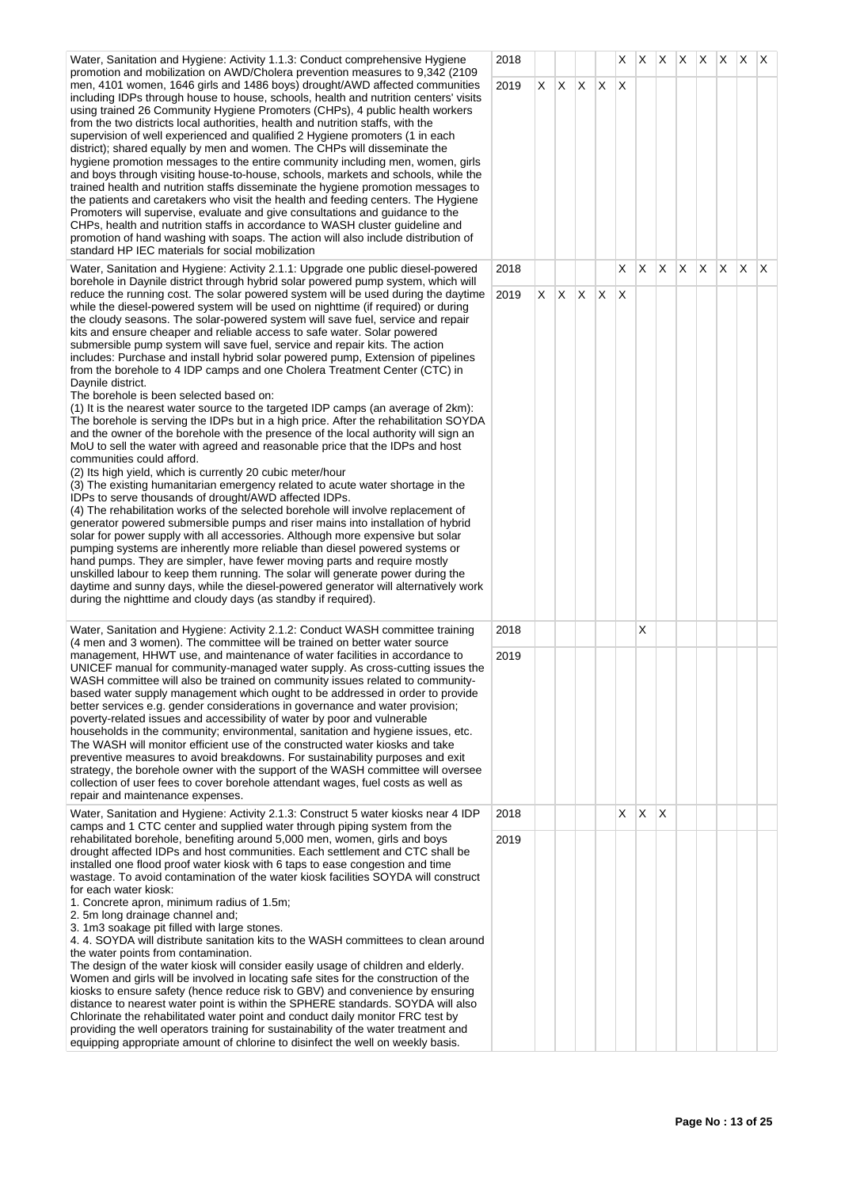Water, Sanitation and Hygiene: Activity 1.1.3: Conduct comprehensive Hygiene promotion and mobilization on AWD/Cholera prevention measures to 9,342 (2109 men, 4101 women, 1646 girls and 1486 boys) drought/AWD affected communities including IDPs through house to house, schools, health and nutrition centers' visits using trained 26 Community Hygiene Promoters (CHPs), 4 public health workers from the two districts local authorities, health and nutrition staffs, with the supervision of well experienced and qualified 2 Hygiene promoters (1 in each district); shared equally by men and women. The CHPs will disseminate the hygiene promotion messages to the entire community including men, women, girls and boys through visiting house-to-house, schools, markets and schools, while the trained health and nutrition staffs disseminate the hygiene promotion messages to the patients and caretakers who visit the health and feeding centers. The Hygiene Promoters will supervise, evaluate and give consultations and guidance to the CHPs, health and nutrition staffs in accordance to WASH cluster guideline and promotion of hand washing with soaps. The action will also include distribution of standard HP IEC materials for social mobilization

Water, Sanitation and Hygiene: Activity 2.1.1: Upgrade one public diesel-powered borehole in Daynile district through hybrid solar powered pump system, which will reduce the running cost. The solar powered system will be used during the daytime while the diesel-powered system will be used on nighttime (if required) or during the cloudy seasons. The solar-powered system will save fuel, service and repair kits and ensure cheaper and reliable access to safe water. Solar powered submersible pump system will save fuel, service and repair kits. The action includes: Purchase and install hybrid solar powered pump, Extension of pipelines from the borehole to 4 IDP camps and one Cholera Treatment Center (CTC) in Daynile district.

The borehole is been selected based on:

(1) It is the nearest water source to the targeted IDP camps (an average of 2km): The borehole is serving the IDPs but in a high price. After the rehabilitation SOYD/ and the owner of the borehole with the presence of the local authority will sign an MoU to sell the water with agreed and reasonable price that the IDPs and host communities could afford.

(2) Its high yield, which is currently 20 cubic meter/hour

(3) The existing humanitarian emergency related to acute water shortage in the IDPs to serve thousands of drought/AWD affected IDPs.

(4) The rehabilitation works of the selected borehole will involve replacement of generator powered submersible pumps and riser mains into installation of hybrid solar for power supply with all accessories. Although more expensive but solar pumping systems are inherently more reliable than diesel powered systems or hand pumps. They are simpler, have fewer moving parts and require mostly unskilled labour to keep them running. The solar will generate power during the daytime and sunny days, while the diesel-powered generator will alternatively work during the nighttime and cloudy days (as standby if required).

Water, Sanitation and Hygiene: Activity 2.1.2: Conduct WASH committee training (4 men and 3 women). The committee will be trained on better water source management, HHWT use, and maintenance of water facilities in accordance to UNICEF manual for community-managed water supply. As cross-cutting issues the WASH committee will also be trained on community issues related to communitybased water supply management which ought to be addressed in order to provide better services e.g. gender considerations in governance and water provision; poverty-related issues and accessibility of water by poor and vulnerable households in the community; environmental, sanitation and hygiene issues, etc. The WASH will monitor efficient use of the constructed water kiosks and take preventive measures to avoid breakdowns. For sustainability purposes and exit strategy, the borehole owner with the support of the WASH committee will oversee collection of user fees to cover borehole attendant wages, fuel costs as well as repair and maintenance expenses.

Water, Sanitation and Hygiene: Activity 2.1.3: Construct 5 water kiosks near 4 IDP camps and 1 CTC center and supplied water through piping system from the rehabilitated borehole, benefiting around 5,000 men, women, girls and boys drought affected IDPs and host communities. Each settlement and CTC shall be installed one flood proof water kiosk with 6 taps to ease congestion and time wastage. To avoid contamination of the water kiosk facilities SOYDA will construct for each water kiosk:

1. Concrete apron, minimum radius of 1.5m;

2. 5m long drainage channel and;

3. 1m3 soakage pit filled with large stones.

4. 4. SOYDA will distribute sanitation kits to the WASH committees to clean around the water points from contamination.

The design of the water kiosk will consider easily usage of children and elderly. Women and girls will be involved in locating safe sites for the construction of the kiosks to ensure safety (hence reduce risk to GBV) and convenience by ensuring distance to nearest water point is within the SPHERE standards. SOYDA will also Chlorinate the rehabilitated water point and conduct daily monitor FRC test by providing the well operators training for sustainability of the water treatment and equipping appropriate amount of chlorine to disinfect the well on weekly basis.

| 2018 |                              |                                        |                                               |                                                    | $\overline{\mathsf{X}}$                            |                                                                               |                                                    |                                       |                 |                                                    |                         | $\vert$ X                             |
|------|------------------------------|----------------------------------------|-----------------------------------------------|----------------------------------------------------|----------------------------------------------------|-------------------------------------------------------------------------------|----------------------------------------------------|---------------------------------------|-----------------|----------------------------------------------------|-------------------------|---------------------------------------|
|      |                              |                                        |                                               |                                                    |                                                    |                                                                               |                                                    |                                       |                 |                                                    |                         |                                       |
|      |                              |                                        |                                               |                                                    |                                                    |                                                                               |                                                    |                                       |                 |                                                    |                         |                                       |
| 2018 |                              |                                        |                                               |                                                    | $\overline{\mathsf{x}}$                            | $\overline{\mathsf{x}}$                                                       | $\overline{\mathsf{x}}$                            | $\overline{\mathsf{X}}$               |                 |                                                    |                         | $\mathsf X$                           |
|      |                              |                                        |                                               |                                                    |                                                    |                                                                               |                                                    |                                       |                 |                                                    |                         |                                       |
|      |                              |                                        |                                               |                                                    |                                                    |                                                                               |                                                    |                                       |                 |                                                    |                         |                                       |
|      |                              |                                        |                                               |                                                    |                                                    |                                                                               |                                                    |                                       |                 |                                                    |                         |                                       |
|      |                              |                                        |                                               |                                                    |                                                    |                                                                               |                                                    |                                       |                 |                                                    |                         |                                       |
| 2018 |                              |                                        |                                               |                                                    |                                                    |                                                                               |                                                    |                                       |                 |                                                    |                         |                                       |
| 2019 |                              |                                        |                                               |                                                    |                                                    |                                                                               |                                                    |                                       |                 |                                                    |                         |                                       |
|      | 2019<br>2019<br>2018<br>2019 | $\mathsf X$<br>$\overline{\mathsf{x}}$ | $\overline{\mathsf{X}}$<br>$\mathsf{X}% _{0}$ | $\overline{\mathsf{X}}$<br>$\overline{\mathsf{x}}$ | $\overline{\mathsf{X}}$<br>$\overline{\mathsf{x}}$ | $\overline{\mathsf{x}}$<br>$\overline{\mathsf{x}}$<br>$\overline{\mathsf{x}}$ | $\overline{\mathsf{x}}$<br>$\overline{\mathsf{X}}$ | $X \mid X$<br>$\overline{\mathsf{x}}$ | $\vert x \vert$ | $\overline{\mathsf{x}}$<br>$\overline{\mathsf{x}}$ | $\overline{\mathsf{X}}$ | $x \mid x$<br>$\overline{\mathsf{x}}$ |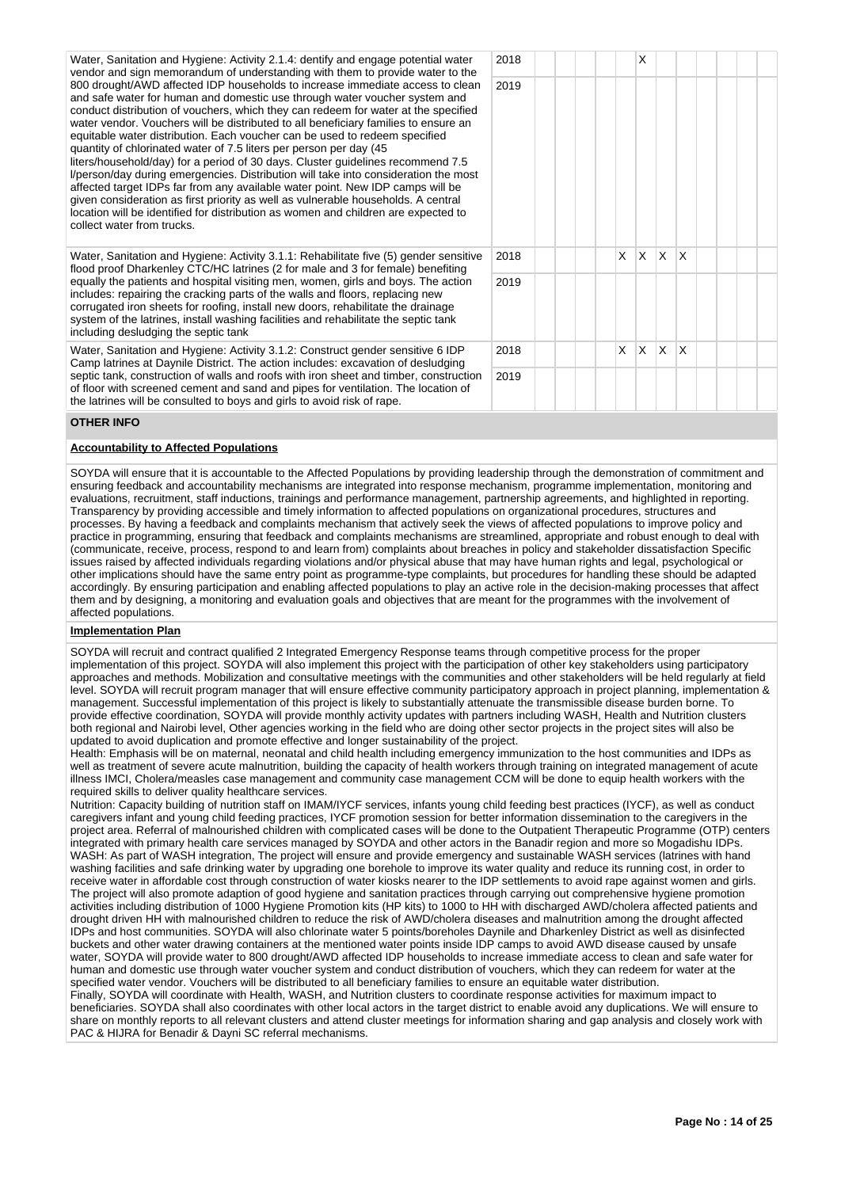Water, Sanitation and Hygiene: Activity 2.1.4: dentify and engage potential water vendor and sign memorandum of understanding with them to provide water to the 800 drought/AWD affected IDP households to increase immediate access to clean and safe water for human and domestic use through water voucher system and conduct distribution of vouchers, which they can redeem for water at the specified water vendor. Vouchers will be distributed to all beneficiary families to ensure an equitable water distribution. Each voucher can be used to redeem specified quantity of chlorinated water of 7.5 liters per person per day (45 liters/household/day) for a period of 30 days. Cluster guidelines recommend 7.5 l/person/day during emergencies. Distribution will take into consideration the most affected target IDPs far from any available water point. New IDP camps will be given consideration as first priority as well as vulnerable households. A central location will be identified for distribution as women and children are expected to collect water from trucks.  $2018$   $\frac{1}{2}$   $\frac{1}{2}$   $\frac{1}{2}$   $\frac{1}{2}$   $\frac{1}{2}$ 2019 Water, Sanitation and Hygiene: Activity 3.1.1: Rehabilitate five (5) gender sensitive flood proof Dharkenley CTC/HC latrines (2 for male and 3 for female) benefiting equally the patients and hospital visiting men, women, girls and boys. The action includes: repairing the cracking parts of the walls and floors, replacing new corrugated iron sheets for roofing, install new doors, rehabilitate the drainage system of the latrines, install washing facilities and rehabilitate the septic tank including desludging the septic tank 2018 X X X X X 2019 Water, Sanitation and Hygiene: Activity 3.1.2: Construct gender sensitive 6 IDP Camp latrines at Daynile District. The action includes: excavation of desludging septic tank, construction of walls and roofs with iron sheet and timber, construction of floor with screened cement and sand and pipes for ventilation. The location of the latrines will be consulted to boys and girls to avoid risk of rape. 2018 X X X X X 2019

## **OTHER INFO**

## **Accountability to Affected Populations**

SOYDA will ensure that it is accountable to the Affected Populations by providing leadership through the demonstration of commitment and ensuring feedback and accountability mechanisms are integrated into response mechanism, programme implementation, monitoring and evaluations, recruitment, staff inductions, trainings and performance management, partnership agreements, and highlighted in reporting. Transparency by providing accessible and timely information to affected populations on organizational procedures, structures and processes. By having a feedback and complaints mechanism that actively seek the views of affected populations to improve policy and practice in programming, ensuring that feedback and complaints mechanisms are streamlined, appropriate and robust enough to deal with (communicate, receive, process, respond to and learn from) complaints about breaches in policy and stakeholder dissatisfaction Specific issues raised by affected individuals regarding violations and/or physical abuse that may have human rights and legal, psychological or other implications should have the same entry point as programme-type complaints, but procedures for handling these should be adapted accordingly. By ensuring participation and enabling affected populations to play an active role in the decision-making processes that affect them and by designing, a monitoring and evaluation goals and objectives that are meant for the programmes with the involvement of affected populations.

#### **Implementation Plan**

SOYDA will recruit and contract qualified 2 Integrated Emergency Response teams through competitive process for the proper implementation of this project. SOYDA will also implement this project with the participation of other key stakeholders using participatory approaches and methods. Mobilization and consultative meetings with the communities and other stakeholders will be held regularly at field level. SOYDA will recruit program manager that will ensure effective community participatory approach in project planning, implementation & management. Successful implementation of this project is likely to substantially attenuate the transmissible disease burden borne. To provide effective coordination, SOYDA will provide monthly activity updates with partners including WASH, Health and Nutrition clusters both regional and Nairobi level, Other agencies working in the field who are doing other sector projects in the project sites will also be updated to avoid duplication and promote effective and longer sustainability of the project.

Health: Emphasis will be on maternal, neonatal and child health including emergency immunization to the host communities and IDPs as well as treatment of severe acute malnutrition, building the capacity of health workers through training on integrated management of acute illness IMCI, Cholera/measles case management and community case management CCM will be done to equip health workers with the required skills to deliver quality healthcare services.

Nutrition: Capacity building of nutrition staff on IMAM/IYCF services, infants young child feeding best practices (IYCF), as well as conduct caregivers infant and young child feeding practices, IYCF promotion session for better information dissemination to the caregivers in the project area. Referral of malnourished children with complicated cases will be done to the Outpatient Therapeutic Programme (OTP) centers integrated with primary health care services managed by SOYDA and other actors in the Banadir region and more so Mogadishu IDPs. WASH: As part of WASH integration, The project will ensure and provide emergency and sustainable WASH services (latrines with hand washing facilities and safe drinking water by upgrading one borehole to improve its water quality and reduce its running cost, in order to receive water in affordable cost through construction of water kiosks nearer to the IDP settlements to avoid rape against women and girls. The project will also promote adaption of good hygiene and sanitation practices through carrying out comprehensive hygiene promotion activities including distribution of 1000 Hygiene Promotion kits (HP kits) to 1000 to HH with discharged AWD/cholera affected patients and drought driven HH with malnourished children to reduce the risk of AWD/cholera diseases and malnutrition among the drought affected IDPs and host communities. SOYDA will also chlorinate water 5 points/boreholes Daynile and Dharkenley District as well as disinfected buckets and other water drawing containers at the mentioned water points inside IDP camps to avoid AWD disease caused by unsafe water, SOYDA will provide water to 800 drought/AWD affected IDP households to increase immediate access to clean and safe water for human and domestic use through water voucher system and conduct distribution of vouchers, which they can redeem for water at the specified water vendor. Vouchers will be distributed to all beneficiary families to ensure an equitable water distribution.

Finally, SOYDA will coordinate with Health, WASH, and Nutrition clusters to coordinate response activities for maximum impact to beneficiaries. SOYDA shall also coordinates with other local actors in the target district to enable avoid any duplications. We will ensure to share on monthly reports to all relevant clusters and attend cluster meetings for information sharing and gap analysis and closely work with PAC & HIJRA for Benadir & Dayni SC referral mechanisms.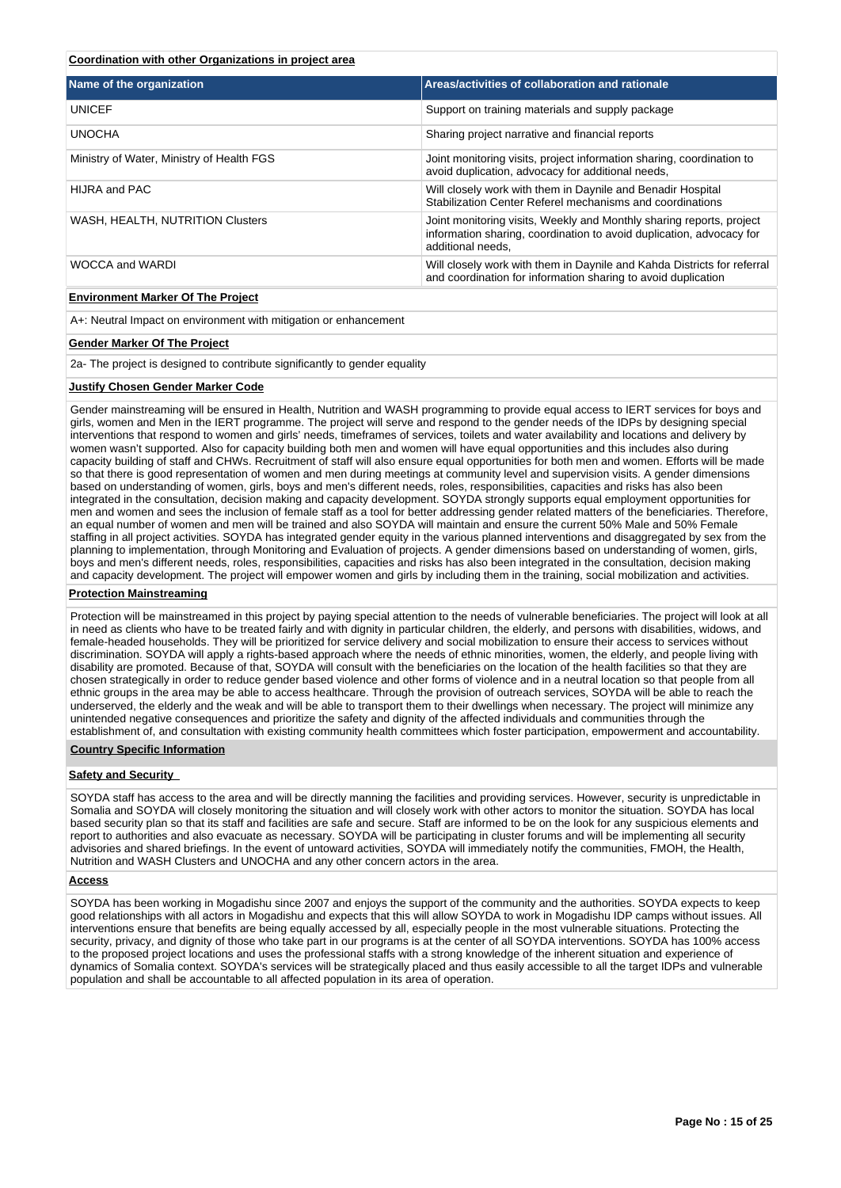## **Coordination with other Organizations in project area**

| Areas/activities of collaboration and rationale                                                                                                                   |
|-------------------------------------------------------------------------------------------------------------------------------------------------------------------|
| Support on training materials and supply package                                                                                                                  |
| Sharing project narrative and financial reports                                                                                                                   |
| Joint monitoring visits, project information sharing, coordination to<br>avoid duplication, advocacy for additional needs,                                        |
| Will closely work with them in Daynile and Benadir Hospital<br>Stabilization Center Referel mechanisms and coordinations                                          |
| Joint monitoring visits, Weekly and Monthly sharing reports, project<br>information sharing, coordination to avoid duplication, advocacy for<br>additional needs. |
| Will closely work with them in Daynile and Kahda Districts for referral<br>and coordination for information sharing to avoid duplication                          |
|                                                                                                                                                                   |

## **Environment Marker Of The Project**

A+: Neutral Impact on environment with mitigation or enhancement

## **Gender Marker Of The Project**

2a- The project is designed to contribute significantly to gender equality

#### **Justify Chosen Gender Marker Code**

Gender mainstreaming will be ensured in Health, Nutrition and WASH programming to provide equal access to IERT services for boys and girls, women and Men in the IERT programme. The project will serve and respond to the gender needs of the IDPs by designing special interventions that respond to women and girls' needs, timeframes of services, toilets and water availability and locations and delivery by women wasn't supported. Also for capacity building both men and women will have equal opportunities and this includes also during capacity building of staff and CHWs. Recruitment of staff will also ensure equal opportunities for both men and women. Efforts will be made so that there is good representation of women and men during meetings at community level and supervision visits. A gender dimensions based on understanding of women, girls, boys and men's different needs, roles, responsibilities, capacities and risks has also been integrated in the consultation, decision making and capacity development. SOYDA strongly supports equal employment opportunities for men and women and sees the inclusion of female staff as a tool for better addressing gender related matters of the beneficiaries. Therefore, an equal number of women and men will be trained and also SOYDA will maintain and ensure the current 50% Male and 50% Female staffing in all project activities. SOYDA has integrated gender equity in the various planned interventions and disaggregated by sex from the planning to implementation, through Monitoring and Evaluation of projects. A gender dimensions based on understanding of women, girls, boys and men's different needs, roles, responsibilities, capacities and risks has also been integrated in the consultation, decision making and capacity development. The project will empower women and girls by including them in the training, social mobilization and activities.

## **Protection Mainstreaming**

Protection will be mainstreamed in this project by paying special attention to the needs of vulnerable beneficiaries. The project will look at all in need as clients who have to be treated fairly and with dignity in particular children, the elderly, and persons with disabilities, widows, and female-headed households. They will be prioritized for service delivery and social mobilization to ensure their access to services without discrimination. SOYDA will apply a rights-based approach where the needs of ethnic minorities, women, the elderly, and people living with disability are promoted. Because of that, SOYDA will consult with the beneficiaries on the location of the health facilities so that they are chosen strategically in order to reduce gender based violence and other forms of violence and in a neutral location so that people from all ethnic groups in the area may be able to access healthcare. Through the provision of outreach services, SOYDA will be able to reach the underserved, the elderly and the weak and will be able to transport them to their dwellings when necessary. The project will minimize any unintended negative consequences and prioritize the safety and dignity of the affected individuals and communities through the establishment of, and consultation with existing community health committees which foster participation, empowerment and accountability.

#### **Country Specific Information**

#### **Safety and Security**

SOYDA staff has access to the area and will be directly manning the facilities and providing services. However, security is unpredictable in Somalia and SOYDA will closely monitoring the situation and will closely work with other actors to monitor the situation. SOYDA has local based security plan so that its staff and facilities are safe and secure. Staff are informed to be on the look for any suspicious elements and report to authorities and also evacuate as necessary. SOYDA will be participating in cluster forums and will be implementing all security advisories and shared briefings. In the event of untoward activities, SOYDA will immediately notify the communities, FMOH, the Health, Nutrition and WASH Clusters and UNOCHA and any other concern actors in the area.

#### **Access**

SOYDA has been working in Mogadishu since 2007 and enjoys the support of the community and the authorities. SOYDA expects to keep good relationships with all actors in Mogadishu and expects that this will allow SOYDA to work in Mogadishu IDP camps without issues. All interventions ensure that benefits are being equally accessed by all, especially people in the most vulnerable situations. Protecting the security, privacy, and dignity of those who take part in our programs is at the center of all SOYDA interventions. SOYDA has 100% access to the proposed project locations and uses the professional staffs with a strong knowledge of the inherent situation and experience of dynamics of Somalia context. SOYDA's services will be strategically placed and thus easily accessible to all the target IDPs and vulnerable population and shall be accountable to all affected population in its area of operation.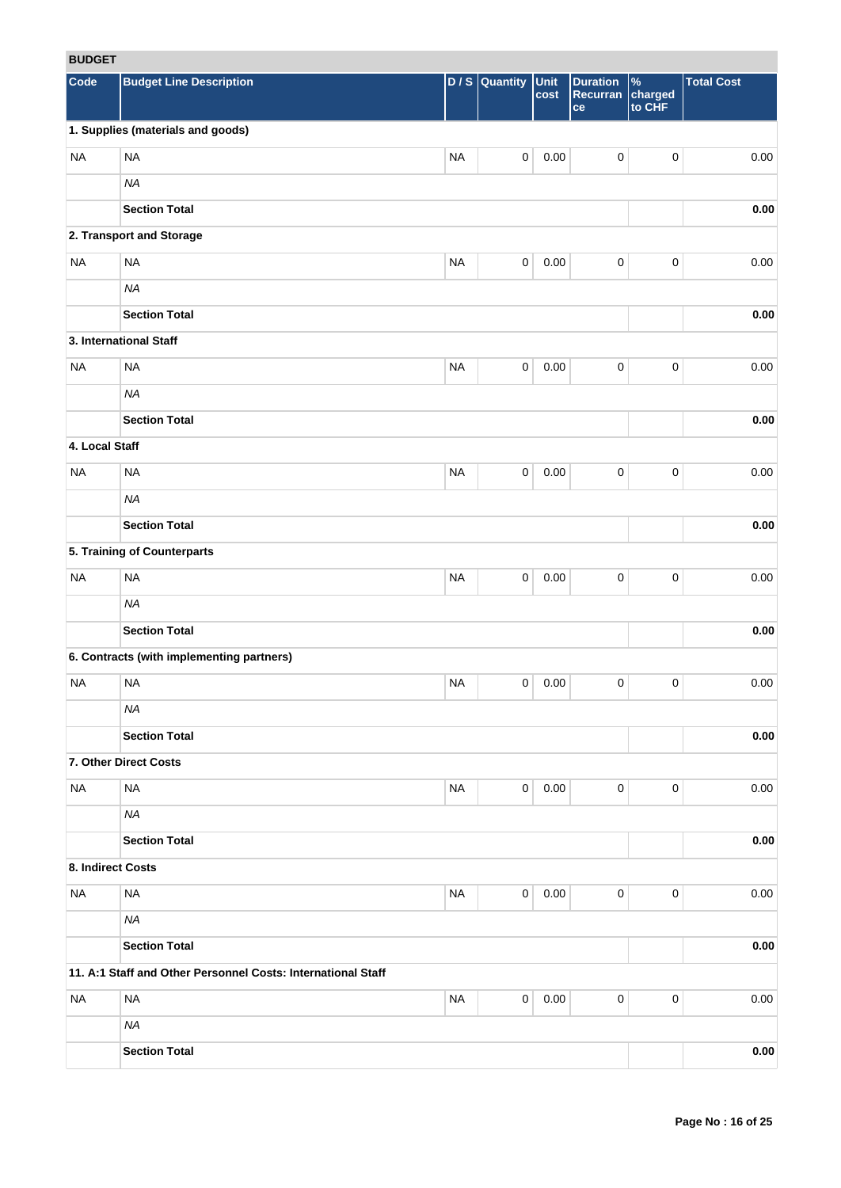# **BUDGET**

| <b>RUDGEI</b>     |                                                              |           |                     |              |                                   |                                    |                   |
|-------------------|--------------------------------------------------------------|-----------|---------------------|--------------|-----------------------------------|------------------------------------|-------------------|
| Code              | <b>Budget Line Description</b>                               |           | $D / S$ Quantity    | Unit<br>cost | <b>Duration</b><br>Recurran<br>ce | $\frac{9}{6}$<br>charged<br>to CHF | <b>Total Cost</b> |
|                   | 1. Supplies (materials and goods)                            |           |                     |              |                                   |                                    |                   |
| <b>NA</b>         | <b>NA</b>                                                    | <b>NA</b> | $\mathsf{O}\xspace$ | 0.00         | $\pmb{0}$                         | $\pmb{0}$                          | 0.00              |
|                   | <b>NA</b>                                                    |           |                     |              |                                   |                                    |                   |
|                   | <b>Section Total</b>                                         |           |                     |              |                                   |                                    | 0.00              |
|                   | 2. Transport and Storage                                     |           |                     |              |                                   |                                    |                   |
| <b>NA</b>         | <b>NA</b>                                                    | <b>NA</b> | $\mathbf 0$         | 0.00         | $\mathbf 0$                       | $\pmb{0}$                          | 0.00              |
|                   | <b>NA</b>                                                    |           |                     |              |                                   |                                    |                   |
|                   | <b>Section Total</b>                                         |           |                     |              |                                   |                                    | 0.00              |
|                   | 3. International Staff                                       |           |                     |              |                                   |                                    |                   |
| <b>NA</b>         | <b>NA</b>                                                    | <b>NA</b> | $\mathbf 0$         | 0.00         | $\mathbf 0$                       | $\pmb{0}$                          | 0.00              |
|                   | <b>NA</b>                                                    |           |                     |              |                                   |                                    |                   |
|                   | <b>Section Total</b>                                         |           |                     |              |                                   |                                    | $0.00\,$          |
| 4. Local Staff    |                                                              |           |                     |              |                                   |                                    |                   |
| <b>NA</b>         | <b>NA</b>                                                    | <b>NA</b> | $\mathbf 0$         | 0.00         | $\pmb{0}$                         | $\pmb{0}$                          | 0.00              |
|                   | <b>NA</b>                                                    |           |                     |              |                                   |                                    |                   |
|                   | <b>Section Total</b>                                         |           |                     |              |                                   |                                    | 0.00              |
|                   | 5. Training of Counterparts                                  |           |                     |              |                                   |                                    |                   |
| <b>NA</b>         | <b>NA</b>                                                    | <b>NA</b> | $\pmb{0}$           | 0.00         | $\pmb{0}$                         | 0                                  | 0.00              |
|                   | <b>NA</b>                                                    |           |                     |              |                                   |                                    |                   |
|                   | <b>Section Total</b>                                         |           |                     |              |                                   |                                    | 0.00              |
|                   | 6. Contracts (with implementing partners)                    |           |                     |              |                                   |                                    |                   |
| <b>NA</b>         | <b>NA</b>                                                    | <b>NA</b> | 0                   | 0.00         | 0                                 | 0                                  | 0.00              |
|                   | <b>NA</b>                                                    |           |                     |              |                                   |                                    |                   |
|                   | <b>Section Total</b>                                         |           |                     |              |                                   |                                    | 0.00              |
|                   | 7. Other Direct Costs                                        |           |                     |              |                                   |                                    |                   |
| <b>NA</b>         | <b>NA</b>                                                    | <b>NA</b> | $\mathbf 0$         | 0.00         | $\mathbf 0$                       | 0                                  | 0.00              |
|                   | NA                                                           |           |                     |              |                                   |                                    |                   |
|                   | <b>Section Total</b>                                         |           |                     |              |                                   |                                    | $0.00\,$          |
| 8. Indirect Costs |                                                              |           |                     |              |                                   |                                    |                   |
| <b>NA</b>         | $\sf NA$                                                     | <b>NA</b> | $\mathbf 0$         | 0.00         | $\mathbf 0$                       | 0                                  | 0.00              |
|                   | <b>NA</b>                                                    |           |                     |              |                                   |                                    |                   |
|                   | <b>Section Total</b>                                         |           |                     |              |                                   |                                    | 0.00              |
|                   | 11. A:1 Staff and Other Personnel Costs: International Staff |           |                     |              |                                   |                                    |                   |
| <b>NA</b>         | <b>NA</b>                                                    | <b>NA</b> | $\mathbf 0$         | 0.00         | $\mathbf 0$                       | 0                                  | 0.00              |
|                   | <b>NA</b>                                                    |           |                     |              |                                   |                                    |                   |
|                   | <b>Section Total</b>                                         |           |                     |              |                                   |                                    | $0.00\,$          |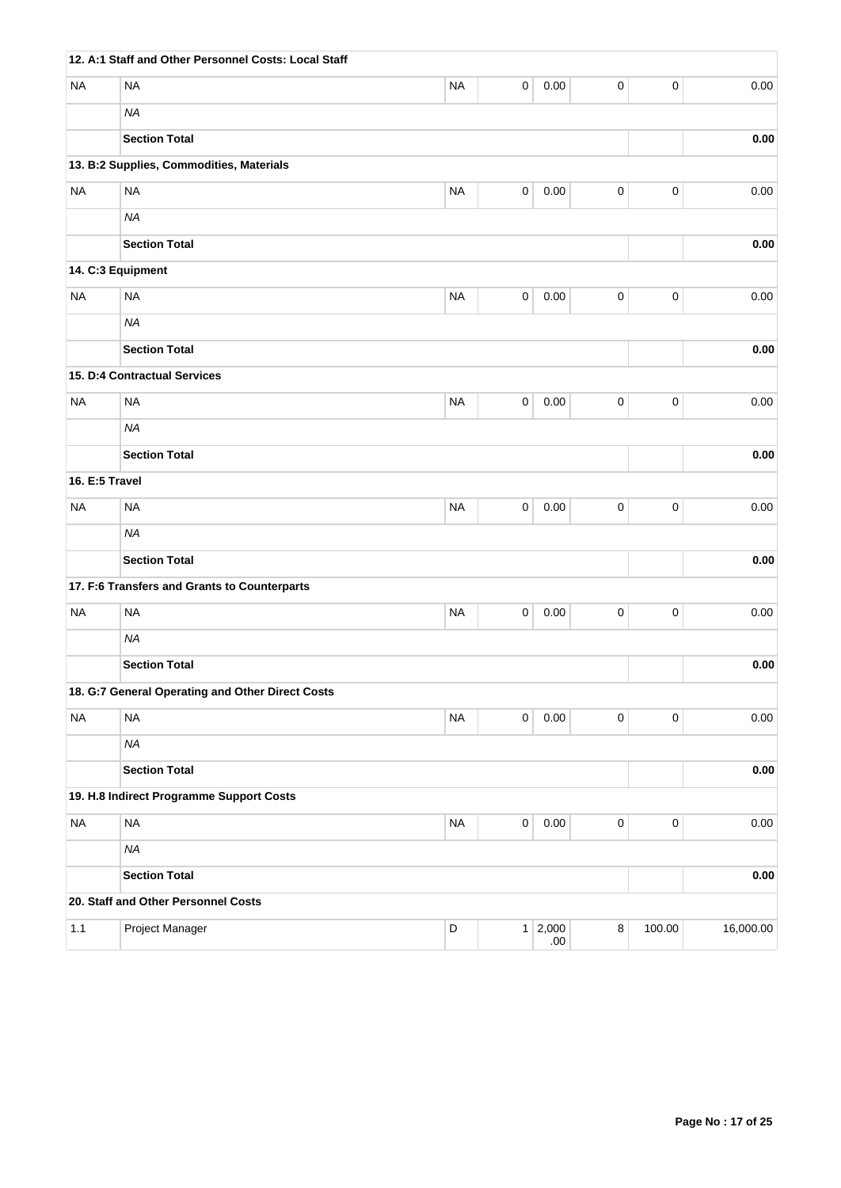|                | 12. A:1 Staff and Other Personnel Costs: Local Staff |             |                     |                    |           |             |            |
|----------------|------------------------------------------------------|-------------|---------------------|--------------------|-----------|-------------|------------|
| <b>NA</b>      | <b>NA</b>                                            | <b>NA</b>   | 0                   | 0.00               | $\pmb{0}$ | $\pmb{0}$   | 0.00       |
|                | <b>NA</b>                                            |             |                     |                    |           |             |            |
|                | <b>Section Total</b>                                 |             |                     |                    |           |             | 0.00       |
|                | 13. B:2 Supplies, Commodities, Materials             |             |                     |                    |           |             |            |
| <b>NA</b>      | <b>NA</b>                                            | <b>NA</b>   | $\mathsf{O}\xspace$ | 0.00               | $\pmb{0}$ | $\pmb{0}$   | 0.00       |
|                | <b>NA</b>                                            |             |                     |                    |           |             |            |
|                | <b>Section Total</b>                                 |             |                     |                    |           |             | 0.00       |
|                | 14. C:3 Equipment                                    |             |                     |                    |           |             |            |
| <b>NA</b>      | <b>NA</b>                                            | <b>NA</b>   | 0                   | 0.00               | $\pmb{0}$ | $\pmb{0}$   | 0.00       |
|                | <b>NA</b>                                            |             |                     |                    |           |             |            |
|                | <b>Section Total</b>                                 |             |                     |                    |           |             | 0.00       |
|                | 15. D:4 Contractual Services                         |             |                     |                    |           |             |            |
| <b>NA</b>      | <b>NA</b>                                            | <b>NA</b>   | 0                   | 0.00               | 0         | $\pmb{0}$   | 0.00       |
|                | <b>NA</b>                                            |             |                     |                    |           |             |            |
|                | <b>Section Total</b>                                 |             |                     |                    |           |             | 0.00       |
| 16. E:5 Travel |                                                      |             |                     |                    |           |             |            |
| <b>NA</b>      | <b>NA</b>                                            | <b>NA</b>   | 0                   | 0.00               | $\pmb{0}$ | $\pmb{0}$   | 0.00       |
|                | <b>NA</b>                                            |             |                     |                    |           |             |            |
|                | <b>Section Total</b>                                 |             |                     |                    |           |             | 0.00       |
|                | 17. F:6 Transfers and Grants to Counterparts         |             |                     |                    |           |             |            |
| <b>NA</b>      | <b>NA</b>                                            | <b>NA</b>   | 0                   | 0.00               | $\pmb{0}$ | $\pmb{0}$   | 0.00       |
|                | <b>NA</b>                                            |             |                     |                    |           |             |            |
|                | <b>Section Total</b>                                 |             |                     |                    |           |             | 0.00       |
|                | 18. G:7 General Operating and Other Direct Costs     |             |                     |                    |           |             |            |
| <b>NA</b>      | <b>NA</b>                                            | <b>NA</b>   | 0                   | $0.00\,$           | $\pmb{0}$ | $\pmb{0}$   | 0.00       |
|                | <b>NA</b>                                            |             |                     |                    |           |             |            |
|                | <b>Section Total</b>                                 |             |                     |                    |           |             | 0.00       |
|                | 19. H.8 Indirect Programme Support Costs             |             |                     |                    |           |             |            |
| <b>NA</b>      | $\sf NA$                                             | <b>NA</b>   | $\pmb{0}$           | 0.00               | $\pmb{0}$ | $\mathbf 0$ | 0.00       |
|                | <b>NA</b>                                            |             |                     |                    |           |             |            |
|                | <b>Section Total</b>                                 |             |                     |                    |           |             | $\bf 0.00$ |
|                | 20. Staff and Other Personnel Costs                  |             |                     |                    |           |             |            |
| 1.1            | Project Manager                                      | $\mathsf D$ |                     | $1 \ 2,000$<br>.00 | $\bf 8$   | 100.00      | 16,000.00  |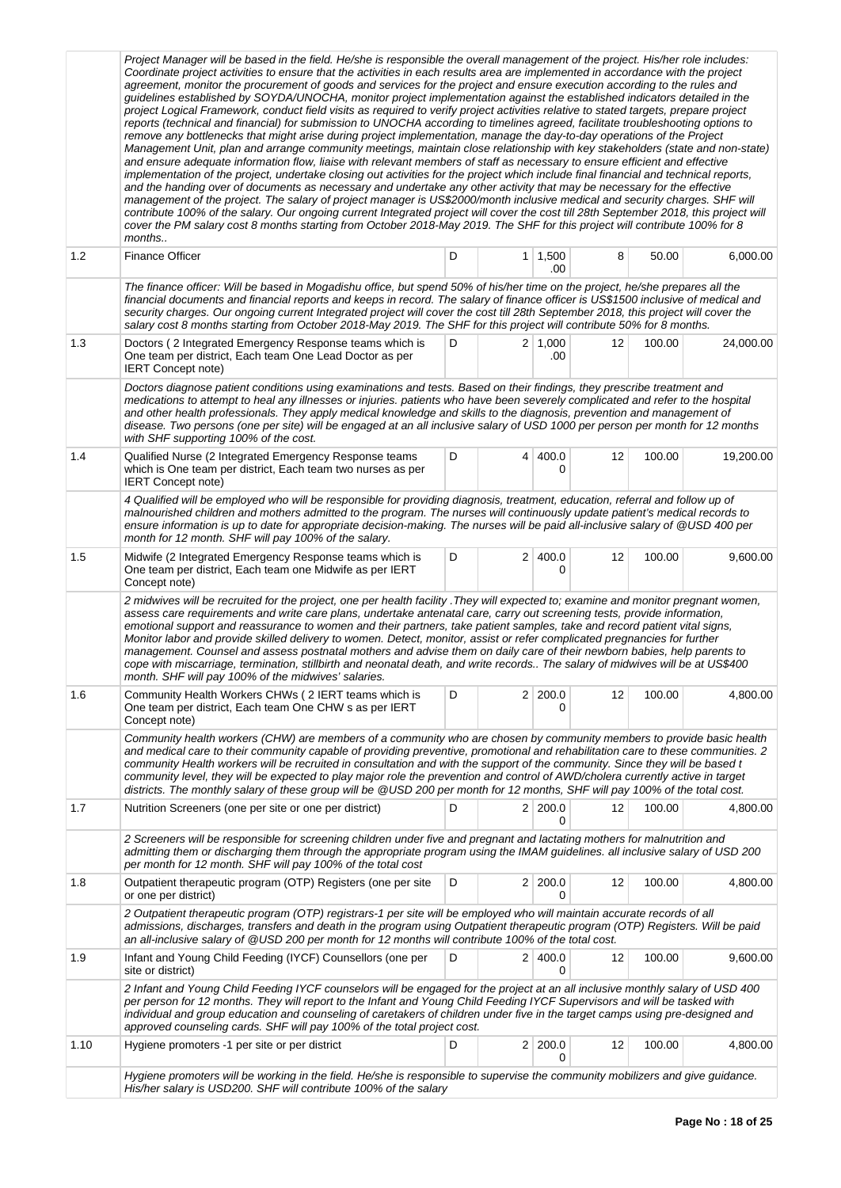|      | Project Manager will be based in the field. He/she is responsible the overall management of the project. His/her role includes:<br>Coordinate project activities to ensure that the activities in each results area are implemented in accordance with the project<br>agreement, monitor the procurement of goods and services for the project and ensure execution according to the rules and<br>guidelines established by SOYDA/UNOCHA, monitor project implementation against the established indicators detailed in the<br>project Logical Framework, conduct field visits as required to verify project activities relative to stated targets, prepare project<br>reports (technical and financial) for submission to UNOCHA according to timelines agreed, facilitate troubleshooting options to<br>remove any bottlenecks that might arise during project implementation, manage the day-to-day operations of the Project<br>Management Unit, plan and arrange community meetings, maintain close relationship with key stakeholders (state and non-state)<br>and ensure adequate information flow, liaise with relevant members of staff as necessary to ensure efficient and effective<br>implementation of the project, undertake closing out activities for the project which include final financial and technical reports,<br>and the handing over of documents as necessary and undertake any other activity that may be necessary for the effective<br>management of the project. The salary of project manager is US\$2000/month inclusive medical and security charges. SHF will<br>contribute 100% of the salary. Our ongoing current Integrated project will cover the cost till 28th September 2018, this project will<br>cover the PM salary cost 8 months starting from October 2018-May 2019. The SHF for this project will contribute 100% for 8<br>months |   |   |                       |    |        |           |
|------|------------------------------------------------------------------------------------------------------------------------------------------------------------------------------------------------------------------------------------------------------------------------------------------------------------------------------------------------------------------------------------------------------------------------------------------------------------------------------------------------------------------------------------------------------------------------------------------------------------------------------------------------------------------------------------------------------------------------------------------------------------------------------------------------------------------------------------------------------------------------------------------------------------------------------------------------------------------------------------------------------------------------------------------------------------------------------------------------------------------------------------------------------------------------------------------------------------------------------------------------------------------------------------------------------------------------------------------------------------------------------------------------------------------------------------------------------------------------------------------------------------------------------------------------------------------------------------------------------------------------------------------------------------------------------------------------------------------------------------------------------------------------------------------------------------------------------------------------------------------------------------|---|---|-----------------------|----|--------|-----------|
| 1.2  | Finance Officer                                                                                                                                                                                                                                                                                                                                                                                                                                                                                                                                                                                                                                                                                                                                                                                                                                                                                                                                                                                                                                                                                                                                                                                                                                                                                                                                                                                                                                                                                                                                                                                                                                                                                                                                                                                                                                                                    | D |   | $1 \mid 1,500$<br>.00 | 8  | 50.00  | 6,000.00  |
|      | The finance officer: Will be based in Mogadishu office, but spend 50% of his/her time on the project, he/she prepares all the<br>financial documents and financial reports and keeps in record. The salary of finance officer is US\$1500 inclusive of medical and<br>security charges. Our ongoing current Integrated project will cover the cost till 28th September 2018, this project will cover the<br>salary cost 8 months starting from October 2018-May 2019. The SHF for this project will contribute 50% for 8 months.                                                                                                                                                                                                                                                                                                                                                                                                                                                                                                                                                                                                                                                                                                                                                                                                                                                                                                                                                                                                                                                                                                                                                                                                                                                                                                                                                   |   |   |                       |    |        |           |
| 1.3  | Doctors (2 Integrated Emergency Response teams which is<br>One team per district, Each team One Lead Doctor as per<br><b>IERT Concept note)</b>                                                                                                                                                                                                                                                                                                                                                                                                                                                                                                                                                                                                                                                                                                                                                                                                                                                                                                                                                                                                                                                                                                                                                                                                                                                                                                                                                                                                                                                                                                                                                                                                                                                                                                                                    | D |   | $2 \mid 1,000$<br>.00 | 12 | 100.00 | 24,000.00 |
|      | Doctors diagnose patient conditions using examinations and tests. Based on their findings, they prescribe treatment and<br>medications to attempt to heal any illnesses or injuries, patients who have been severely complicated and refer to the hospital<br>and other health professionals. They apply medical knowledge and skills to the diagnosis, prevention and management of<br>disease. Two persons (one per site) will be engaged at an all inclusive salary of USD 1000 per person per month for 12 months<br>with SHF supporting 100% of the cost.                                                                                                                                                                                                                                                                                                                                                                                                                                                                                                                                                                                                                                                                                                                                                                                                                                                                                                                                                                                                                                                                                                                                                                                                                                                                                                                     |   |   |                       |    |        |           |
| 1.4  | Qualified Nurse (2 Integrated Emergency Response teams<br>which is One team per district, Each team two nurses as per<br><b>IERT Concept note)</b>                                                                                                                                                                                                                                                                                                                                                                                                                                                                                                                                                                                                                                                                                                                                                                                                                                                                                                                                                                                                                                                                                                                                                                                                                                                                                                                                                                                                                                                                                                                                                                                                                                                                                                                                 | D | 4 | 400.0<br>0            | 12 | 100.00 | 19,200.00 |
|      | 4 Qualified will be employed who will be responsible for providing diagnosis, treatment, education, referral and follow up of<br>malnourished children and mothers admitted to the program. The nurses will continuously update patient's medical records to<br>ensure information is up to date for appropriate decision-making. The nurses will be paid all-inclusive salary of @USD 400 per<br>month for 12 month. SHF will pay 100% of the salary.                                                                                                                                                                                                                                                                                                                                                                                                                                                                                                                                                                                                                                                                                                                                                                                                                                                                                                                                                                                                                                                                                                                                                                                                                                                                                                                                                                                                                             |   |   |                       |    |        |           |
| 1.5  | Midwife (2 Integrated Emergency Response teams which is<br>One team per district, Each team one Midwife as per IERT<br>Concept note)                                                                                                                                                                                                                                                                                                                                                                                                                                                                                                                                                                                                                                                                                                                                                                                                                                                                                                                                                                                                                                                                                                                                                                                                                                                                                                                                                                                                                                                                                                                                                                                                                                                                                                                                               | D |   | 2 400.0<br>0          | 12 | 100.00 | 9,600.00  |
|      | 2 midwives will be recruited for the project, one per health facility . They will expected to; examine and monitor pregnant women,<br>assess care requirements and write care plans, undertake antenatal care, carry out screening tests, provide information,<br>emotional support and reassurance to women and their partners, take patient samples, take and record patient vital signs,<br>Monitor labor and provide skilled delivery to women. Detect, monitor, assist or refer complicated pregnancies for further<br>management. Counsel and assess postnatal mothers and advise them on daily care of their newborn babies, help parents to<br>cope with miscarriage, termination, stillbirth and neonatal death, and write records The salary of midwives will be at US\$400<br>month. SHF will pay 100% of the midwives' salaries.                                                                                                                                                                                                                                                                                                                                                                                                                                                                                                                                                                                                                                                                                                                                                                                                                                                                                                                                                                                                                                       |   |   |                       |    |        |           |
| 1.6  | Community Health Workers CHWs (2 IERT teams which is<br>One team per district, Each team One CHW s as per IERT<br>Concept note)                                                                                                                                                                                                                                                                                                                                                                                                                                                                                                                                                                                                                                                                                                                                                                                                                                                                                                                                                                                                                                                                                                                                                                                                                                                                                                                                                                                                                                                                                                                                                                                                                                                                                                                                                    | D |   | 2 200.0               | 12 | 100.00 | 4,800.00  |
|      | Community health workers (CHW) are members of a community who are chosen by community members to provide basic health<br>and medical care to their community capable of providing preventive, promotional and rehabilitation care to these communities. 2<br>community Health workers will be recruited in consultation and with the support of the community. Since they will be based t<br>community level, they will be expected to play major role the prevention and control of AWD/cholera currently active in target<br>districts. The monthly salary of these group will be @USD 200 per month for 12 months, SHF will pay 100% of the total cost.                                                                                                                                                                                                                                                                                                                                                                                                                                                                                                                                                                                                                                                                                                                                                                                                                                                                                                                                                                                                                                                                                                                                                                                                                         |   |   |                       |    |        |           |
| 1.7  | Nutrition Screeners (one per site or one per district)                                                                                                                                                                                                                                                                                                                                                                                                                                                                                                                                                                                                                                                                                                                                                                                                                                                                                                                                                                                                                                                                                                                                                                                                                                                                                                                                                                                                                                                                                                                                                                                                                                                                                                                                                                                                                             | D |   | 2 200.0<br>0          | 12 | 100.00 | 4,800.00  |
|      | 2 Screeners will be responsible for screening children under five and pregnant and lactating mothers for malnutrition and<br>admitting them or discharging them through the appropriate program using the IMAM guidelines. all inclusive salary of USD 200<br>per month for 12 month. SHF will pay 100% of the total cost                                                                                                                                                                                                                                                                                                                                                                                                                                                                                                                                                                                                                                                                                                                                                                                                                                                                                                                                                                                                                                                                                                                                                                                                                                                                                                                                                                                                                                                                                                                                                          |   |   |                       |    |        |           |
| 1.8  | Outpatient therapeutic program (OTP) Registers (one per site<br>or one per district)                                                                                                                                                                                                                                                                                                                                                                                                                                                                                                                                                                                                                                                                                                                                                                                                                                                                                                                                                                                                                                                                                                                                                                                                                                                                                                                                                                                                                                                                                                                                                                                                                                                                                                                                                                                               | D |   | 2 200.0<br>0          | 12 | 100.00 | 4,800.00  |
|      | 2 Outpatient therapeutic program (OTP) registrars-1 per site will be employed who will maintain accurate records of all<br>admissions, discharges, transfers and death in the program using Outpatient therapeutic program (OTP) Registers. Will be paid<br>an all-inclusive salary of @USD 200 per month for 12 months will contribute 100% of the total cost.                                                                                                                                                                                                                                                                                                                                                                                                                                                                                                                                                                                                                                                                                                                                                                                                                                                                                                                                                                                                                                                                                                                                                                                                                                                                                                                                                                                                                                                                                                                    |   |   |                       |    |        |           |
| 1.9  | Infant and Young Child Feeding (IYCF) Counsellors (one per<br>site or district)                                                                                                                                                                                                                                                                                                                                                                                                                                                                                                                                                                                                                                                                                                                                                                                                                                                                                                                                                                                                                                                                                                                                                                                                                                                                                                                                                                                                                                                                                                                                                                                                                                                                                                                                                                                                    | D |   | 2 400.0<br>$\Omega$   | 12 | 100.00 | 9,600.00  |
|      | 2 Infant and Young Child Feeding IYCF counselors will be engaged for the project at an all inclusive monthly salary of USD 400<br>per person for 12 months. They will report to the Infant and Young Child Feeding IYCF Supervisors and will be tasked with<br>individual and group education and counseling of caretakers of children under five in the target camps using pre-designed and<br>approved counseling cards. SHF will pay 100% of the total project cost.                                                                                                                                                                                                                                                                                                                                                                                                                                                                                                                                                                                                                                                                                                                                                                                                                                                                                                                                                                                                                                                                                                                                                                                                                                                                                                                                                                                                            |   |   |                       |    |        |           |
| 1.10 | Hygiene promoters -1 per site or per district                                                                                                                                                                                                                                                                                                                                                                                                                                                                                                                                                                                                                                                                                                                                                                                                                                                                                                                                                                                                                                                                                                                                                                                                                                                                                                                                                                                                                                                                                                                                                                                                                                                                                                                                                                                                                                      | D |   | $2 \mid 200.0$<br>0   | 12 | 100.00 | 4,800.00  |
|      | Hygiene promoters will be working in the field. He/she is responsible to supervise the community mobilizers and give guidance.<br>His/her salary is USD200. SHF will contribute 100% of the salary                                                                                                                                                                                                                                                                                                                                                                                                                                                                                                                                                                                                                                                                                                                                                                                                                                                                                                                                                                                                                                                                                                                                                                                                                                                                                                                                                                                                                                                                                                                                                                                                                                                                                 |   |   |                       |    |        |           |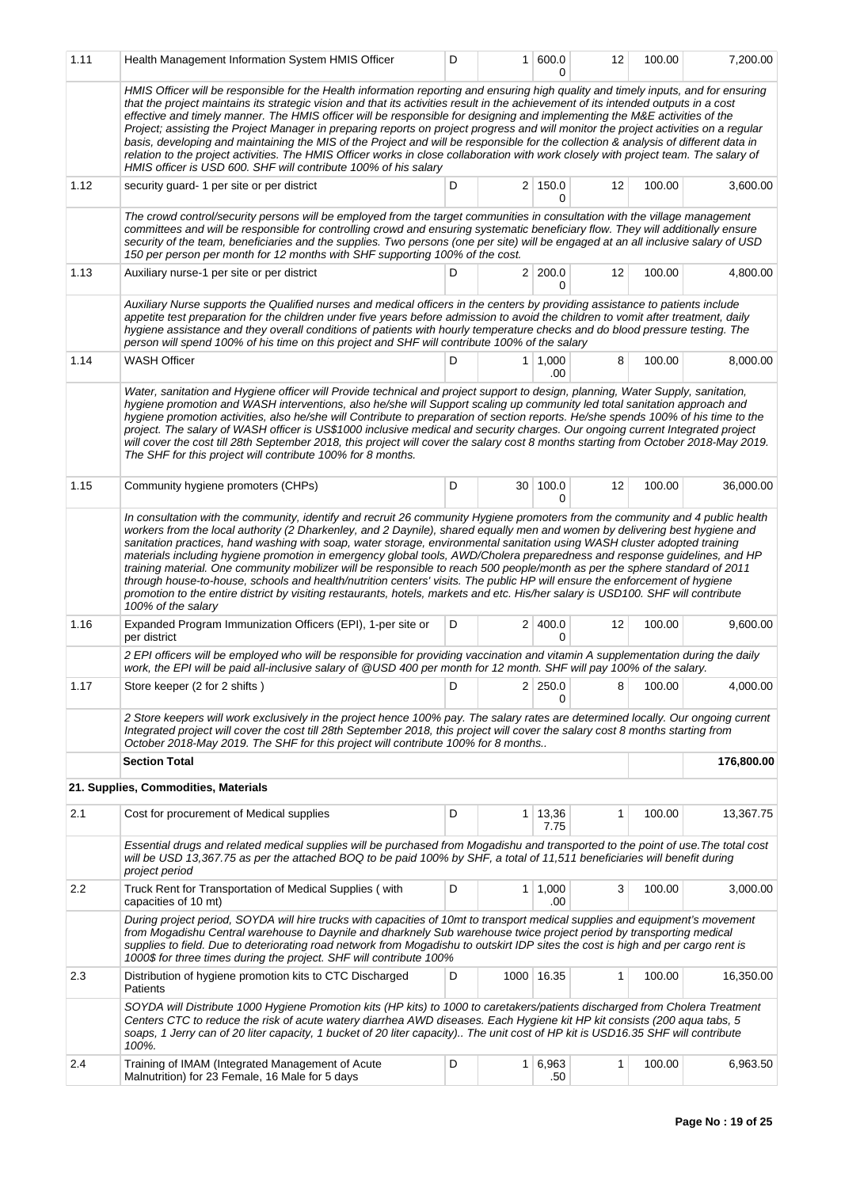| 1.11 | Health Management Information System HMIS Officer                                                                                                                                                                                                                                                                                                                                                                                                                                                                                                                                                                                                                                                                                                                                                                                                                                                                                              | D |              | 1   600.0<br>0        | 12                   | 100.00 | 7,200.00   |
|------|------------------------------------------------------------------------------------------------------------------------------------------------------------------------------------------------------------------------------------------------------------------------------------------------------------------------------------------------------------------------------------------------------------------------------------------------------------------------------------------------------------------------------------------------------------------------------------------------------------------------------------------------------------------------------------------------------------------------------------------------------------------------------------------------------------------------------------------------------------------------------------------------------------------------------------------------|---|--------------|-----------------------|----------------------|--------|------------|
|      | HMIS Officer will be responsible for the Health information reporting and ensuring high quality and timely inputs, and for ensuring<br>that the project maintains its strategic vision and that its activities result in the achievement of its intended outputs in a cost<br>effective and timely manner. The HMIS officer will be responsible for designing and implementing the M&E activities of the<br>Project; assisting the Project Manager in preparing reports on project progress and will monitor the project activities on a regular<br>basis, developing and maintaining the MIS of the Project and will be responsible for the collection & analysis of different data in<br>relation to the project activities. The HMIS Officer works in close collaboration with work closely with project team. The salary of<br>HMIS officer is USD 600. SHF will contribute 100% of his salary                                             |   |              |                       |                      |        |            |
| 1.12 | security guard-1 per site or per district                                                                                                                                                                                                                                                                                                                                                                                                                                                                                                                                                                                                                                                                                                                                                                                                                                                                                                      | D |              | $2 \mid 150.0$<br>0   | 12                   | 100.00 | 3,600.00   |
|      | The crowd control/security persons will be employed from the target communities in consultation with the village management<br>committees and will be responsible for controlling crowd and ensuring systematic beneficiary flow. They will additionally ensure<br>security of the team, beneficiaries and the supplies. Two persons (one per site) will be engaged at an all inclusive salary of USD<br>150 per person per month for 12 months with SHF supporting 100% of the cost.                                                                                                                                                                                                                                                                                                                                                                                                                                                          |   |              |                       |                      |        |            |
| 1.13 | Auxiliary nurse-1 per site or per district                                                                                                                                                                                                                                                                                                                                                                                                                                                                                                                                                                                                                                                                                                                                                                                                                                                                                                     | D |              | 2 200.0<br>U          | 12                   | 100.00 | 4,800.00   |
|      | Auxiliary Nurse supports the Qualified nurses and medical officers in the centers by providing assistance to patients include<br>appetite test preparation for the children under five years before admission to avoid the children to vomit after treatment, daily<br>hygiene assistance and they overall conditions of patients with hourly temperature checks and do blood pressure testing. The<br>person will spend 100% of his time on this project and SHF will contribute 100% of the salary                                                                                                                                                                                                                                                                                                                                                                                                                                           |   |              |                       |                      |        |            |
| 1.14 | <b>WASH Officer</b>                                                                                                                                                                                                                                                                                                                                                                                                                                                                                                                                                                                                                                                                                                                                                                                                                                                                                                                            | D |              | $1 \mid 1,000$<br>.00 | 8                    | 100.00 | 8,000.00   |
|      | Water, sanitation and Hygiene officer will Provide technical and project support to design, planning, Water Supply, sanitation,<br>hygiene promotion and WASH interventions, also he/she will Support scaling up community led total sanitation approach and<br>hygiene promotion activities, also he/she will Contribute to preparation of section reports. He/she spends 100% of his time to the<br>project. The salary of WASH officer is US\$1000 inclusive medical and security charges. Our ongoing current Integrated project<br>will cover the cost till 28th September 2018, this project will cover the salary cost 8 months starting from October 2018-May 2019.<br>The SHF for this project will contribute 100% for 8 months.                                                                                                                                                                                                     |   |              |                       |                      |        |            |
| 1.15 | Community hygiene promoters (CHPs)                                                                                                                                                                                                                                                                                                                                                                                                                                                                                                                                                                                                                                                                                                                                                                                                                                                                                                             | D |              | 30 100.0<br>0         | 12                   | 100.00 | 36,000.00  |
|      | In consultation with the community, identify and recruit 26 community Hygiene promoters from the community and 4 public health<br>workers from the local authority (2 Dharkenley, and 2 Daynile), shared equally men and women by delivering best hygiene and<br>sanitation practices, hand washing with soap, water storage, environmental sanitation using WASH cluster adopted training<br>materials including hygiene promotion in emergency global tools, AWD/Cholera preparedness and response guidelines, and HP<br>training material. One community mobilizer will be responsible to reach 500 people/month as per the sphere standard of 2011<br>through house-to-house, schools and health/nutrition centers' visits. The public HP will ensure the enforcement of hygiene<br>promotion to the entire district by visiting restaurants, hotels, markets and etc. His/her salary is USD100. SHF will contribute<br>100% of the salary |   |              |                       |                      |        |            |
| 1.16 | Expanded Program Immunization Officers (EPI), 1-per site or<br>per district                                                                                                                                                                                                                                                                                                                                                                                                                                                                                                                                                                                                                                                                                                                                                                                                                                                                    | D |              | 2 400.0<br>0          | 12                   | 100.00 | 9,600.00   |
|      | 2 EPI officers will be employed who will be responsible for providing vaccination and vitamin A supplementation during the daily<br>work, the EPI will be paid all-inclusive salary of @USD 400 per month for 12 month. SHF will pay 100% of the salary.                                                                                                                                                                                                                                                                                                                                                                                                                                                                                                                                                                                                                                                                                       |   |              |                       |                      |        |            |
| 1.17 | Store keeper (2 for 2 shifts)                                                                                                                                                                                                                                                                                                                                                                                                                                                                                                                                                                                                                                                                                                                                                                                                                                                                                                                  |   |              | 0                     | $D$ 2 250.0 8 100.00 |        | 4,000.00   |
|      | 2 Store keepers will work exclusively in the project hence 100% pay. The salary rates are determined locally. Our ongoing current<br>Integrated project will cover the cost till 28th September 2018, this project will cover the salary cost 8 months starting from<br>October 2018-May 2019. The SHF for this project will contribute 100% for 8 months                                                                                                                                                                                                                                                                                                                                                                                                                                                                                                                                                                                      |   |              |                       |                      |        |            |
|      | <b>Section Total</b>                                                                                                                                                                                                                                                                                                                                                                                                                                                                                                                                                                                                                                                                                                                                                                                                                                                                                                                           |   |              |                       |                      |        | 176,800.00 |
|      | 21. Supplies, Commodities, Materials                                                                                                                                                                                                                                                                                                                                                                                                                                                                                                                                                                                                                                                                                                                                                                                                                                                                                                           |   |              |                       |                      |        |            |
| 2.1  | Cost for procurement of Medical supplies                                                                                                                                                                                                                                                                                                                                                                                                                                                                                                                                                                                                                                                                                                                                                                                                                                                                                                       | D | $\mathbf{1}$ | 13,36<br>7.75         | 1                    | 100.00 | 13,367.75  |
|      | Essential drugs and related medical supplies will be purchased from Mogadishu and transported to the point of use. The total cost<br>will be USD 13,367.75 as per the attached BOQ to be paid 100% by SHF, a total of 11,511 beneficiaries will benefit during<br>project period                                                                                                                                                                                                                                                                                                                                                                                                                                                                                                                                                                                                                                                               |   |              |                       |                      |        |            |
| 2.2  | Truck Rent for Transportation of Medical Supplies (with<br>capacities of 10 mt)                                                                                                                                                                                                                                                                                                                                                                                                                                                                                                                                                                                                                                                                                                                                                                                                                                                                | D |              | $1 \mid 1,000$<br>.00 | 3                    | 100.00 | 3,000.00   |
|      | During project period, SOYDA will hire trucks with capacities of 10mt to transport medical supplies and equipment's movement<br>from Mogadishu Central warehouse to Daynile and dharknely Sub warehouse twice project period by transporting medical<br>supplies to field. Due to deteriorating road network from Mogadishu to outskirt IDP sites the cost is high and per cargo rent is<br>1000\$ for three times during the project. SHF will contribute 100%                                                                                                                                                                                                                                                                                                                                                                                                                                                                                |   |              |                       |                      |        |            |
| 2.3  | Distribution of hygiene promotion kits to CTC Discharged<br>Patients                                                                                                                                                                                                                                                                                                                                                                                                                                                                                                                                                                                                                                                                                                                                                                                                                                                                           | D |              | 1000 16.35            | 1                    | 100.00 | 16,350.00  |
|      | SOYDA will Distribute 1000 Hygiene Promotion kits (HP kits) to 1000 to caretakers/patients discharged from Cholera Treatment<br>Centers CTC to reduce the risk of acute watery diarrhea AWD diseases. Each Hygiene kit HP kit consists (200 aqua tabs, 5<br>soaps, 1 Jerry can of 20 liter capacity, 1 bucket of 20 liter capacity) The unit cost of HP kit is USD16.35 SHF will contribute<br>100%.                                                                                                                                                                                                                                                                                                                                                                                                                                                                                                                                           |   |              |                       |                      |        |            |
| 2.4  | Training of IMAM (Integrated Management of Acute<br>Malnutrition) for 23 Female, 16 Male for 5 days                                                                                                                                                                                                                                                                                                                                                                                                                                                                                                                                                                                                                                                                                                                                                                                                                                            | D | $\mathbf{1}$ | 6,963<br>.50          | $\mathbf{1}$         | 100.00 | 6,963.50   |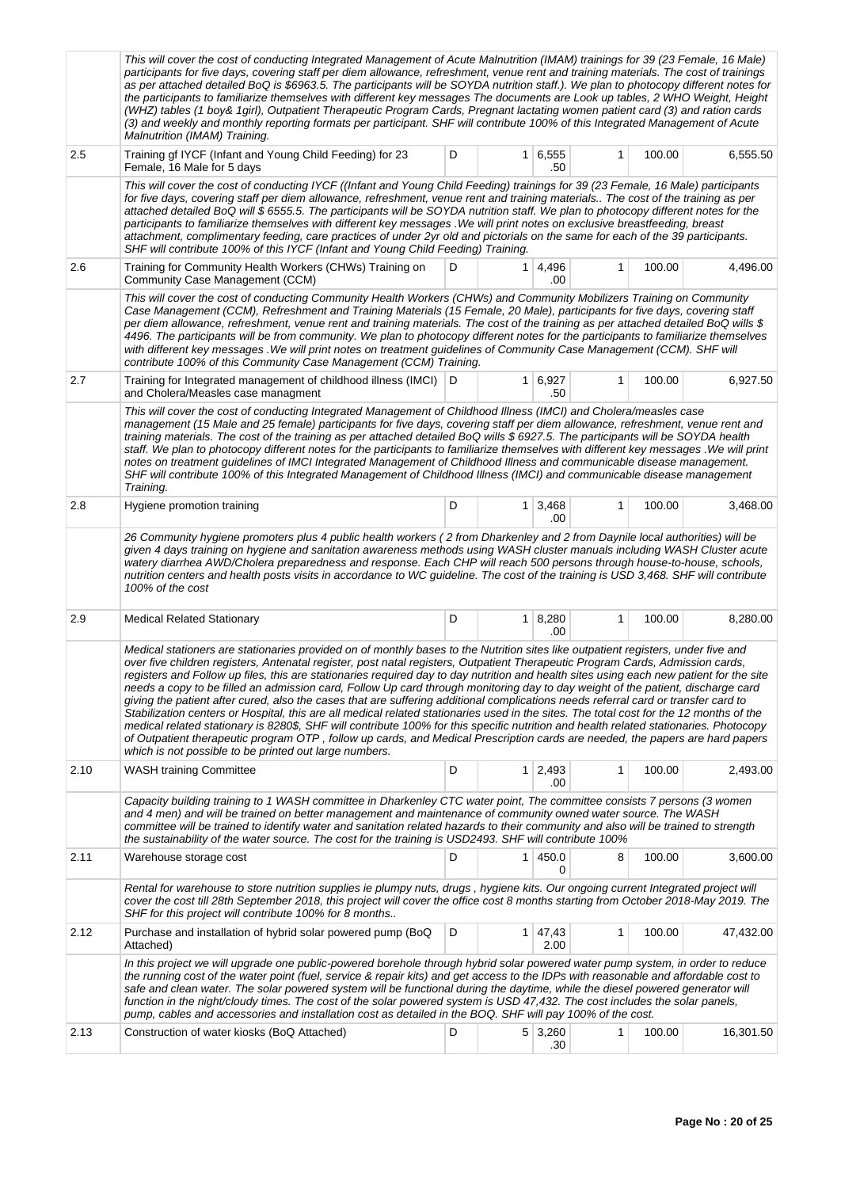|      | This will cover the cost of conducting Integrated Management of Acute Malnutrition (IMAM) trainings for 39 (23 Female, 16 Male)<br>participants for five days, covering staff per diem allowance, refreshment, venue rent and training materials. The cost of trainings<br>as per attached detailed BoQ is \$6963.5. The participants will be SOYDA nutrition staff.). We plan to photocopy different notes for<br>the participants to familiarize themselves with different key messages The documents are Look up tables, 2 WHO Weight, Height<br>(WHZ) tables (1 boy& 1girl), Outpatient Therapeutic Program Cards, Pregnant lactating women patient card (3) and ration cards<br>(3) and weekly and monthly reporting formats per participant. SHF will contribute 100% of this Integrated Management of Acute<br>Malnutrition (IMAM) Training.                                                                                                                                                                                                                                                                                                                    |   |                |                       |   |        |           |
|------|------------------------------------------------------------------------------------------------------------------------------------------------------------------------------------------------------------------------------------------------------------------------------------------------------------------------------------------------------------------------------------------------------------------------------------------------------------------------------------------------------------------------------------------------------------------------------------------------------------------------------------------------------------------------------------------------------------------------------------------------------------------------------------------------------------------------------------------------------------------------------------------------------------------------------------------------------------------------------------------------------------------------------------------------------------------------------------------------------------------------------------------------------------------------|---|----------------|-----------------------|---|--------|-----------|
| 2.5  | Training gf IYCF (Infant and Young Child Feeding) for 23<br>Female, 16 Male for 5 days                                                                                                                                                                                                                                                                                                                                                                                                                                                                                                                                                                                                                                                                                                                                                                                                                                                                                                                                                                                                                                                                                 | D |                | 1   6, 555<br>.50     | 1 | 100.00 | 6,555.50  |
|      | This will cover the cost of conducting IYCF ((Infant and Young Child Feeding) trainings for 39 (23 Female, 16 Male) participants<br>for five days, covering staff per diem allowance, refreshment, venue rent and training materials The cost of the training as per<br>attached detailed BoQ will \$6555.5. The participants will be SOYDA nutrition staff. We plan to photocopy different notes for the<br>participants to familiarize themselves with different key messages . We will print notes on exclusive breastfeeding, breast<br>attachment, complimentary feeding, care practices of under 2yr old and pictorials on the same for each of the 39 participants.<br>SHF will contribute 100% of this IYCF (Infant and Young Child Feeding) Training.                                                                                                                                                                                                                                                                                                                                                                                                         |   |                |                       |   |        |           |
| 2.6  | Training for Community Health Workers (CHWs) Training on<br>Community Case Management (CCM)                                                                                                                                                                                                                                                                                                                                                                                                                                                                                                                                                                                                                                                                                                                                                                                                                                                                                                                                                                                                                                                                            | D | 1 <sup>1</sup> | 4,496<br>.00          | 1 | 100.00 | 4,496.00  |
|      | This will cover the cost of conducting Community Health Workers (CHWs) and Community Mobilizers Training on Community<br>Case Management (CCM), Refreshment and Training Materials (15 Female, 20 Male), participants for five days, covering staff<br>per diem allowance, refreshment, venue rent and training materials. The cost of the training as per attached detailed BoQ wills \$<br>4496. The participants will be from community. We plan to photocopy different notes for the participants to familiarize themselves<br>with different key messages . We will print notes on treatment guidelines of Community Case Management (CCM). SHF will<br>contribute 100% of this Community Case Management (CCM) Training.                                                                                                                                                                                                                                                                                                                                                                                                                                         |   |                |                       |   |        |           |
| 2.7  | Training for Integrated management of childhood illness (IMCI)<br>and Cholera/Measles case managment                                                                                                                                                                                                                                                                                                                                                                                                                                                                                                                                                                                                                                                                                                                                                                                                                                                                                                                                                                                                                                                                   | D |                | $1 \mid 6,927$<br>.50 | 1 | 100.00 | 6,927.50  |
|      | This will cover the cost of conducting Integrated Management of Childhood Illness (IMCI) and Cholera/measles case<br>management (15 Male and 25 female) participants for five days, covering staff per diem allowance, refreshment, venue rent and<br>training materials. The cost of the training as per attached detailed BoQ wills \$6927.5. The participants will be SOYDA health<br>staff. We plan to photocopy different notes for the participants to familiarize themselves with different key messages . We will print<br>notes on treatment guidelines of IMCI Integrated Management of Childhood Illness and communicable disease management.<br>SHF will contribute 100% of this Integrated Management of Childhood Illness (IMCI) and communicable disease management<br>Training.                                                                                                                                                                                                                                                                                                                                                                        |   |                |                       |   |        |           |
| 2.8  | Hygiene promotion training                                                                                                                                                                                                                                                                                                                                                                                                                                                                                                                                                                                                                                                                                                                                                                                                                                                                                                                                                                                                                                                                                                                                             | D | 1 <sup>1</sup> | 3,468<br>.00          | 1 | 100.00 | 3,468.00  |
|      | 26 Community hygiene promoters plus 4 public health workers (2 from Dharkenley and 2 from Daynile local authorities) will be<br>given 4 days training on hygiene and sanitation awareness methods using WASH cluster manuals including WASH Cluster acute<br>watery diarrhea AWD/Cholera preparedness and response. Each CHP will reach 500 persons through house-to-house, schools,<br>nutrition centers and health posts visits in accordance to WC guideline. The cost of the training is USD 3,468. SHF will contribute<br>100% of the cost                                                                                                                                                                                                                                                                                                                                                                                                                                                                                                                                                                                                                        |   |                |                       |   |        |           |
| 2.9  | <b>Medical Related Stationary</b>                                                                                                                                                                                                                                                                                                                                                                                                                                                                                                                                                                                                                                                                                                                                                                                                                                                                                                                                                                                                                                                                                                                                      | D |                | $1 \mid 8,280$<br>.00 | 1 | 100.00 | 8,280.00  |
|      | Medical stationers are stationaries provided on of monthly bases to the Nutrition sites like outpatient registers, under five and<br>over five children registers, Antenatal register, post natal registers, Outpatient Therapeutic Program Cards, Admission cards,<br>registers and Follow up files, this are stationaries required day to day nutrition and health sites using each new patient for the site<br>needs a copy to be filled an admission card, Follow Up card through monitoring day to day weight of the patient, discharge card<br>giving the patient after cured, also the cases that are suffering additional complications needs referral card or transfer card to<br>Stabilization centers or Hospital, this are all medical related stationaries used in the sites. The total cost for the 12 months of the<br>medical related stationary is 8280\$, SHF will contribute 100% for this specific nutrition and health related stationaries. Photocopy<br>of Outpatient therapeutic program OTP, follow up cards, and Medical Prescription cards are needed, the papers are hard papers<br>which is not possible to be printed out large numbers. |   |                |                       |   |        |           |
| 2.10 | <b>WASH training Committee</b>                                                                                                                                                                                                                                                                                                                                                                                                                                                                                                                                                                                                                                                                                                                                                                                                                                                                                                                                                                                                                                                                                                                                         | D |                | $1 \mid 2,493$<br>.00 | 1 | 100.00 | 2,493.00  |
|      | Capacity building training to 1 WASH committee in Dharkenley CTC water point, The committee consists 7 persons (3 women<br>and 4 men) and will be trained on better management and maintenance of community owned water source. The WASH<br>committee will be trained to identify water and sanitation related hazards to their community and also will be trained to strength<br>the sustainability of the water source. The cost for the training is USD2493. SHF will contribute 100%                                                                                                                                                                                                                                                                                                                                                                                                                                                                                                                                                                                                                                                                               |   |                |                       |   |        |           |
| 2.11 | Warehouse storage cost                                                                                                                                                                                                                                                                                                                                                                                                                                                                                                                                                                                                                                                                                                                                                                                                                                                                                                                                                                                                                                                                                                                                                 | D | 1 <sup>1</sup> | 450.0<br>0            | 8 | 100.00 | 3,600.00  |
|      | Rental for warehouse to store nutrition supplies ie plumpy nuts, drugs, hygiene kits. Our ongoing current Integrated project will<br>cover the cost till 28th September 2018, this project will cover the office cost 8 months starting from October 2018-May 2019. The<br>SHF for this project will contribute 100% for 8 months                                                                                                                                                                                                                                                                                                                                                                                                                                                                                                                                                                                                                                                                                                                                                                                                                                      |   |                |                       |   |        |           |
| 2.12 | Purchase and installation of hybrid solar powered pump (BoQ<br>Attached)                                                                                                                                                                                                                                                                                                                                                                                                                                                                                                                                                                                                                                                                                                                                                                                                                                                                                                                                                                                                                                                                                               | D |                | 1 47,43<br>2.00       | 1 | 100.00 | 47,432.00 |
|      | In this project we will upgrade one public-powered borehole through hybrid solar powered water pump system, in order to reduce<br>the running cost of the water point (fuel, service & repair kits) and get access to the IDPs with reasonable and affordable cost to<br>safe and clean water. The solar powered system will be functional during the daytime, while the diesel powered generator will<br>function in the night/cloudy times. The cost of the solar powered system is USD 47,432. The cost includes the solar panels,<br>pump, cables and accessories and installation cost as detailed in the BOQ. SHF will pay 100% of the cost.                                                                                                                                                                                                                                                                                                                                                                                                                                                                                                                     |   |                |                       |   |        |           |
| 2.13 | Construction of water kiosks (BoQ Attached)                                                                                                                                                                                                                                                                                                                                                                                                                                                                                                                                                                                                                                                                                                                                                                                                                                                                                                                                                                                                                                                                                                                            | D |                | $5 \mid 3,260$<br>.30 | 1 | 100.00 | 16,301.50 |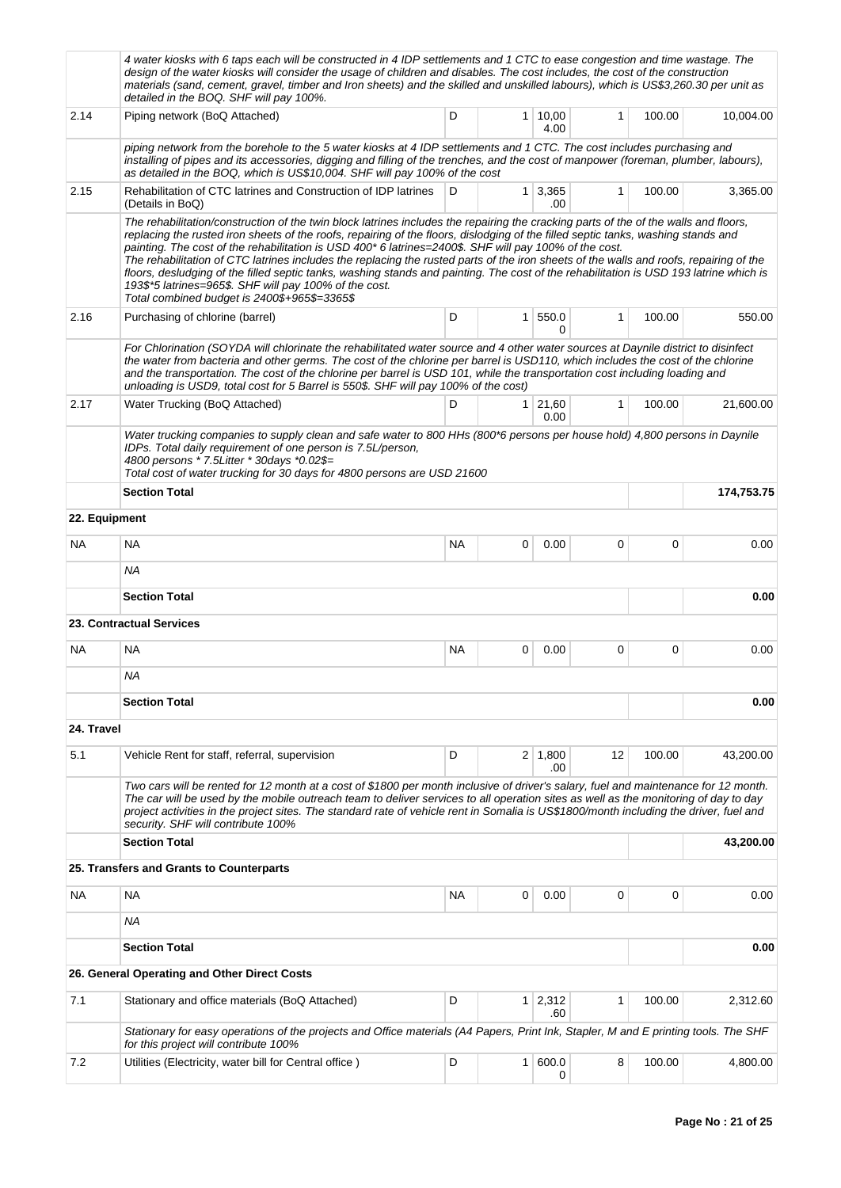|               | 4 water kiosks with 6 taps each will be constructed in 4 IDP settlements and 1 CTC to ease congestion and time wastage. The<br>design of the water kiosks will consider the usage of children and disables. The cost includes, the cost of the construction<br>materials (sand, cement, gravel, timber and Iron sheets) and the skilled and unskilled labours), which is US\$3,260.30 per unit as<br>detailed in the BOQ. SHF will pay 100%.                                                                                                                                                                                                                                                                                                                                      |           |                |                       |              |        |            |  |  |  |
|---------------|-----------------------------------------------------------------------------------------------------------------------------------------------------------------------------------------------------------------------------------------------------------------------------------------------------------------------------------------------------------------------------------------------------------------------------------------------------------------------------------------------------------------------------------------------------------------------------------------------------------------------------------------------------------------------------------------------------------------------------------------------------------------------------------|-----------|----------------|-----------------------|--------------|--------|------------|--|--|--|
| 2.14          | Piping network (BoQ Attached)                                                                                                                                                                                                                                                                                                                                                                                                                                                                                                                                                                                                                                                                                                                                                     | D         | $\mathbf{1}$   | 10,00<br>4.00         | $\mathbf{1}$ | 100.00 | 10,004.00  |  |  |  |
|               | piping network from the borehole to the 5 water kiosks at 4 IDP settlements and 1 CTC. The cost includes purchasing and<br>installing of pipes and its accessories, digging and filling of the trenches, and the cost of manpower (foreman, plumber, labours),<br>as detailed in the BOQ, which is US\$10,004. SHF will pay 100% of the cost                                                                                                                                                                                                                                                                                                                                                                                                                                      |           |                |                       |              |        |            |  |  |  |
| 2.15          | Rehabilitation of CTC latrines and Construction of IDP latrines<br>(Details in BoQ)                                                                                                                                                                                                                                                                                                                                                                                                                                                                                                                                                                                                                                                                                               | D         | 1 <sup>1</sup> | 3,365<br>.00          | 1            | 100.00 | 3,365.00   |  |  |  |
|               | The rehabilitation/construction of the twin block latrines includes the repairing the cracking parts of the of the walls and floors,<br>replacing the rusted iron sheets of the roofs, repairing of the floors, dislodging of the filled septic tanks, washing stands and<br>painting. The cost of the rehabilitation is USD 400* 6 latrines=2400\$. SHF will pay 100% of the cost.<br>The rehabilitation of CTC latrines includes the replacing the rusted parts of the iron sheets of the walls and roofs, repairing of the<br>floors, desludging of the filled septic tanks, washing stands and painting. The cost of the rehabilitation is USD 193 latrine which is<br>193\$*5 latrines=965\$. SHF will pay 100% of the cost.<br>Total combined budget is 2400\$+965\$=3365\$ |           |                |                       |              |        |            |  |  |  |
| 2.16          | Purchasing of chlorine (barrel)                                                                                                                                                                                                                                                                                                                                                                                                                                                                                                                                                                                                                                                                                                                                                   | D         | $\mathbf{1}$   | 550.0<br>0            | 1            | 100.00 | 550.00     |  |  |  |
|               | For Chlorination (SOYDA will chlorinate the rehabilitated water source and 4 other water sources at Daynile district to disinfect<br>the water from bacteria and other germs. The cost of the chlorine per barrel is USD110, which includes the cost of the chlorine<br>and the transportation. The cost of the chlorine per barrel is USD 101, while the transportation cost including loading and<br>unloading is USD9, total cost for 5 Barrel is 550\$. SHF will pay 100% of the cost)                                                                                                                                                                                                                                                                                        |           |                |                       |              |        |            |  |  |  |
| 2.17          | Water Trucking (BoQ Attached)                                                                                                                                                                                                                                                                                                                                                                                                                                                                                                                                                                                                                                                                                                                                                     | D         | 1              | 21,60<br>0.00         | 1            | 100.00 | 21,600.00  |  |  |  |
|               | Water trucking companies to supply clean and safe water to 800 HHs (800*6 persons per house hold) 4,800 persons in Daynile<br>IDPs. Total daily requirement of one person is 7.5L/person,<br>4800 persons * 7.5Litter * 30days *0.02\$=<br>Total cost of water trucking for 30 days for 4800 persons are USD 21600                                                                                                                                                                                                                                                                                                                                                                                                                                                                |           |                |                       |              |        |            |  |  |  |
|               | <b>Section Total</b>                                                                                                                                                                                                                                                                                                                                                                                                                                                                                                                                                                                                                                                                                                                                                              |           |                |                       |              |        | 174,753.75 |  |  |  |
| 22. Equipment |                                                                                                                                                                                                                                                                                                                                                                                                                                                                                                                                                                                                                                                                                                                                                                                   |           |                |                       |              |        |            |  |  |  |
| NA.           | NA                                                                                                                                                                                                                                                                                                                                                                                                                                                                                                                                                                                                                                                                                                                                                                                | NA.       | 0              | 0.00                  | 0            | 0      | 0.00       |  |  |  |
|               | NA                                                                                                                                                                                                                                                                                                                                                                                                                                                                                                                                                                                                                                                                                                                                                                                |           |                |                       |              |        |            |  |  |  |
|               | <b>Section Total</b>                                                                                                                                                                                                                                                                                                                                                                                                                                                                                                                                                                                                                                                                                                                                                              |           |                |                       |              |        | 0.00       |  |  |  |
|               | 23. Contractual Services                                                                                                                                                                                                                                                                                                                                                                                                                                                                                                                                                                                                                                                                                                                                                          |           |                |                       |              |        |            |  |  |  |
| <b>NA</b>     | <b>NA</b>                                                                                                                                                                                                                                                                                                                                                                                                                                                                                                                                                                                                                                                                                                                                                                         | <b>NA</b> | 0              | 0.00                  | 0            | 0      | 0.00       |  |  |  |
|               | NA                                                                                                                                                                                                                                                                                                                                                                                                                                                                                                                                                                                                                                                                                                                                                                                |           |                |                       |              |        |            |  |  |  |
|               | <b>Section Total</b>                                                                                                                                                                                                                                                                                                                                                                                                                                                                                                                                                                                                                                                                                                                                                              |           |                |                       |              |        | 0.00       |  |  |  |
| 24. Travel    |                                                                                                                                                                                                                                                                                                                                                                                                                                                                                                                                                                                                                                                                                                                                                                                   |           |                |                       |              |        |            |  |  |  |
| 5.1           | Vehicle Rent for staff, referral, supervision                                                                                                                                                                                                                                                                                                                                                                                                                                                                                                                                                                                                                                                                                                                                     | D         |                | $2 \mid 1,800$<br>.00 | 12           | 100.00 | 43,200.00  |  |  |  |
|               | Two cars will be rented for 12 month at a cost of \$1800 per month inclusive of driver's salary, fuel and maintenance for 12 month.<br>The car will be used by the mobile outreach team to deliver services to all operation sites as well as the monitoring of day to day<br>project activities in the project sites. The standard rate of vehicle rent in Somalia is US\$1800/month including the driver, fuel and<br>security. SHF will contribute 100%                                                                                                                                                                                                                                                                                                                        |           |                |                       |              |        |            |  |  |  |
|               | <b>Section Total</b>                                                                                                                                                                                                                                                                                                                                                                                                                                                                                                                                                                                                                                                                                                                                                              |           |                |                       |              |        | 43,200.00  |  |  |  |
|               | 25. Transfers and Grants to Counterparts                                                                                                                                                                                                                                                                                                                                                                                                                                                                                                                                                                                                                                                                                                                                          |           |                |                       |              |        |            |  |  |  |
| <b>NA</b>     | <b>NA</b>                                                                                                                                                                                                                                                                                                                                                                                                                                                                                                                                                                                                                                                                                                                                                                         | NA        | 0              | 0.00                  | 0            | 0      | 0.00       |  |  |  |
|               | ΝA                                                                                                                                                                                                                                                                                                                                                                                                                                                                                                                                                                                                                                                                                                                                                                                |           |                |                       |              |        |            |  |  |  |
|               | <b>Section Total</b>                                                                                                                                                                                                                                                                                                                                                                                                                                                                                                                                                                                                                                                                                                                                                              |           |                |                       |              |        | 0.00       |  |  |  |
|               | 26. General Operating and Other Direct Costs                                                                                                                                                                                                                                                                                                                                                                                                                                                                                                                                                                                                                                                                                                                                      |           |                |                       |              |        |            |  |  |  |
| 7.1           | Stationary and office materials (BoQ Attached)                                                                                                                                                                                                                                                                                                                                                                                                                                                                                                                                                                                                                                                                                                                                    | D         | $\mathbf{1}$   | 2,312<br>.60          | 1            | 100.00 | 2,312.60   |  |  |  |
|               | Stationary for easy operations of the projects and Office materials (A4 Papers, Print Ink, Stapler, M and E printing tools. The SHF<br>for this project will contribute 100%                                                                                                                                                                                                                                                                                                                                                                                                                                                                                                                                                                                                      |           |                |                       |              |        |            |  |  |  |
| 7.2           | Utilities (Electricity, water bill for Central office)                                                                                                                                                                                                                                                                                                                                                                                                                                                                                                                                                                                                                                                                                                                            | D         | $\mathbf{1}$   | 600.0<br>0            | 8            | 100.00 | 4,800.00   |  |  |  |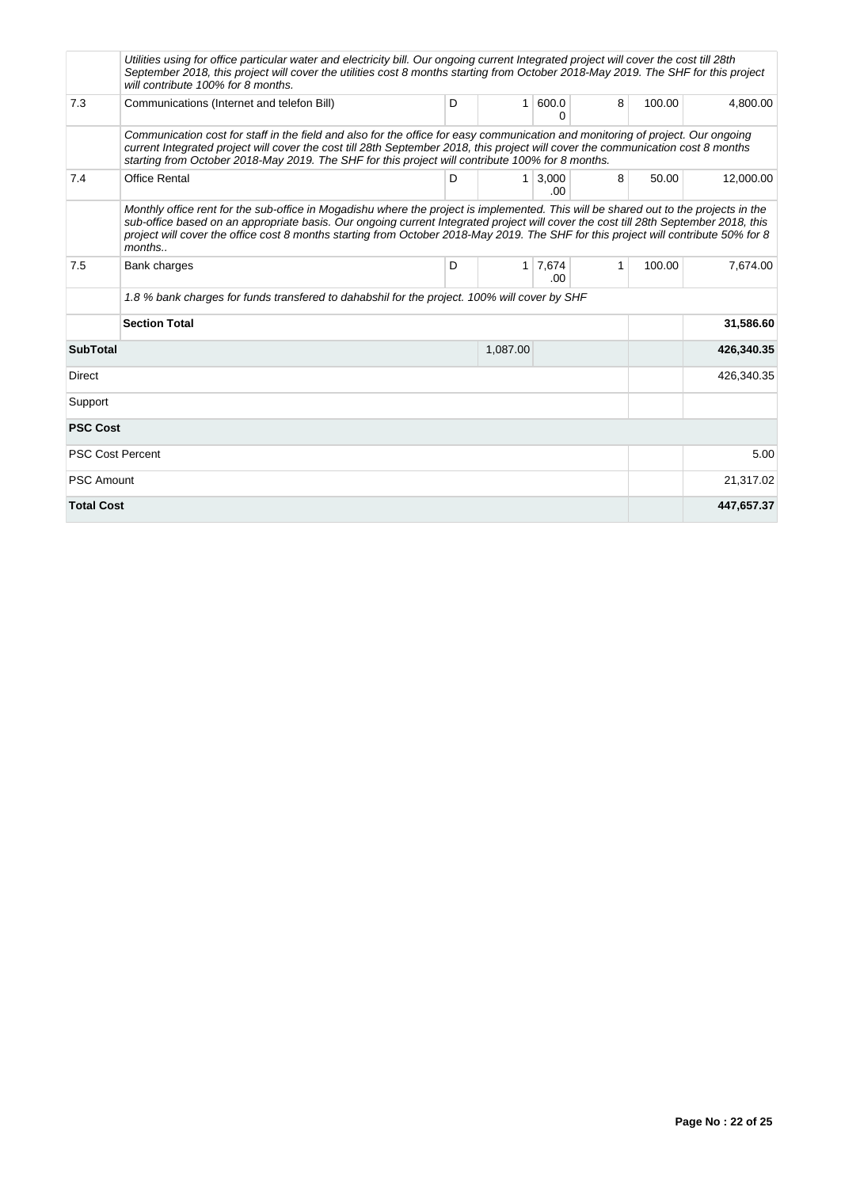|                             | Utilities using for office particular water and electricity bill. Our ongoing current Integrated project will cover the cost till 28th<br>September 2018, this project will cover the utilities cost 8 months starting from October 2018-May 2019. The SHF for this project<br>will contribute 100% for 8 months.                                                                                                            |   |              |               |              |        |            |
|-----------------------------|------------------------------------------------------------------------------------------------------------------------------------------------------------------------------------------------------------------------------------------------------------------------------------------------------------------------------------------------------------------------------------------------------------------------------|---|--------------|---------------|--------------|--------|------------|
| 7.3                         | Communications (Internet and telefon Bill)                                                                                                                                                                                                                                                                                                                                                                                   | D | 1            | 600.0<br>0    | 8            | 100.00 | 4,800.00   |
|                             | Communication cost for staff in the field and also for the office for easy communication and monitoring of project. Our ongoing<br>current Integrated project will cover the cost till 28th September 2018, this project will cover the communication cost 8 months<br>starting from October 2018-May 2019. The SHF for this project will contribute 100% for 8 months.                                                      |   |              |               |              |        |            |
| 7.4                         | <b>Office Rental</b>                                                                                                                                                                                                                                                                                                                                                                                                         | D | 1            | 3,000<br>.00. | 8            | 50.00  | 12.000.00  |
|                             | Monthly office rent for the sub-office in Mogadishu where the project is implemented. This will be shared out to the projects in the<br>sub-office based on an appropriate basis. Our ongoing current Integrated project will cover the cost till 28th September 2018, this<br>project will cover the office cost 8 months starting from October 2018-May 2019. The SHF for this project will contribute 50% for 8<br>months |   |              |               |              |        |            |
| 7.5                         | Bank charges                                                                                                                                                                                                                                                                                                                                                                                                                 | D | $\mathbf{1}$ | 7,674<br>.00. | $\mathbf{1}$ | 100.00 | 7,674.00   |
|                             | 1.8 % bank charges for funds transfered to dahabshil for the project. 100% will cover by SHF                                                                                                                                                                                                                                                                                                                                 |   |              |               |              |        |            |
|                             | <b>Section Total</b>                                                                                                                                                                                                                                                                                                                                                                                                         |   | 31,586.60    |               |              |        |            |
| <b>SubTotal</b><br>1,087.00 |                                                                                                                                                                                                                                                                                                                                                                                                                              |   |              |               |              |        | 426,340.35 |
| Direct                      |                                                                                                                                                                                                                                                                                                                                                                                                                              |   |              |               |              |        | 426,340.35 |
| Support                     |                                                                                                                                                                                                                                                                                                                                                                                                                              |   |              |               |              |        |            |
| <b>PSC Cost</b>             |                                                                                                                                                                                                                                                                                                                                                                                                                              |   |              |               |              |        |            |
|                             | <b>PSC Cost Percent</b>                                                                                                                                                                                                                                                                                                                                                                                                      |   |              |               |              |        | 5.00       |
| <b>PSC Amount</b>           |                                                                                                                                                                                                                                                                                                                                                                                                                              |   |              |               |              |        | 21,317.02  |
| <b>Total Cost</b>           |                                                                                                                                                                                                                                                                                                                                                                                                                              |   |              |               |              |        | 447,657.37 |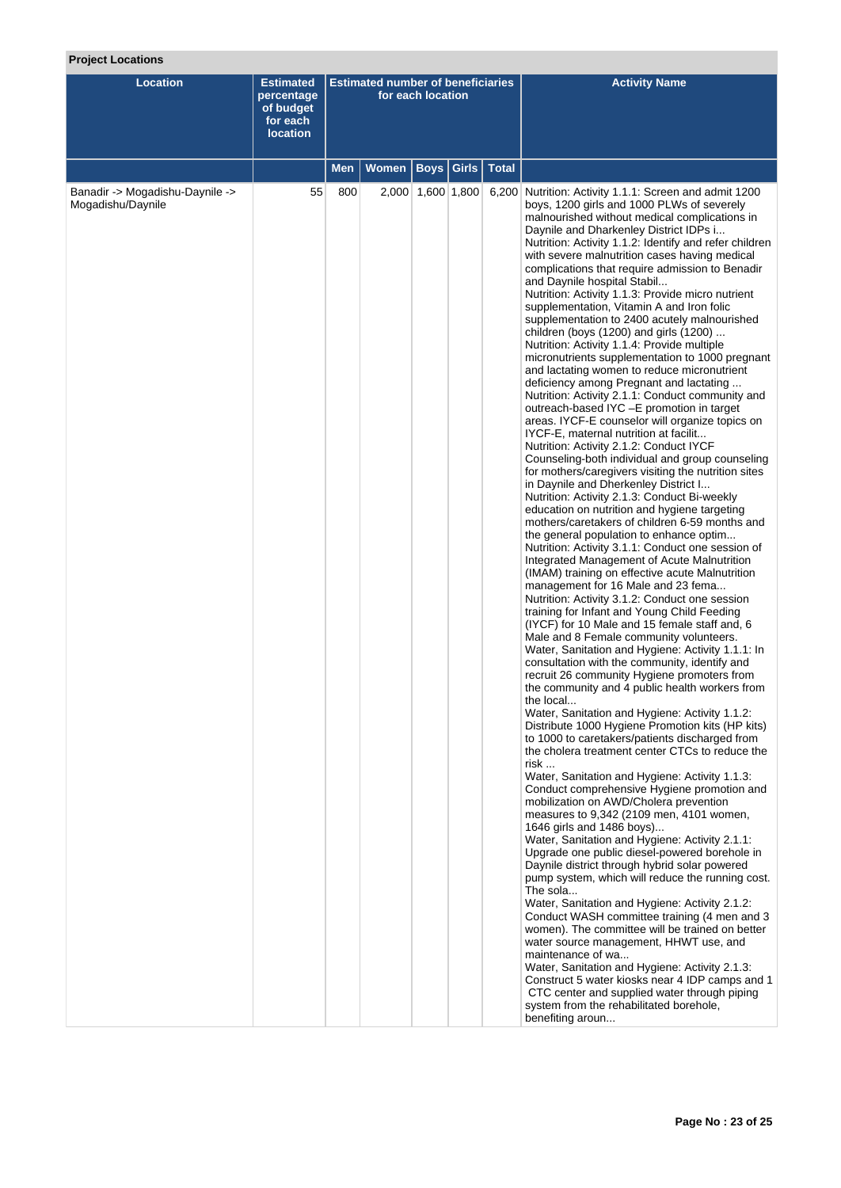# **Project Locations**

| <b>Location</b>                                      | <b>Estimated</b><br>percentage<br>of budget<br>for each<br><b>location</b> | <b>Estimated number of beneficiaries</b><br>for each location |              |                   |       |              | <b>Activity Name</b>                                                                                                                                                                                                                                                                                                                                                                                                                                                                                                                                                                                                                                                                                                                                                                                                                                                                                                                                                                                                                                                                                                                                                                                                                                                                                                                                                                                                                                                                                                                                                                                                                                                                                                                                                                                                                                                                                                                                                                                                                                                                                                                                                                                                                                                                                                                                                                                                                                                                                                                                                                                                                                                                                                                                                                                                                                                                                                                                                                                                                                                                          |
|------------------------------------------------------|----------------------------------------------------------------------------|---------------------------------------------------------------|--------------|-------------------|-------|--------------|-----------------------------------------------------------------------------------------------------------------------------------------------------------------------------------------------------------------------------------------------------------------------------------------------------------------------------------------------------------------------------------------------------------------------------------------------------------------------------------------------------------------------------------------------------------------------------------------------------------------------------------------------------------------------------------------------------------------------------------------------------------------------------------------------------------------------------------------------------------------------------------------------------------------------------------------------------------------------------------------------------------------------------------------------------------------------------------------------------------------------------------------------------------------------------------------------------------------------------------------------------------------------------------------------------------------------------------------------------------------------------------------------------------------------------------------------------------------------------------------------------------------------------------------------------------------------------------------------------------------------------------------------------------------------------------------------------------------------------------------------------------------------------------------------------------------------------------------------------------------------------------------------------------------------------------------------------------------------------------------------------------------------------------------------------------------------------------------------------------------------------------------------------------------------------------------------------------------------------------------------------------------------------------------------------------------------------------------------------------------------------------------------------------------------------------------------------------------------------------------------------------------------------------------------------------------------------------------------------------------------------------------------------------------------------------------------------------------------------------------------------------------------------------------------------------------------------------------------------------------------------------------------------------------------------------------------------------------------------------------------------------------------------------------------------------------------------------------------|
|                                                      |                                                                            | Men                                                           | <b>Women</b> | <b>Boys</b>       | Girls | <b>Total</b> |                                                                                                                                                                                                                                                                                                                                                                                                                                                                                                                                                                                                                                                                                                                                                                                                                                                                                                                                                                                                                                                                                                                                                                                                                                                                                                                                                                                                                                                                                                                                                                                                                                                                                                                                                                                                                                                                                                                                                                                                                                                                                                                                                                                                                                                                                                                                                                                                                                                                                                                                                                                                                                                                                                                                                                                                                                                                                                                                                                                                                                                                                               |
| Banadir -> Mogadishu-Daynile -><br>Mogadishu/Daynile | 55                                                                         | 800                                                           |              | 2,000 1,600 1,800 |       |              | 6,200 Nutrition: Activity 1.1.1: Screen and admit 1200<br>boys, 1200 girls and 1000 PLWs of severely<br>malnourished without medical complications in<br>Daynile and Dharkenley District IDPs i<br>Nutrition: Activity 1.1.2: Identify and refer children<br>with severe malnutrition cases having medical<br>complications that require admission to Benadir<br>and Daynile hospital Stabil<br>Nutrition: Activity 1.1.3: Provide micro nutrient<br>supplementation, Vitamin A and Iron folic<br>supplementation to 2400 acutely malnourished<br>children (boys (1200) and girls (1200)<br>Nutrition: Activity 1.1.4: Provide multiple<br>micronutrients supplementation to 1000 pregnant<br>and lactating women to reduce micronutrient<br>deficiency among Pregnant and lactating<br>Nutrition: Activity 2.1.1: Conduct community and<br>outreach-based IYC - E promotion in target<br>areas. IYCF-E counselor will organize topics on<br>IYCF-E, maternal nutrition at facilit<br>Nutrition: Activity 2.1.2: Conduct IYCF<br>Counseling-both individual and group counseling<br>for mothers/caregivers visiting the nutrition sites<br>in Daynile and Dherkenley District I<br>Nutrition: Activity 2.1.3: Conduct Bi-weekly<br>education on nutrition and hygiene targeting<br>mothers/caretakers of children 6-59 months and<br>the general population to enhance optim<br>Nutrition: Activity 3.1.1: Conduct one session of<br>Integrated Management of Acute Malnutrition<br>(IMAM) training on effective acute Malnutrition<br>management for 16 Male and 23 fema<br>Nutrition: Activity 3.1.2: Conduct one session<br>training for Infant and Young Child Feeding<br>(IYCF) for 10 Male and 15 female staff and, 6<br>Male and 8 Female community volunteers.<br>Water, Sanitation and Hygiene: Activity 1.1.1: In<br>consultation with the community, identify and<br>recruit 26 community Hygiene promoters from<br>the community and 4 public health workers from<br>the local<br>Water, Sanitation and Hygiene: Activity 1.1.2:<br>Distribute 1000 Hygiene Promotion kits (HP kits)<br>to 1000 to caretakers/patients discharged from<br>the cholera treatment center CTCs to reduce the<br>risk<br>Water, Sanitation and Hygiene: Activity 1.1.3:<br>Conduct comprehensive Hygiene promotion and<br>mobilization on AWD/Cholera prevention<br>measures to 9,342 (2109 men, 4101 women,<br>1646 girls and 1486 boys)<br>Water, Sanitation and Hygiene: Activity 2.1.1:<br>Upgrade one public diesel-powered borehole in<br>Daynile district through hybrid solar powered<br>pump system, which will reduce the running cost.<br>The sola<br>Water, Sanitation and Hygiene: Activity 2.1.2:<br>Conduct WASH committee training (4 men and 3<br>women). The committee will be trained on better<br>water source management, HHWT use, and<br>maintenance of wa<br>Water, Sanitation and Hygiene: Activity 2.1.3:<br>Construct 5 water kiosks near 4 IDP camps and 1<br>CTC center and supplied water through piping<br>system from the rehabilitated borehole,<br>benefiting aroun |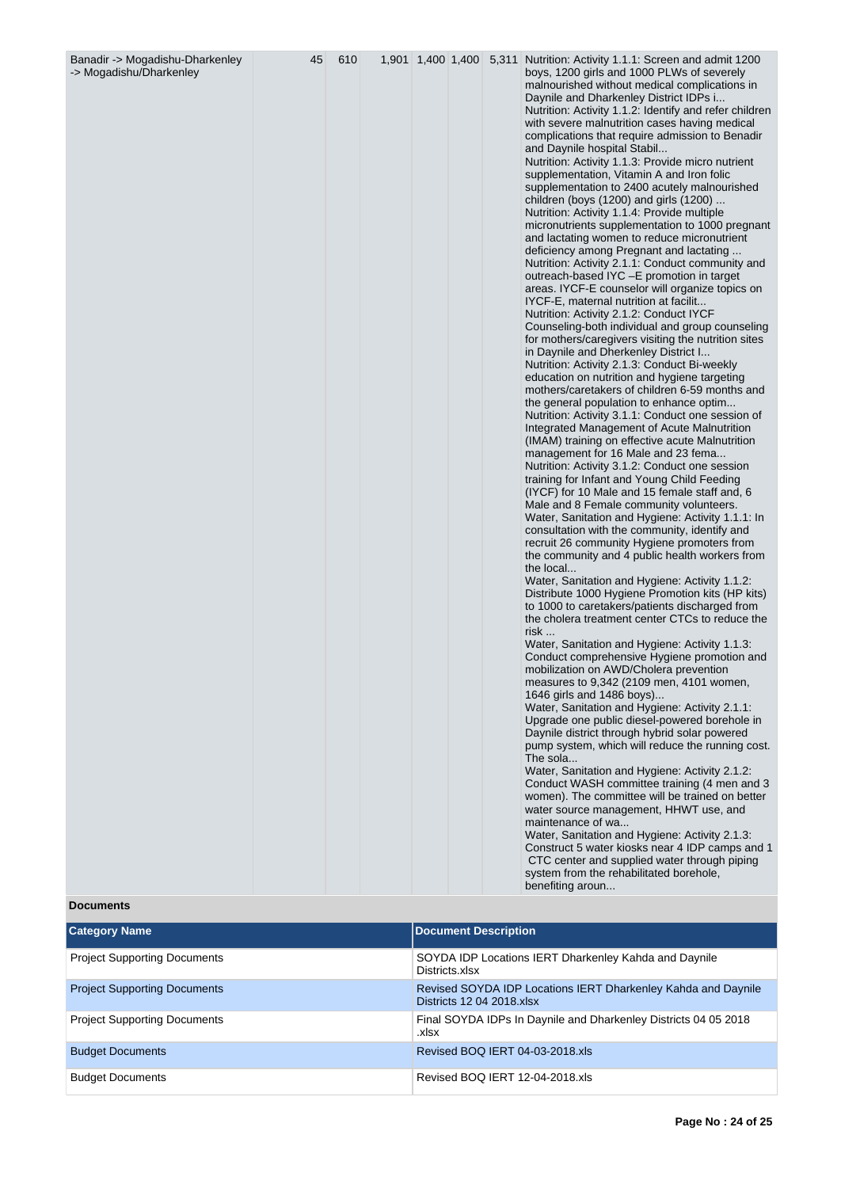| Banadir -> Mogadishu-Dharkenley<br>-> Mogadishu/Dharkenley | 45 | 610 |  |  | 1,901 1,400 1,400 5,311 Nutrition: Activity 1.1.1: Screen and admit 1200<br>boys, 1200 girls and 1000 PLWs of severely<br>malnourished without medical complications in<br>Daynile and Dharkenley District IDPs i<br>Nutrition: Activity 1.1.2: Identify and refer children<br>with severe malnutrition cases having medical<br>complications that require admission to Benadir<br>and Daynile hospital Stabil<br>Nutrition: Activity 1.1.3: Provide micro nutrient<br>supplementation, Vitamin A and Iron folic<br>supplementation to 2400 acutely malnourished<br>children (boys (1200) and girls (1200)<br>Nutrition: Activity 1.1.4: Provide multiple<br>micronutrients supplementation to 1000 pregnant<br>and lactating women to reduce micronutrient<br>deficiency among Pregnant and lactating<br>Nutrition: Activity 2.1.1: Conduct community and<br>outreach-based IYC -E promotion in target<br>areas. IYCF-E counselor will organize topics on<br>IYCF-E, maternal nutrition at facilit<br>Nutrition: Activity 2.1.2: Conduct IYCF<br>Counseling-both individual and group counseling<br>for mothers/caregivers visiting the nutrition sites<br>in Daynile and Dherkenley District I<br>Nutrition: Activity 2.1.3: Conduct Bi-weekly<br>education on nutrition and hygiene targeting<br>mothers/caretakers of children 6-59 months and<br>the general population to enhance optim<br>Nutrition: Activity 3.1.1: Conduct one session of<br>Integrated Management of Acute Malnutrition<br>(IMAM) training on effective acute Malnutrition<br>management for 16 Male and 23 fema<br>Nutrition: Activity 3.1.2: Conduct one session<br>training for Infant and Young Child Feeding<br>(IYCF) for 10 Male and 15 female staff and, 6<br>Male and 8 Female community volunteers.<br>Water, Sanitation and Hygiene: Activity 1.1.1: In<br>consultation with the community, identify and<br>recruit 26 community Hygiene promoters from<br>the community and 4 public health workers from<br>the local<br>Water, Sanitation and Hygiene: Activity 1.1.2:<br>Distribute 1000 Hygiene Promotion kits (HP kits)<br>to 1000 to caretakers/patients discharged from<br>the cholera treatment center CTCs to reduce the<br>risk<br>Water, Sanitation and Hygiene: Activity 1.1.3:<br>Conduct comprehensive Hygiene promotion and<br>mobilization on AWD/Cholera prevention<br>measures to 9,342 (2109 men, 4101 women,<br>1646 girls and 1486 boys)<br>Water, Sanitation and Hygiene: Activity 2.1.1:<br>Upgrade one public diesel-powered borehole in<br>Daynile district through hybrid solar powered<br>pump system, which will reduce the running cost.<br>The sola<br>Water, Sanitation and Hygiene: Activity 2.1.2:<br>Conduct WASH committee training (4 men and 3<br>women). The committee will be trained on better<br>water source management, HHWT use, and<br>maintenance of wa<br>Water, Sanitation and Hygiene: Activity 2.1.3: |
|------------------------------------------------------------|----|-----|--|--|----------------------------------------------------------------------------------------------------------------------------------------------------------------------------------------------------------------------------------------------------------------------------------------------------------------------------------------------------------------------------------------------------------------------------------------------------------------------------------------------------------------------------------------------------------------------------------------------------------------------------------------------------------------------------------------------------------------------------------------------------------------------------------------------------------------------------------------------------------------------------------------------------------------------------------------------------------------------------------------------------------------------------------------------------------------------------------------------------------------------------------------------------------------------------------------------------------------------------------------------------------------------------------------------------------------------------------------------------------------------------------------------------------------------------------------------------------------------------------------------------------------------------------------------------------------------------------------------------------------------------------------------------------------------------------------------------------------------------------------------------------------------------------------------------------------------------------------------------------------------------------------------------------------------------------------------------------------------------------------------------------------------------------------------------------------------------------------------------------------------------------------------------------------------------------------------------------------------------------------------------------------------------------------------------------------------------------------------------------------------------------------------------------------------------------------------------------------------------------------------------------------------------------------------------------------------------------------------------------------------------------------------------------------------------------------------------------------------------------------------------------------------------------------------------------------------------------------------------------------------------------------------------------------------------------------------|
|                                                            |    |     |  |  | Construct 5 water kiosks near 4 IDP camps and 1<br>CTC center and supplied water through piping<br>system from the rehabilitated borehole,<br>benefiting aroun                                                                                                                                                                                                                                                                                                                                                                                                                                                                                                                                                                                                                                                                                                                                                                                                                                                                                                                                                                                                                                                                                                                                                                                                                                                                                                                                                                                                                                                                                                                                                                                                                                                                                                                                                                                                                                                                                                                                                                                                                                                                                                                                                                                                                                                                                                                                                                                                                                                                                                                                                                                                                                                                                                                                                                               |

# **Documents**

| <b>Category Name</b>                | <b>Document Description</b>                                                                |
|-------------------------------------|--------------------------------------------------------------------------------------------|
| <b>Project Supporting Documents</b> | SOYDA IDP Locations IERT Dharkenley Kahda and Daynile<br>Districts.xlsx                    |
| <b>Project Supporting Documents</b> | Revised SOYDA IDP Locations IERT Dharkenley Kahda and Daynile<br>Districts 12 04 2018.xlsx |
| <b>Project Supporting Documents</b> | Final SOYDA IDPs In Daynile and Dharkenley Districts 04 05 2018<br>.xlsx                   |
| <b>Budget Documents</b>             | Revised BOQ IERT 04-03-2018.xls                                                            |
| <b>Budget Documents</b>             | Revised BOQ IERT 12-04-2018.xls                                                            |